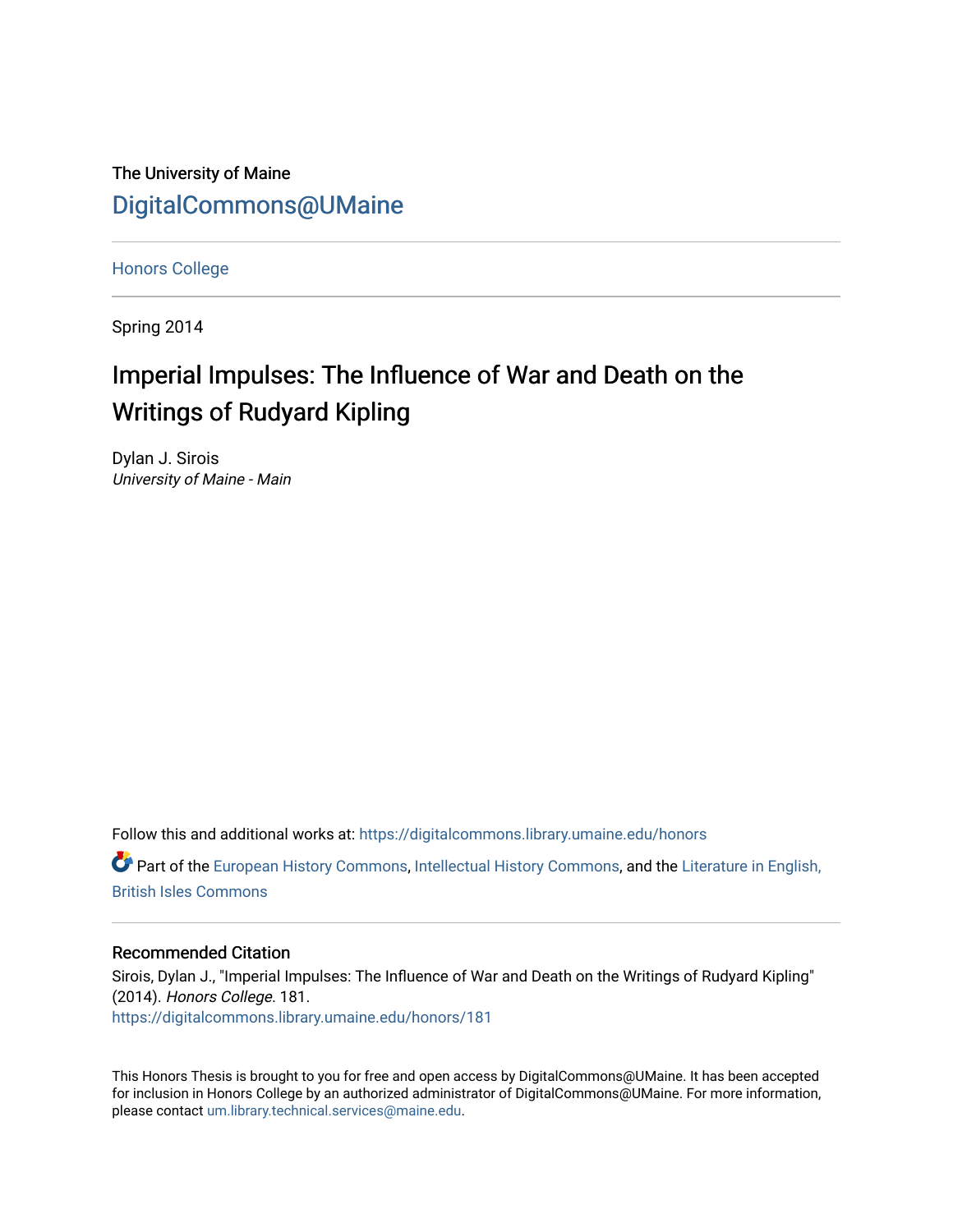The University of Maine [DigitalCommons@UMaine](https://digitalcommons.library.umaine.edu/)

[Honors College](https://digitalcommons.library.umaine.edu/honors)

Spring 2014

# Imperial Impulses: The Influence of War and Death on the Writings of Rudyard Kipling

Dylan J. Sirois University of Maine - Main

Follow this and additional works at: [https://digitalcommons.library.umaine.edu/honors](https://digitalcommons.library.umaine.edu/honors?utm_source=digitalcommons.library.umaine.edu%2Fhonors%2F181&utm_medium=PDF&utm_campaign=PDFCoverPages) 

Part of the [European History Commons](http://network.bepress.com/hgg/discipline/492?utm_source=digitalcommons.library.umaine.edu%2Fhonors%2F181&utm_medium=PDF&utm_campaign=PDFCoverPages), [Intellectual History Commons](http://network.bepress.com/hgg/discipline/501?utm_source=digitalcommons.library.umaine.edu%2Fhonors%2F181&utm_medium=PDF&utm_campaign=PDFCoverPages), and the [Literature in English,](http://network.bepress.com/hgg/discipline/456?utm_source=digitalcommons.library.umaine.edu%2Fhonors%2F181&utm_medium=PDF&utm_campaign=PDFCoverPages)  [British Isles Commons](http://network.bepress.com/hgg/discipline/456?utm_source=digitalcommons.library.umaine.edu%2Fhonors%2F181&utm_medium=PDF&utm_campaign=PDFCoverPages)

#### Recommended Citation

Sirois, Dylan J., "Imperial Impulses: The Influence of War and Death on the Writings of Rudyard Kipling" (2014). Honors College. 181. [https://digitalcommons.library.umaine.edu/honors/181](https://digitalcommons.library.umaine.edu/honors/181?utm_source=digitalcommons.library.umaine.edu%2Fhonors%2F181&utm_medium=PDF&utm_campaign=PDFCoverPages) 

This Honors Thesis is brought to you for free and open access by DigitalCommons@UMaine. It has been accepted for inclusion in Honors College by an authorized administrator of DigitalCommons@UMaine. For more information, please contact [um.library.technical.services@maine.edu.](mailto:um.library.technical.services@maine.edu)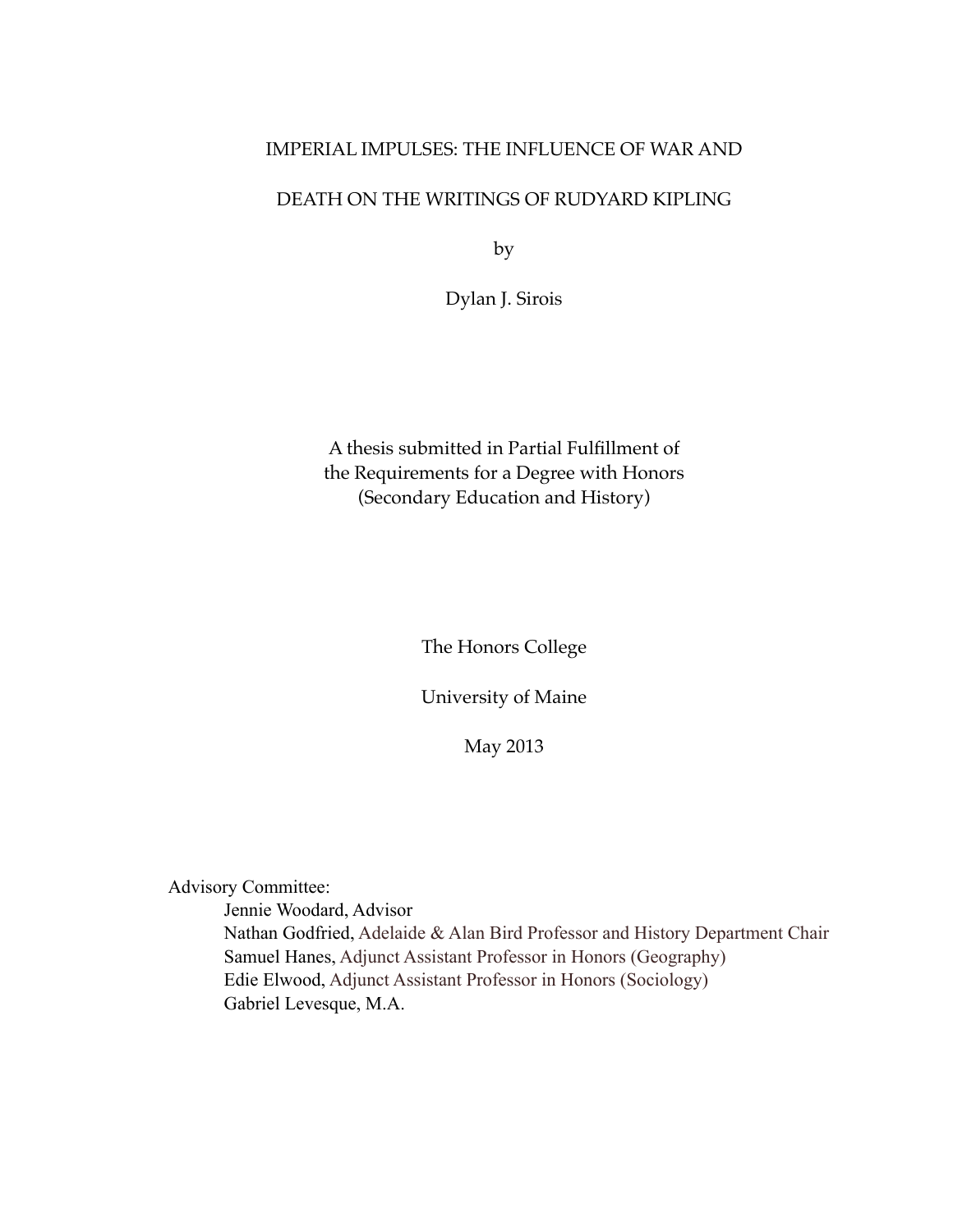## IMPERIAL IMPULSES: THE INFLUENCE OF WAR AND

## DEATH ON THE WRITINGS OF RUDYARD KIPLING

by

Dylan J. Sirois

A thesis submitted in Partial Fulfillment of the Requirements for a Degree with Honors (Secondary Education and History)

The Honors College

University of Maine

May 2013

Advisory Committee:

Jennie Woodard, Advisor Nathan Godfried, Adelaide & Alan Bird Professor and History Department Chair Samuel Hanes, Adjunct Assistant Professor in Honors (Geography) Edie Elwood, Adjunct Assistant Professor in Honors (Sociology) Gabriel Levesque, M.A.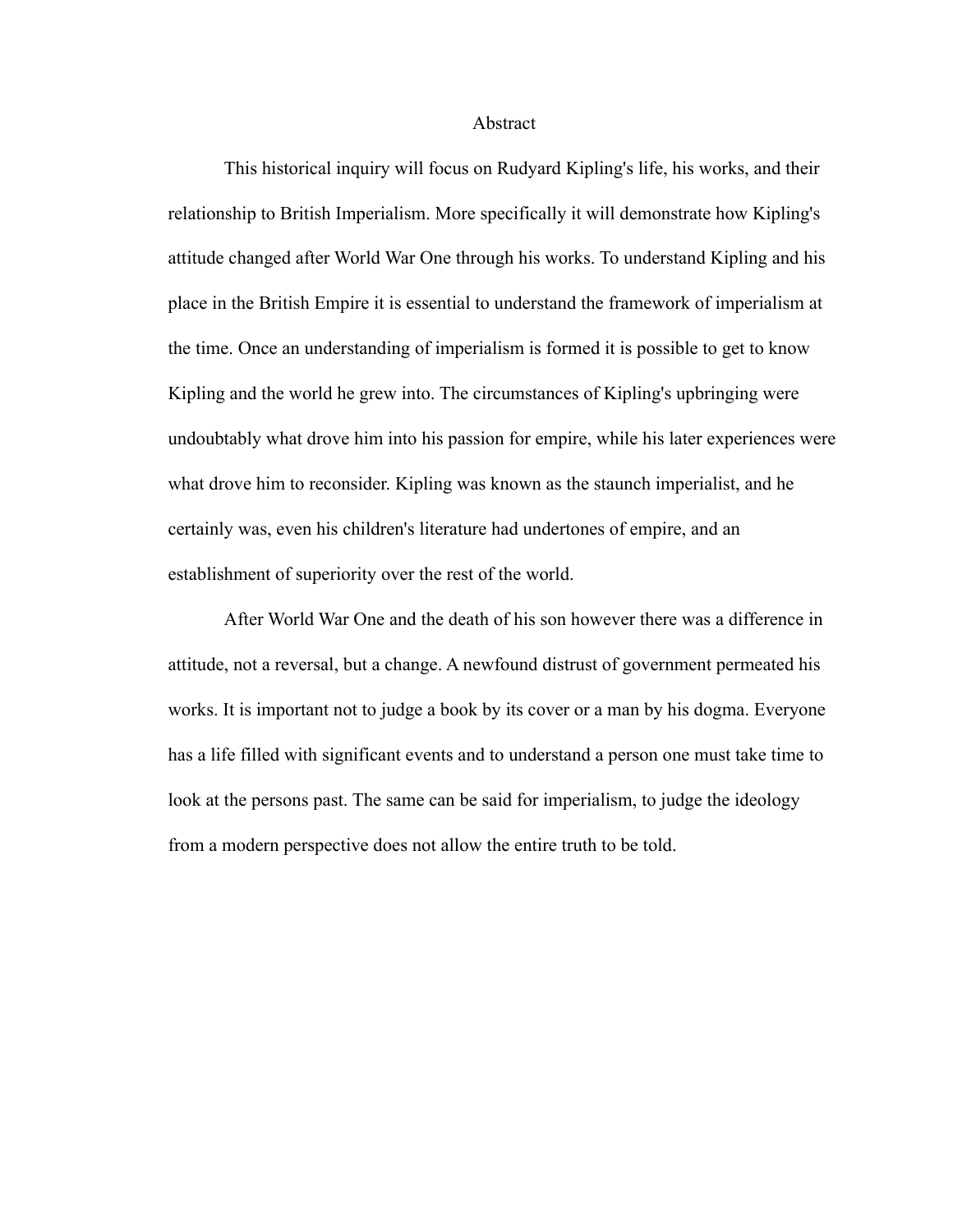Abstract

This historical inquiry will focus on Rudyard Kipling's life, his works, and their relationship to British Imperialism. More specifically it will demonstrate how Kipling's attitude changed after World War One through his works. To understand Kipling and his place in the British Empire it is essential to understand the framework of imperialism at the time. Once an understanding of imperialism is formed it is possible to get to know Kipling and the world he grew into. The circumstances of Kipling's upbringing were undoubtably what drove him into his passion for empire, while his later experiences were what drove him to reconsider. Kipling was known as the staunch imperialist, and he certainly was, even his children's literature had undertones of empire, and an establishment of superiority over the rest of the world.

After World War One and the death of his son however there was a difference in attitude, not a reversal, but a change. A newfound distrust of government permeated his works. It is important not to judge a book by its cover or a man by his dogma. Everyone has a life filled with significant events and to understand a person one must take time to look at the persons past. The same can be said for imperialism, to judge the ideology from a modern perspective does not allow the entire truth to be told.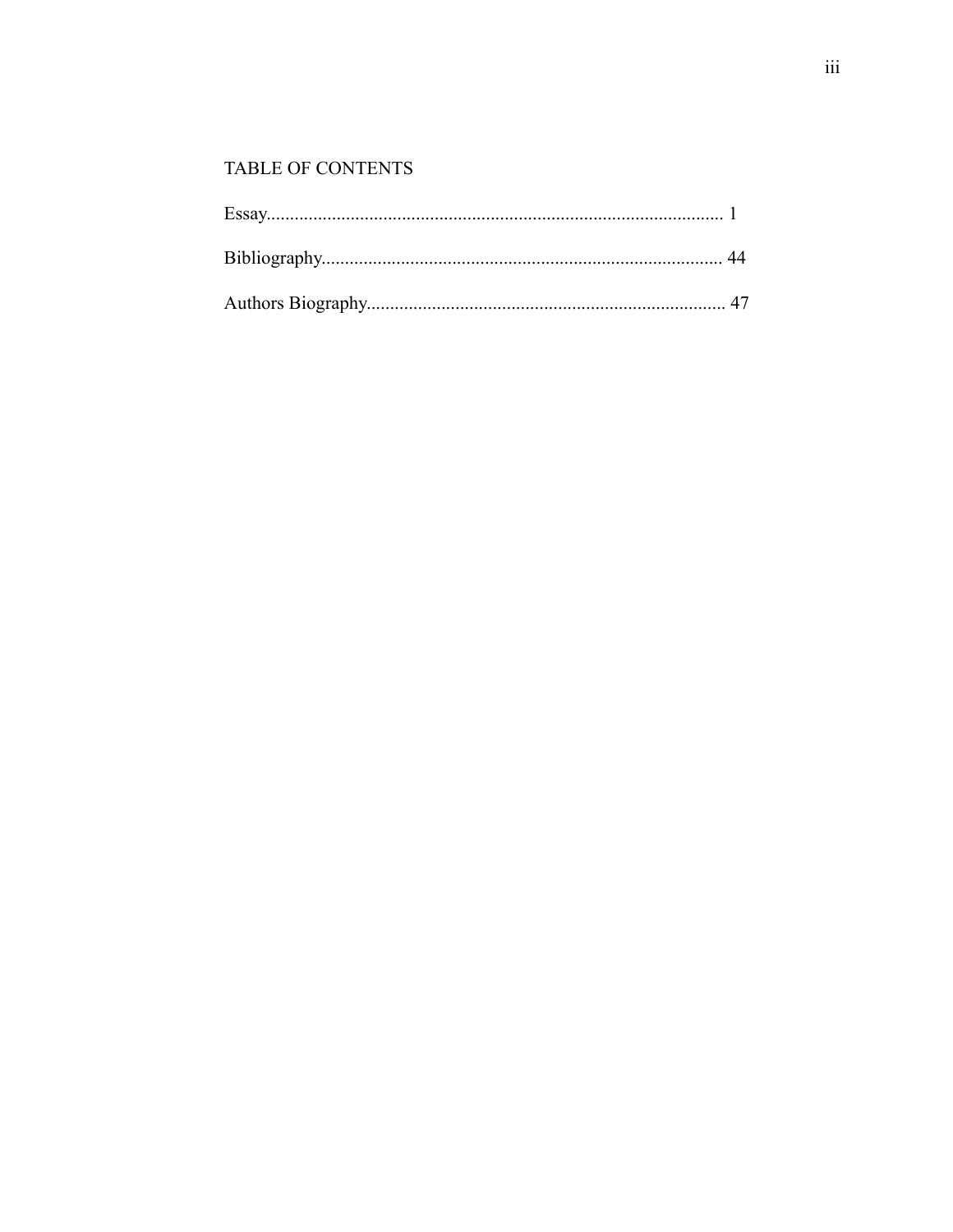## TABLE OF CONTENTS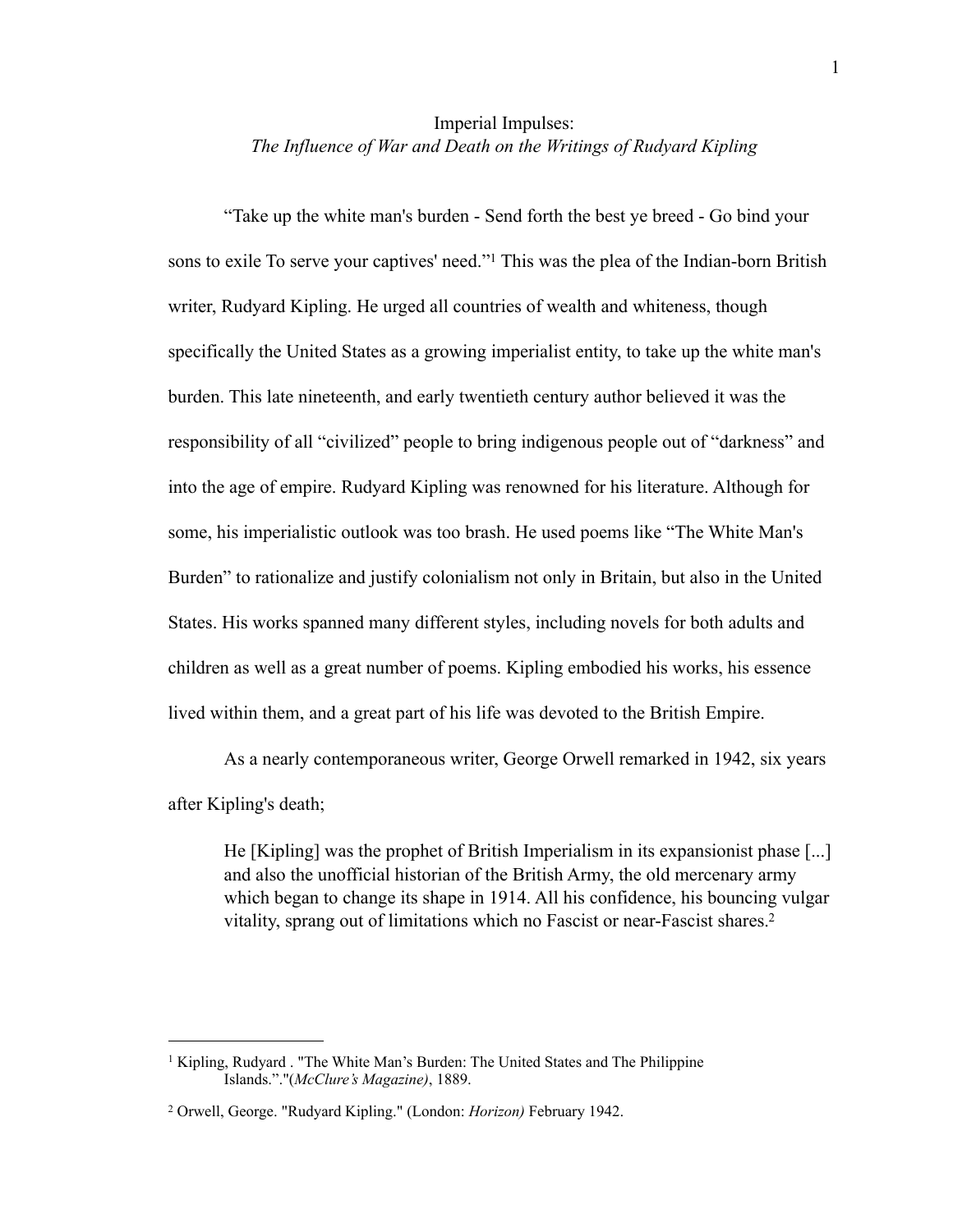#### Imperial Impulses: *The Influence of War and Death on the Writings of Rudyard Kipling*

"Take up the white man's burden - Send forth the best ye breed - Go bind your sons to exile To serve your captives' need."<sup>1</sup> This was the plea of the Indian-born British writer, Rudyard Kipling. He urged all countries of wealth and whiteness, though specifically the United States as a growing imperialist entity, to take up the white man's burden. This late nineteenth, and early twentieth century author believed it was the responsibility of all "civilized" people to bring indigenous people out of "darkness" and into the age of empire. Rudyard Kipling was renowned for his literature. Although for some, his imperialistic outlook was too brash. He used poems like "The White Man's Burden" to rationalize and justify colonialism not only in Britain, but also in the United States. His works spanned many different styles, including novels for both adults and children as well as a great number of poems. Kipling embodied his works, his essence lived within them, and a great part of his life was devoted to the British Empire.

As a nearly contemporaneous writer, George Orwell remarked in 1942, six years after Kipling's death;

He [Kipling] was the prophet of British Imperialism in its expansionist phase [...] and also the unofficial historian of the British Army, the old mercenary army which began to change its shape in 1914. All his confidence, his bouncing vulgar vitality, sprang out of limitations which no Fascist or near-Fascist shares[.2](#page-4-1)

<span id="page-4-0"></span><sup>&</sup>lt;sup>1</sup> Kipling, Rudyard . "The White Man's Burden: The United States and The Philippine Islands."."(*McClure's Magazine)*, 1889.

<span id="page-4-1"></span><sup>2</sup> Orwell, George. "Rudyard Kipling." (London: *Horizon)* February 1942.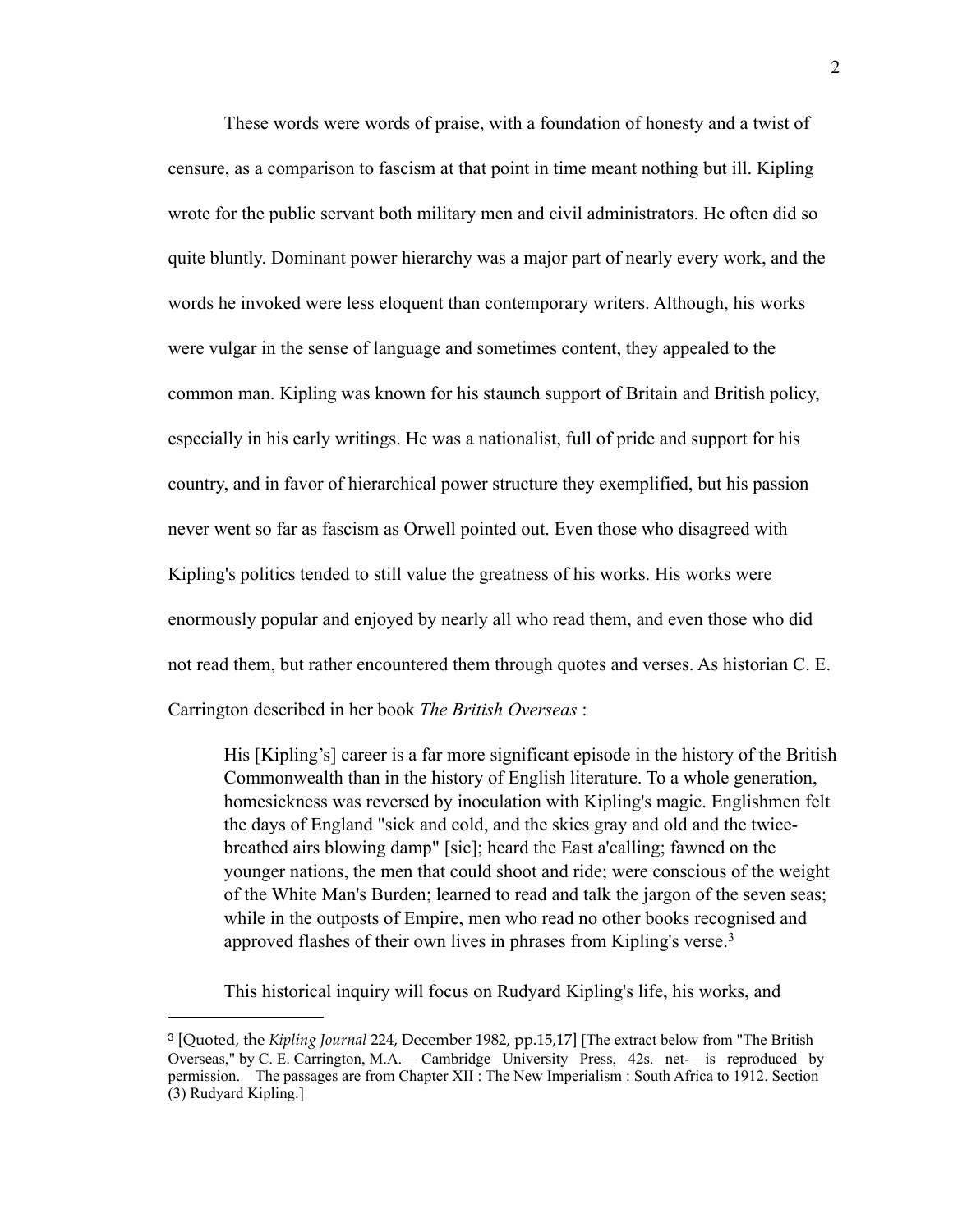These words were words of praise, with a foundation of honesty and a twist of censure, as a comparison to fascism at that point in time meant nothing but ill. Kipling wrote for the public servant both military men and civil administrators. He often did so quite bluntly. Dominant power hierarchy was a major part of nearly every work, and the words he invoked were less eloquent than contemporary writers. Although, his works were vulgar in the sense of language and sometimes content, they appealed to the common man. Kipling was known for his staunch support of Britain and British policy, especially in his early writings. He was a nationalist, full of pride and support for his country, and in favor of hierarchical power structure they exemplified, but his passion never went so far as fascism as Orwell pointed out. Even those who disagreed with Kipling's politics tended to still value the greatness of his works. His works were enormously popular and enjoyed by nearly all who read them, and even those who did not read them, but rather encountered them through quotes and verses. As historian C. E. Carrington described in her book *The British Overseas* :

His [Kipling's] career is a far more significant episode in the history of the British Commonwealth than in the history of English literature. To a whole generation, homesickness was reversed by inoculation with Kipling's magic. Englishmen felt the days of England "sick and cold, and the skies gray and old and the twicebreathed airs blowing damp" [sic]; heard the East a'calling; fawned on the younger nations, the men that could shoot and ride; were conscious of the weight of the White Man's Burden; learned to read and talk the jargon of the seven seas; while in the outposts of Empire, men who read no other books recognised and approved flashes of their own lives in phrases from Kipling's verse.[3](#page-5-0)

This historical inquiry will focus on Rudyard Kipling's life, his works, and

<span id="page-5-0"></span><sup>3</sup> [Quoted, the *Kipling Journal* 224, December 1982, pp.15,17] [The extract below from "The British Overseas," by C. E. Carrington, M.A.— Cambridge University Press, 42s. net-—is reproduced by permission. The passages are from Chapter XII : The New Imperialism : South Africa to 1912. Section (3) Rudyard Kipling.]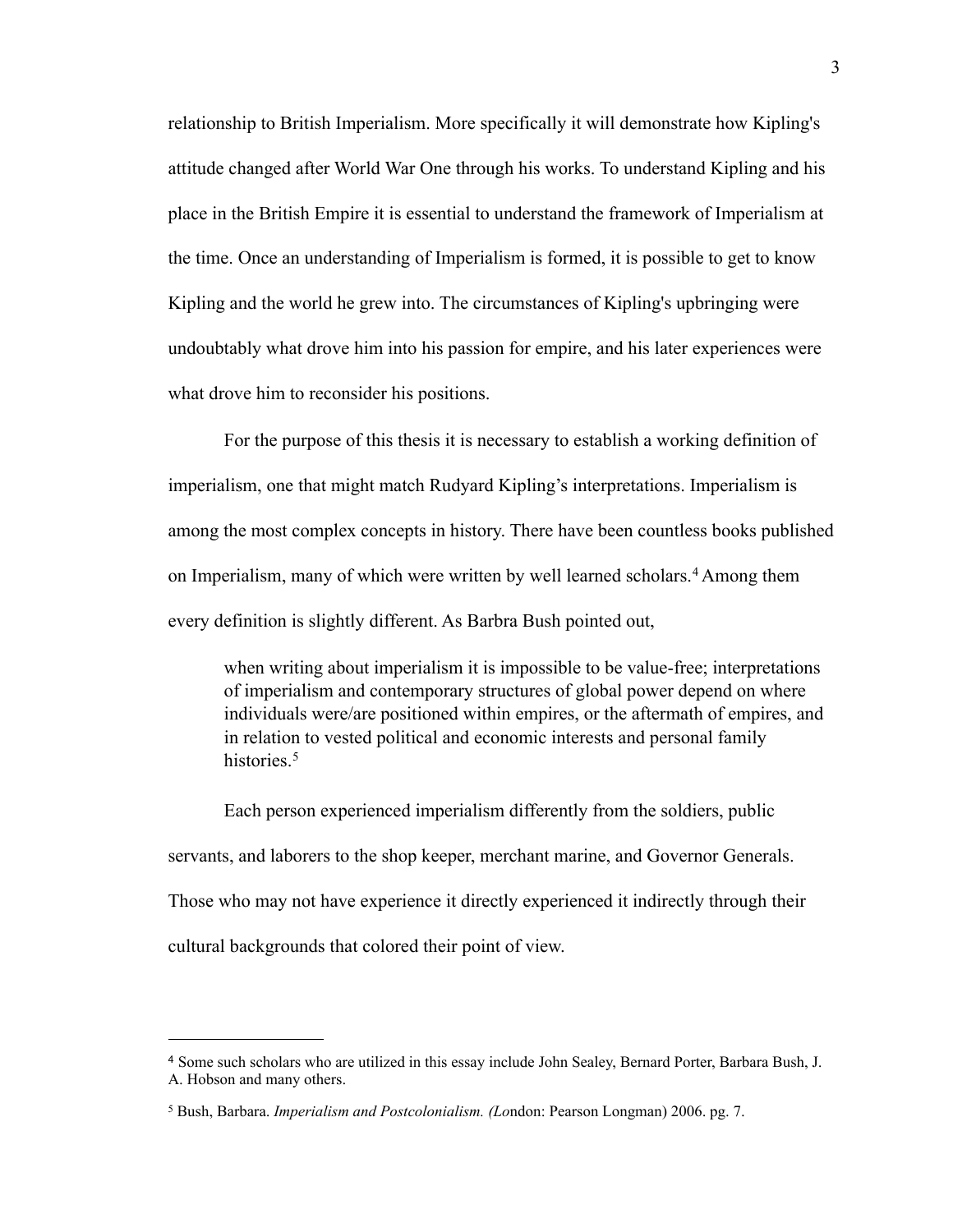relationship to British Imperialism. More specifically it will demonstrate how Kipling's attitude changed after World War One through his works. To understand Kipling and his place in the British Empire it is essential to understand the framework of Imperialism at the time. Once an understanding of Imperialism is formed, it is possible to get to know Kipling and the world he grew into. The circumstances of Kipling's upbringing were undoubtably what drove him into his passion for empire, and his later experiences were what drove him to reconsider his positions.

For the purpose of this thesis it is necessary to establish a working definition of imperialism, one that might match Rudyard Kipling's interpretations. Imperialism is among the most complex concepts in history. There have been countless books published on Imperialism, many of which were written by well learned scholars.<sup>[4](#page-6-0)</sup> Among them every definition is slightly different. As Barbra Bush pointed out,

when writing about imperialism it is impossible to be value-free; interpretations of imperialism and contemporary structures of global power depend on where individuals were/are positioned within empires, or the aftermath of empires, and in relation to vested political and economic interests and personal family histories<sup>[5](#page-6-1)</sup>

Each person experienced imperialism differently from the soldiers, public servants, and laborers to the shop keeper, merchant marine, and Governor Generals. Those who may not have experience it directly experienced it indirectly through their cultural backgrounds that colored their point of view.

<span id="page-6-0"></span><sup>4</sup> Some such scholars who are utilized in this essay include John Sealey, Bernard Porter, Barbara Bush, J. A. Hobson and many others.

<span id="page-6-1"></span><sup>5</sup> Bush, Barbara. *Imperialism and Postcolonialism. (Lo*ndon: Pearson Longman) 2006. pg. 7.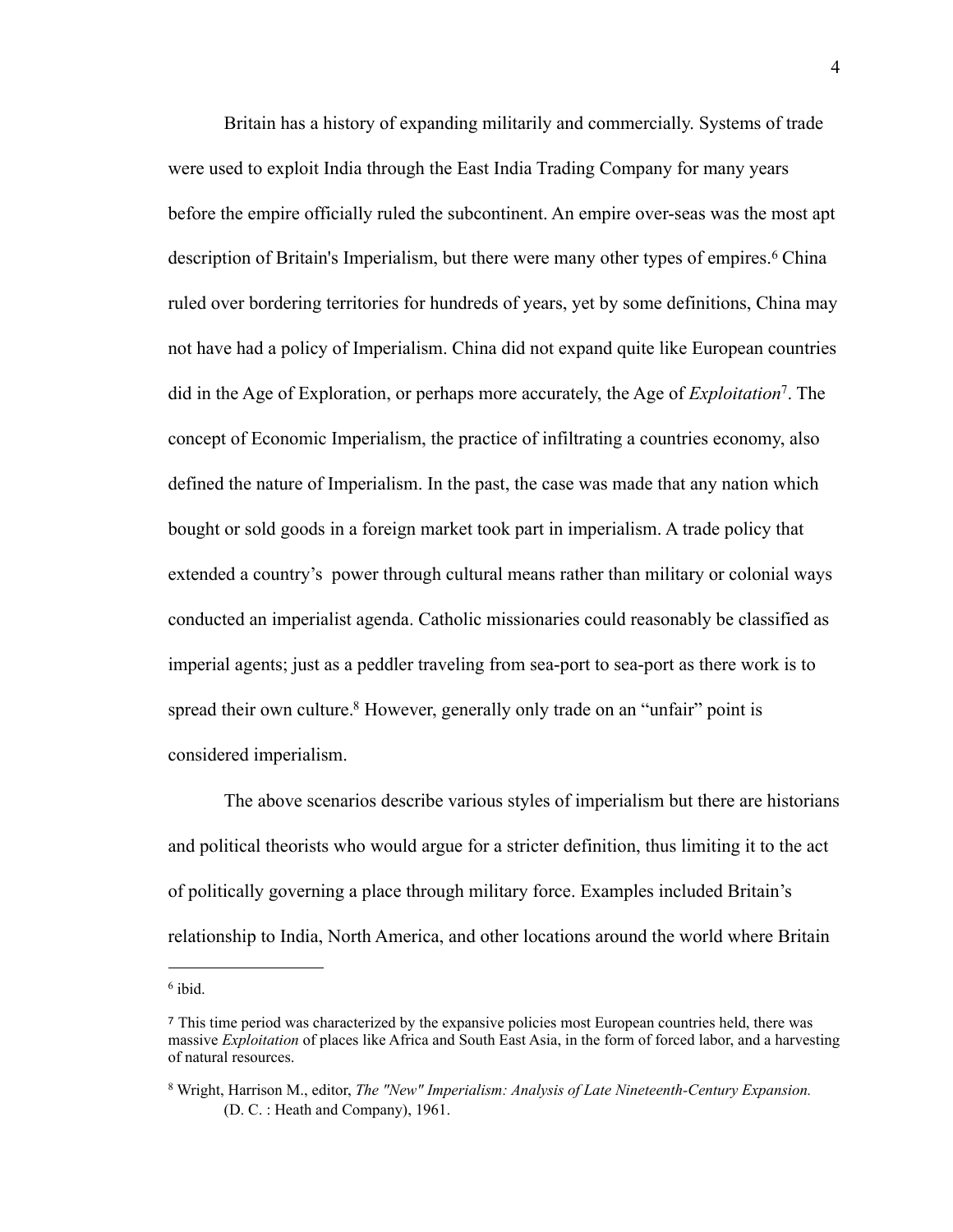Britain has a history of expanding militarily and commercially. Systems of trade were used to exploit India through the East India Trading Company for many years before the empire officially ruled the subcontinent. An empire over-seas was the most apt description of Britain's Imperialism, but there were many other types of empires.<sup>6</sup> China ruled over bordering territories for hundreds of years, yet by some definitions, China may not have had a policy of Imperialism. China did not expand quite like European countries did in the Age of Exploration, or perhaps more accurately, the Age of *Exploitation*[7](#page-7-1). The concept of Economic Imperialism, the practice of infiltrating a countries economy, also defined the nature of Imperialism. In the past, the case was made that any nation which bought or sold goods in a foreign market took part in imperialism. A trade policy that extended a country's power through cultural means rather than military or colonial ways conducted an imperialist agenda. Catholic missionaries could reasonably be classified as imperial agents; just as a peddler traveling from sea-port to sea-port as there work is to spread their own culture.<sup>8</sup> However, generally only trade on an "unfair" point is considered imperialism.

The above scenarios describe various styles of imperialism but there are historians and political theorists who would argue for a stricter definition, thus limiting it to the act of politically governing a place through military force. Examples included Britain's relationship to India, North America, and other locations around the world where Britain

<span id="page-7-0"></span><sup>6</sup> ibid.

<span id="page-7-1"></span><sup>7</sup> This time period was characterized by the expansive policies most European countries held, there was massive *Exploitation* of places like Africa and South East Asia, in the form of forced labor, and a harvesting of natural resources.

<span id="page-7-2"></span><sup>8</sup> Wright, Harrison M., editor, *The "New" Imperialism: Analysis of Late Nineteenth-Century Expansion.*  (D. C. : Heath and Company), 1961.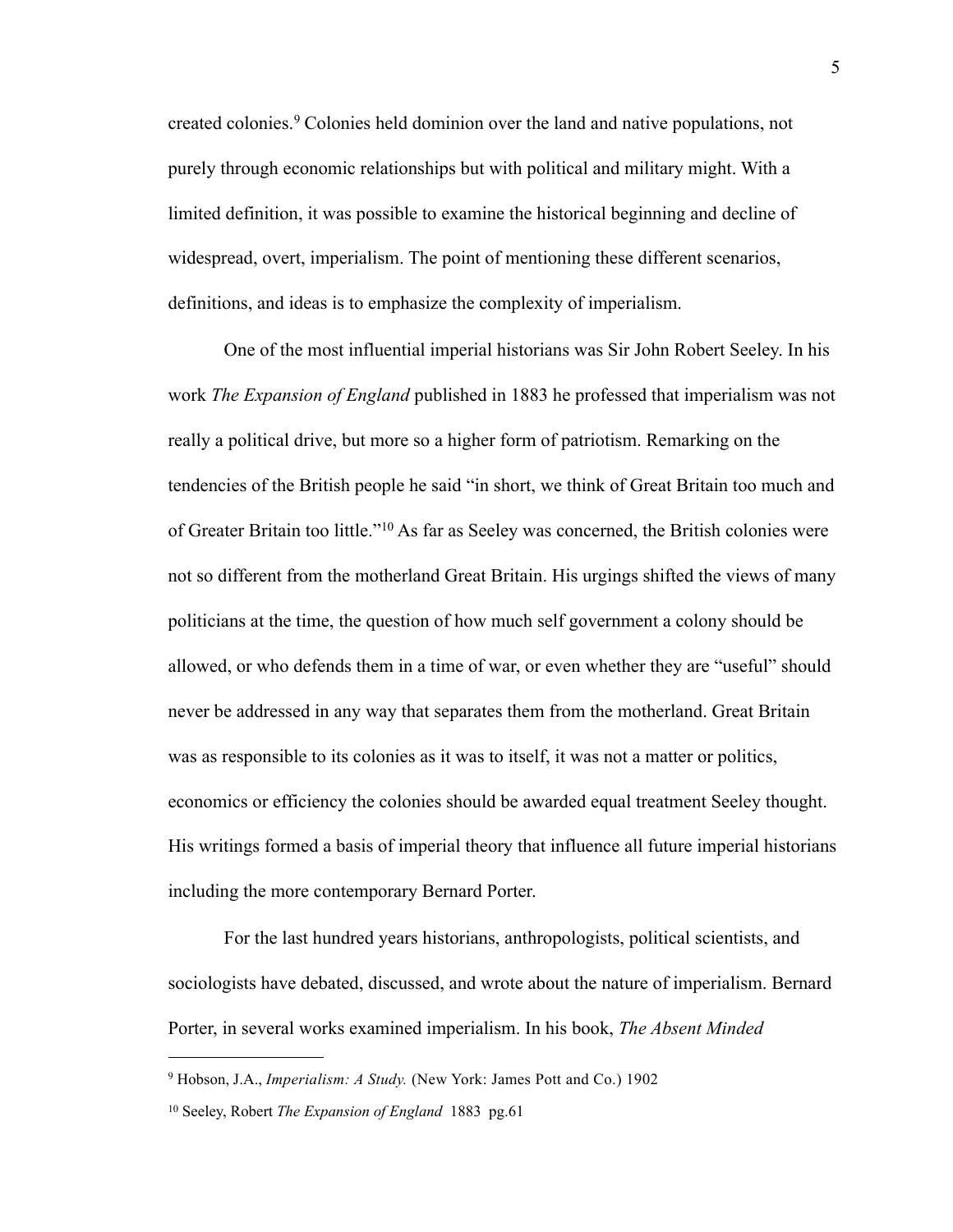created colonies.[9](#page-8-0) Colonies held dominion over the land and native populations, not purely through economic relationships but with political and military might. With a limited definition, it was possible to examine the historical beginning and decline of widespread, overt, imperialism. The point of mentioning these different scenarios, definitions, and ideas is to emphasize the complexity of imperialism.

One of the most influential imperial historians was Sir John Robert Seeley. In his work *The Expansion of England* published in 1883 he professed that imperialism was not really a political drive, but more so a higher form of patriotism. Remarking on the tendencies of the British people he said "in short, we think of Great Britain too much and of Greater Britain too little."[10](#page-8-1) As far as Seeley was concerned, the British colonies were not so different from the motherland Great Britain. His urgings shifted the views of many politicians at the time, the question of how much self government a colony should be allowed, or who defends them in a time of war, or even whether they are "useful" should never be addressed in any way that separates them from the motherland. Great Britain was as responsible to its colonies as it was to itself, it was not a matter or politics, economics or efficiency the colonies should be awarded equal treatment Seeley thought. His writings formed a basis of imperial theory that influence all future imperial historians including the more contemporary Bernard Porter.

For the last hundred years historians, anthropologists, political scientists, and sociologists have debated, discussed, and wrote about the nature of imperialism. Bernard Porter, in several works examined imperialism. In his book, *The Absent Minded* 

<span id="page-8-0"></span><sup>9</sup> Hobson, J.A., *Imperialism: A Study.* (New York: James Pott and Co.) 1902

<span id="page-8-1"></span><sup>10</sup> Seeley, Robert *The Expansion of England* 1883 pg.61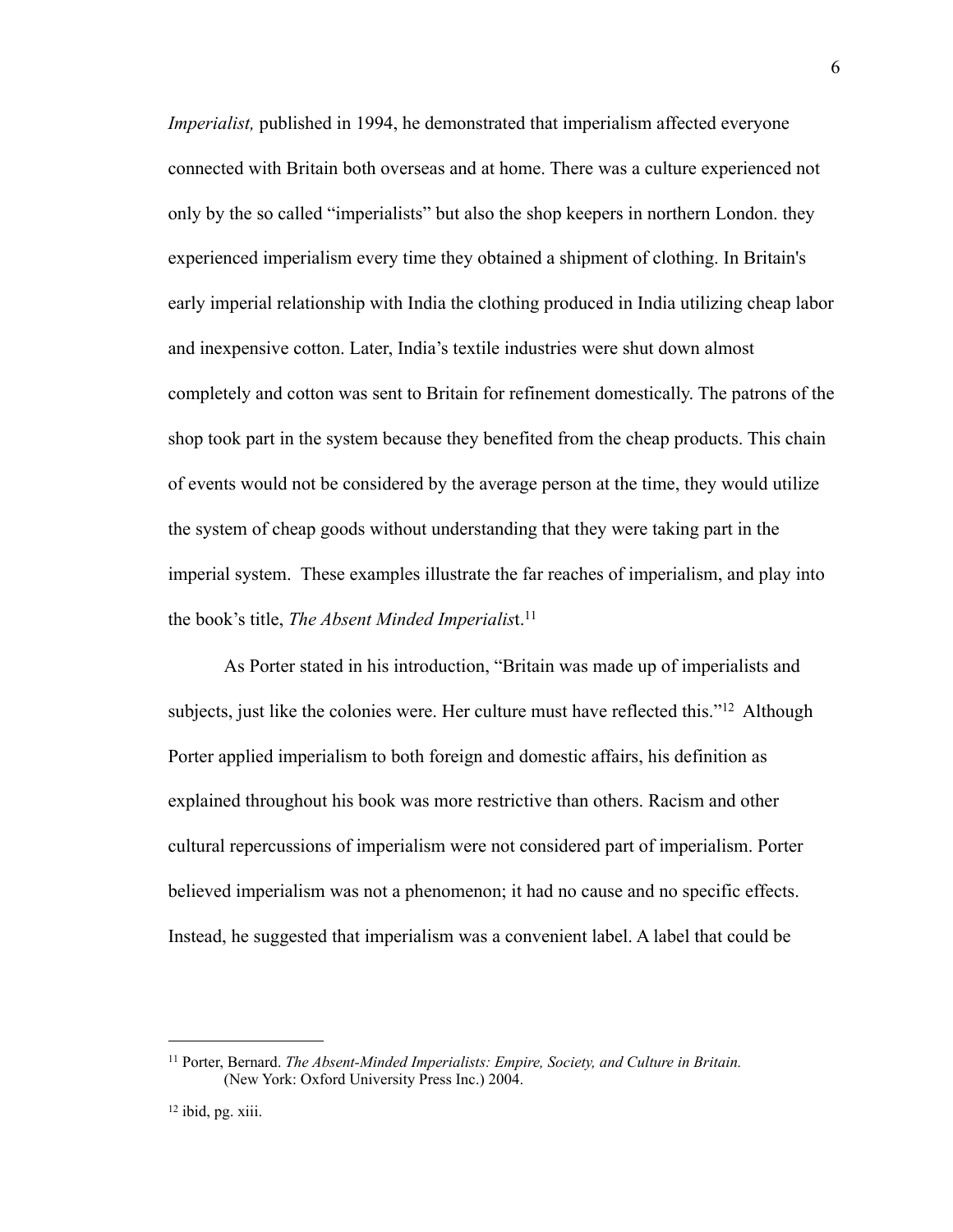*Imperialist,* published in 1994, he demonstrated that imperialism affected everyone connected with Britain both overseas and at home. There was a culture experienced not only by the so called "imperialists" but also the shop keepers in northern London. they experienced imperialism every time they obtained a shipment of clothing. In Britain's early imperial relationship with India the clothing produced in India utilizing cheap labor and inexpensive cotton. Later, India's textile industries were shut down almost completely and cotton was sent to Britain for refinement domestically. The patrons of the shop took part in the system because they benefited from the cheap products. This chain of events would not be considered by the average person at the time, they would utilize the system of cheap goods without understanding that they were taking part in the imperial system. These examples illustrate the far reaches of imperialism, and play into the book's title, *The Absent Minded Imperialist*.<sup>11</sup>

As Porter stated in his introduction, "Britain was made up of imperialists and subjects, just like the colonies were. Her culture must have reflected this."<sup>12</sup> Although Porter applied imperialism to both foreign and domestic affairs, his definition as explained throughout his book was more restrictive than others. Racism and other cultural repercussions of imperialism were not considered part of imperialism. Porter believed imperialism was not a phenomenon; it had no cause and no specific effects. Instead, he suggested that imperialism was a convenient label. A label that could be

<span id="page-9-0"></span><sup>11</sup> Porter, Bernard. *The Absent-Minded Imperialists: Empire, Society, and Culture in Britain.* (New York: Oxford University Press Inc.) 2004.

<span id="page-9-1"></span><sup>12</sup> ibid, pg. xiii.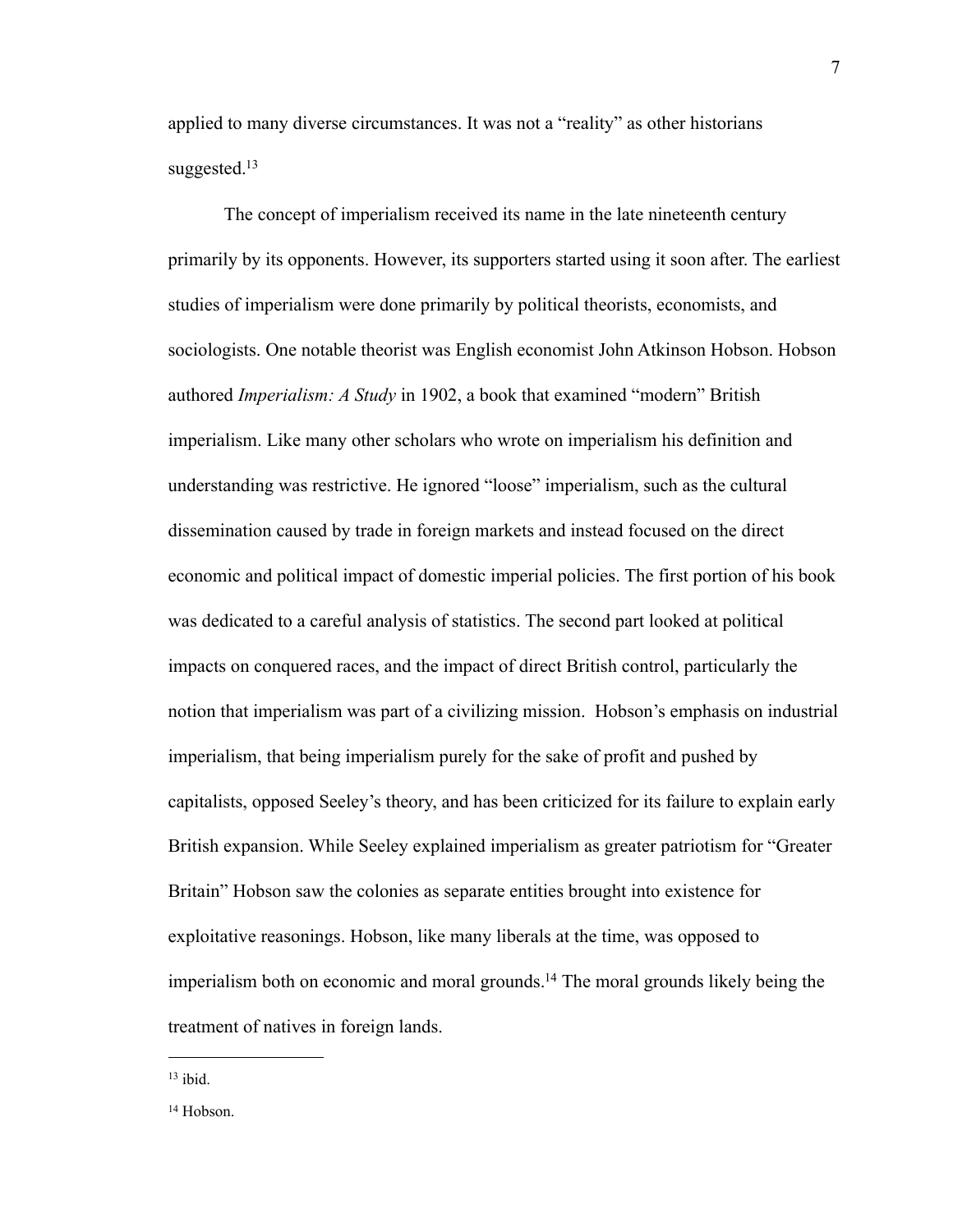applied to many diverse circumstances. It was not a "reality" as other historians suggested. $13$ 

The concept of imperialism received its name in the late nineteenth century primarily by its opponents. However, its supporters started using it soon after. The earliest studies of imperialism were done primarily by political theorists, economists, and sociologists. One notable theorist was English economist John Atkinson Hobson. Hobson authored *Imperialism: A Study* in 1902, a book that examined "modern" British imperialism. Like many other scholars who wrote on imperialism his definition and understanding was restrictive. He ignored "loose" imperialism, such as the cultural dissemination caused by trade in foreign markets and instead focused on the direct economic and political impact of domestic imperial policies. The first portion of his book was dedicated to a careful analysis of statistics. The second part looked at political impacts on conquered races, and the impact of direct British control, particularly the notion that imperialism was part of a civilizing mission. Hobson's emphasis on industrial imperialism, that being imperialism purely for the sake of profit and pushed by capitalists, opposed Seeley's theory, and has been criticized for its failure to explain early British expansion. While Seeley explained imperialism as greater patriotism for "Greater Britain" Hobson saw the colonies as separate entities brought into existence for exploitative reasonings. Hobson, like many liberals at the time, was opposed to imperialism both on economic and moral grounds[.14](#page-10-1) The moral grounds likely being the treatment of natives in foreign lands.

<span id="page-10-0"></span> $13$  ibid.

<span id="page-10-1"></span><sup>14</sup> Hobson.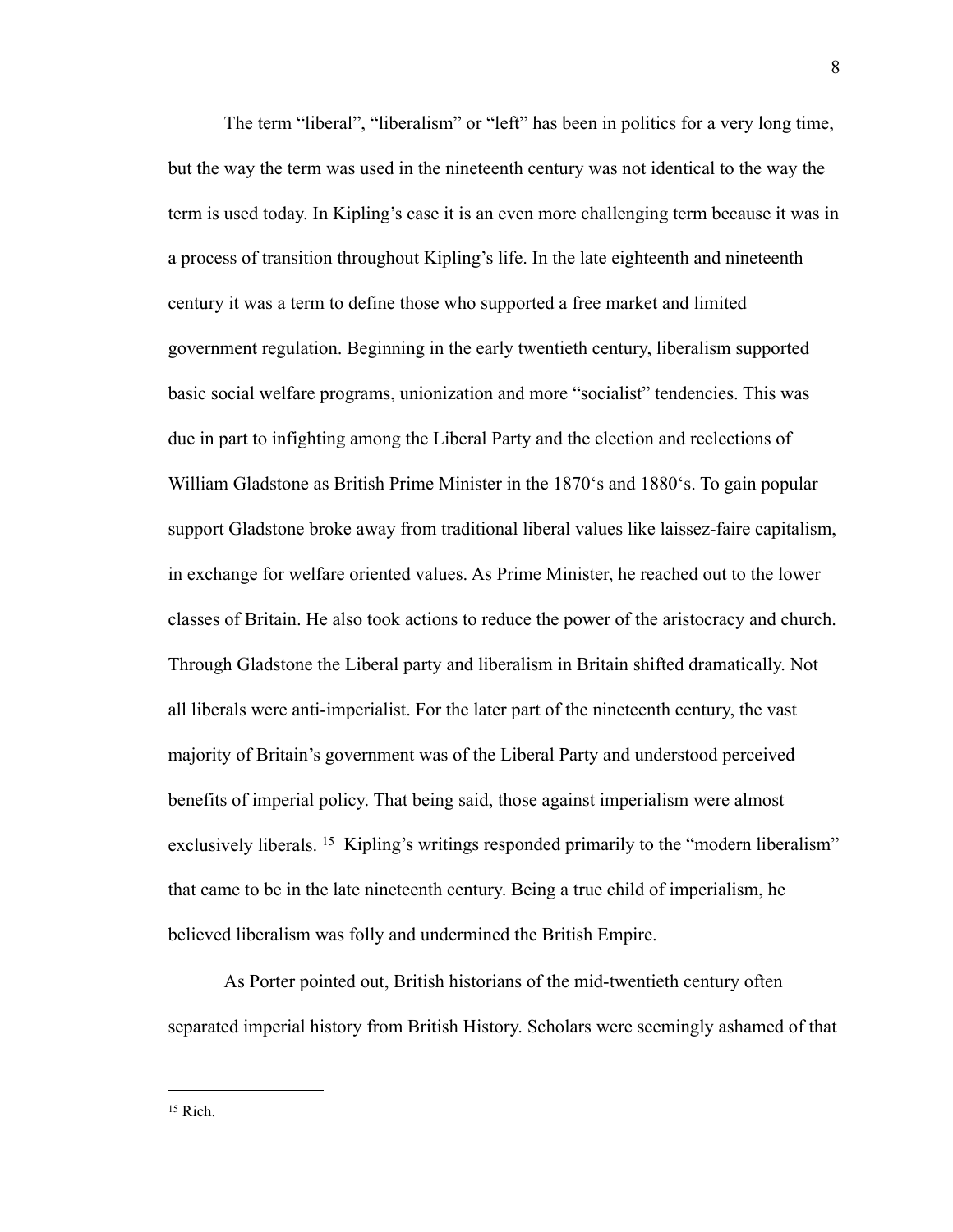The term "liberal", "liberalism" or "left" has been in politics for a very long time, but the way the term was used in the nineteenth century was not identical to the way the term is used today. In Kipling's case it is an even more challenging term because it was in a process of transition throughout Kipling's life. In the late eighteenth and nineteenth century it was a term to define those who supported a free market and limited government regulation. Beginning in the early twentieth century, liberalism supported basic social welfare programs, unionization and more "socialist" tendencies. This was due in part to infighting among the Liberal Party and the election and reelections of William Gladstone as British Prime Minister in the 1870's and 1880's. To gain popular support Gladstone broke away from traditional liberal values like laissez-faire capitalism, in exchange for welfare oriented values. As Prime Minister, he reached out to the lower classes of Britain. He also took actions to reduce the power of the aristocracy and church. Through Gladstone the Liberal party and liberalism in Britain shifted dramatically. Not all liberals were anti-imperialist. For the later part of the nineteenth century, the vast majority of Britain's government was of the Liberal Party and understood perceived benefits of imperial policy. That being said, those against imperialism were almost exclusively liberals. <sup>15</sup> Kipling's writings responded primarily to the "modern liberalism" that came to be in the late nineteenth century. Being a true child of imperialism, he believed liberalism was folly and undermined the British Empire.

As Porter pointed out, British historians of the mid-twentieth century often separated imperial history from British History. Scholars were seemingly ashamed of that

<span id="page-11-0"></span> $15$  Rich.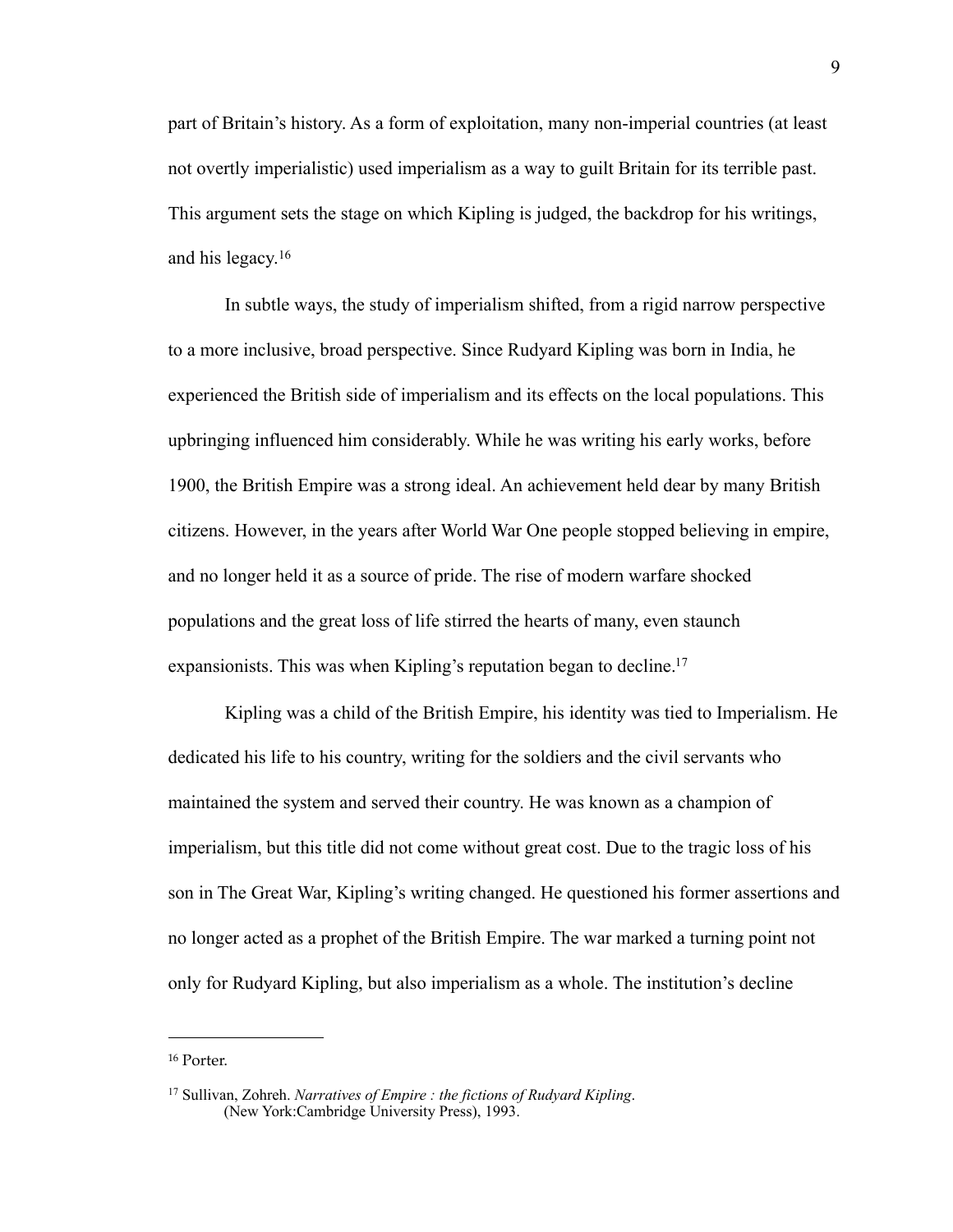part of Britain's history. As a form of exploitation, many non-imperial countries (at least not overtly imperialistic) used imperialism as a way to guilt Britain for its terrible past. This argument sets the stage on which Kipling is judged, the backdrop for his writings, and his legacy.[16](#page-12-0)

In subtle ways, the study of imperialism shifted, from a rigid narrow perspective to a more inclusive, broad perspective. Since Rudyard Kipling was born in India, he experienced the British side of imperialism and its effects on the local populations. This upbringing influenced him considerably. While he was writing his early works, before 1900, the British Empire was a strong ideal. An achievement held dear by many British citizens. However, in the years after World War One people stopped believing in empire, and no longer held it as a source of pride. The rise of modern warfare shocked populations and the great loss of life stirred the hearts of many, even staunch expansionists. This was when Kipling's reputation began to decline.<sup>17</sup>

Kipling was a child of the British Empire, his identity was tied to Imperialism. He dedicated his life to his country, writing for the soldiers and the civil servants who maintained the system and served their country. He was known as a champion of imperialism, but this title did not come without great cost. Due to the tragic loss of his son in The Great War, Kipling's writing changed. He questioned his former assertions and no longer acted as a prophet of the British Empire. The war marked a turning point not only for Rudyard Kipling, but also imperialism as a whole. The institution's decline

<span id="page-12-0"></span><sup>16</sup> Porter.

<span id="page-12-1"></span><sup>17</sup> Sullivan, Zohreh. *Narratives of Empire : the fictions of Rudyard Kipling*. (New York:Cambridge University Press), 1993.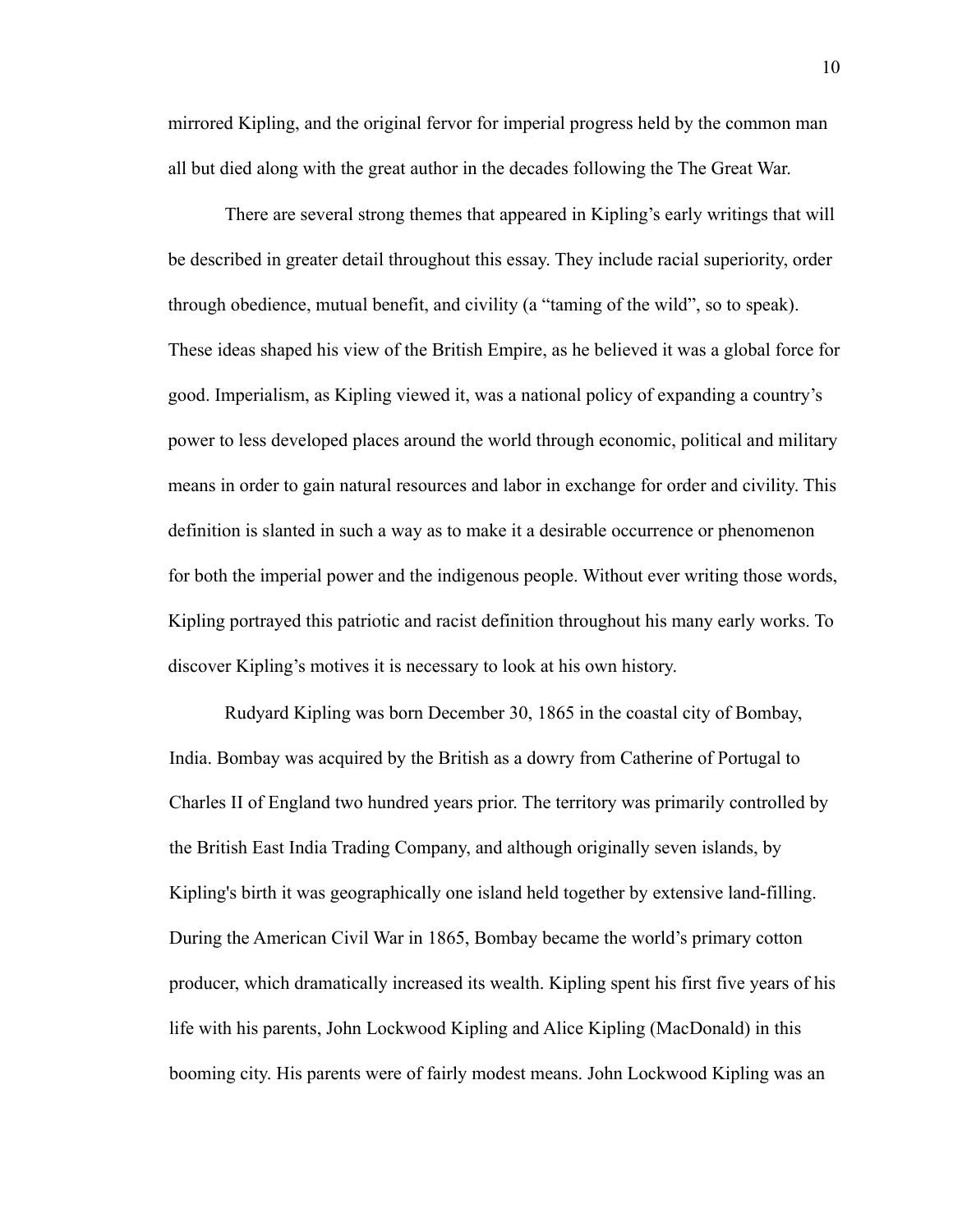mirrored Kipling, and the original fervor for imperial progress held by the common man all but died along with the great author in the decades following the The Great War.

There are several strong themes that appeared in Kipling's early writings that will be described in greater detail throughout this essay. They include racial superiority, order through obedience, mutual benefit, and civility (a "taming of the wild", so to speak). These ideas shaped his view of the British Empire, as he believed it was a global force for good. Imperialism, as Kipling viewed it, was a national policy of expanding a country's power to less developed places around the world through economic, political and military means in order to gain natural resources and labor in exchange for order and civility. This definition is slanted in such a way as to make it a desirable occurrence or phenomenon for both the imperial power and the indigenous people. Without ever writing those words, Kipling portrayed this patriotic and racist definition throughout his many early works. To discover Kipling's motives it is necessary to look at his own history.

Rudyard Kipling was born December 30, 1865 in the coastal city of Bombay, India. Bombay was acquired by the British as a dowry from Catherine of Portugal to Charles II of England two hundred years prior. The territory was primarily controlled by the British East India Trading Company, and although originally seven islands, by Kipling's birth it was geographically one island held together by extensive land-filling. During the American Civil War in 1865, Bombay became the world's primary cotton producer, which dramatically increased its wealth. Kipling spent his first five years of his life with his parents, John Lockwood Kipling and Alice Kipling (MacDonald) in this booming city. His parents were of fairly modest means. John Lockwood Kipling was an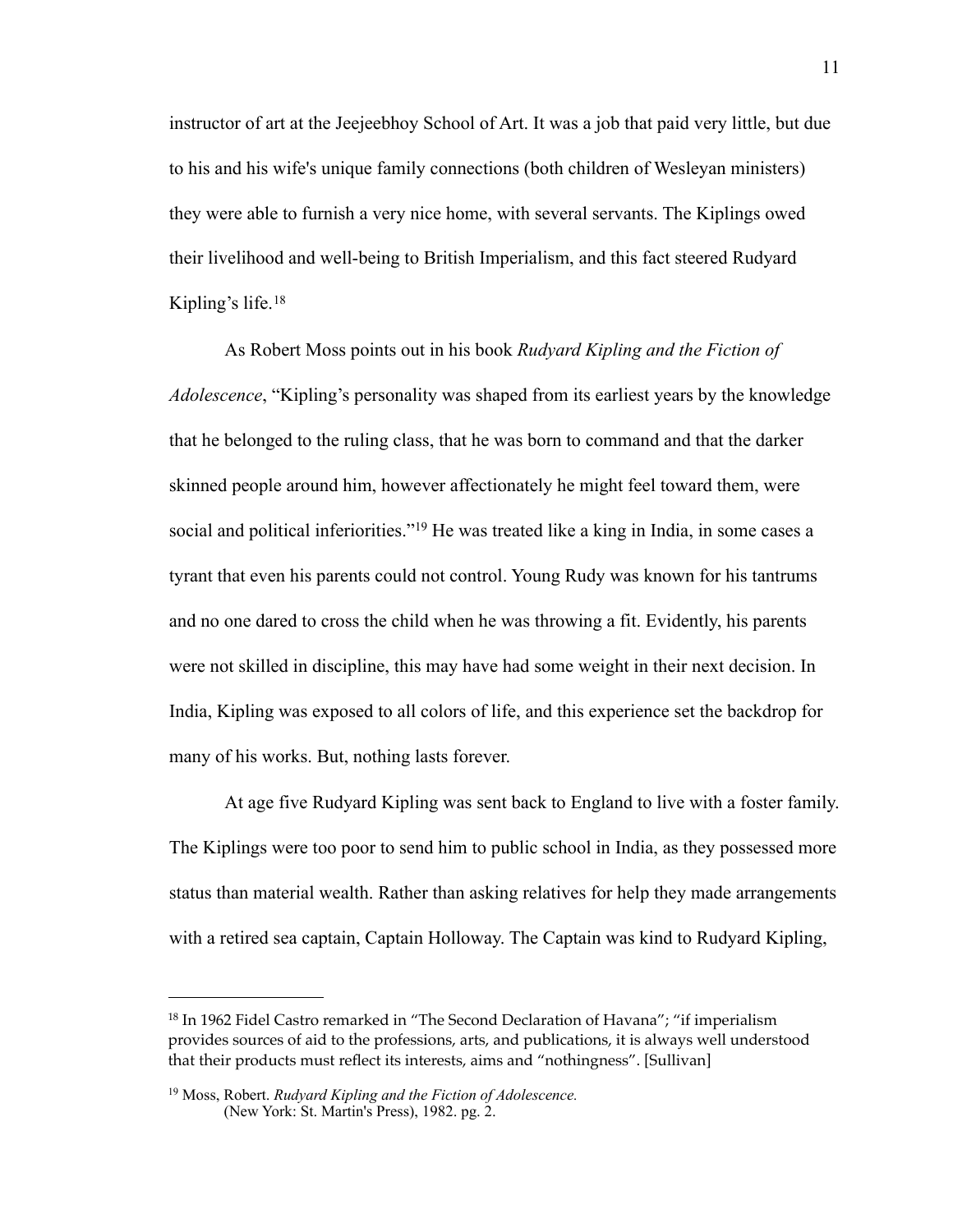instructor of art at the Jeejeebhoy School of Art. It was a job that paid very little, but due to his and his wife's unique family connections (both children of Wesleyan ministers) they were able to furnish a very nice home, with several servants. The Kiplings owed their livelihood and well-being to British Imperialism, and this fact steered Rudyard Kipling's life.[18](#page-14-0)

As Robert Moss points out in his book *Rudyard Kipling and the Fiction of Adolescence*, "Kipling's personality was shaped from its earliest years by the knowledge that he belonged to the ruling class, that he was born to command and that the darker skinned people around him, however affectionately he might feel toward them, were social and political inferiorities."<sup>19</sup> He was treated like a king in India, in some cases a tyrant that even his parents could not control. Young Rudy was known for his tantrums and no one dared to cross the child when he was throwing a fit. Evidently, his parents were not skilled in discipline, this may have had some weight in their next decision. In India, Kipling was exposed to all colors of life, and this experience set the backdrop for many of his works. But, nothing lasts forever.

At age five Rudyard Kipling was sent back to England to live with a foster family. The Kiplings were too poor to send him to public school in India, as they possessed more status than material wealth. Rather than asking relatives for help they made arrangements with a retired sea captain, Captain Holloway. The Captain was kind to Rudyard Kipling,

<span id="page-14-0"></span><sup>18</sup> In 1962 Fidel Castro remarked in "The Second Declaration of Havana"; "if imperialism provides sources of aid to the professions, arts, and publications, it is always well understood that their products must reflect its interests, aims and "nothingness". [Sullivan]

<span id="page-14-1"></span><sup>19</sup> Moss, Robert. *Rudyard Kipling and the Fiction of Adolescence.*  (New York: St. Martin's Press), 1982. pg. 2.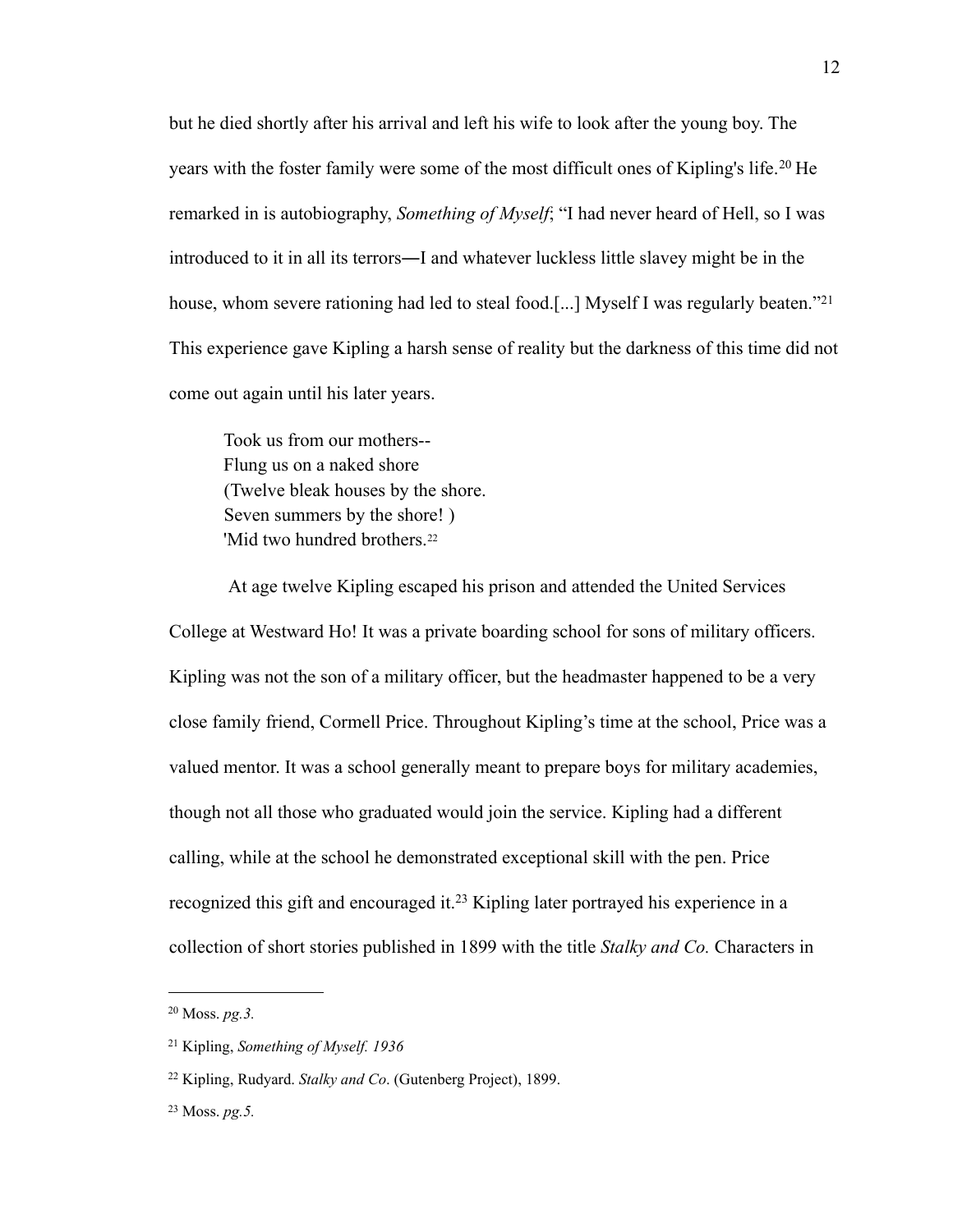but he died shortly after his arrival and left his wife to look after the young boy. The years with the foster family were some of the most difficult ones of Kipling's life.<sup>[20](#page-15-0)</sup> He remarked in is autobiography, *Something of Myself*; "I had never heard of Hell, so I was introduced to it in all its terrors―I and whatever luckless little slavey might be in the house, whom severe rationing had led to steal food.[...] Myself I was regularly beaten."<sup>[21](#page-15-1)</sup> This experience gave Kipling a harsh sense of reality but the darkness of this time did not come out again until his later years.

Took us from our mothers-- Flung us on a naked shore (Twelve bleak houses by the shore. Seven summers by the shore! ) 'Mid two hundred brothers.<sup>[22](#page-15-2)</sup>

 At age twelve Kipling escaped his prison and attended the United Services College at Westward Ho! It was a private boarding school for sons of military officers. Kipling was not the son of a military officer, but the headmaster happened to be a very close family friend, Cormell Price. Throughout Kipling's time at the school, Price was a valued mentor. It was a school generally meant to prepare boys for military academies, though not all those who graduated would join the service. Kipling had a different calling, while at the school he demonstrated exceptional skill with the pen. Price recognized this gift and encouraged it.[23](#page-15-3) Kipling later portrayed his experience in a collection of short stories published in 1899 with the title *Stalky and Co.* Characters in

<span id="page-15-0"></span><sup>20</sup> Moss. *pg.3.*

<span id="page-15-1"></span><sup>21</sup> Kipling, *Something of Myself. 1936*

<span id="page-15-2"></span><sup>22</sup> Kipling, Rudyard. *Stalky and Co*. (Gutenberg Project), 1899.

<span id="page-15-3"></span><sup>23</sup> Moss. *pg.5.*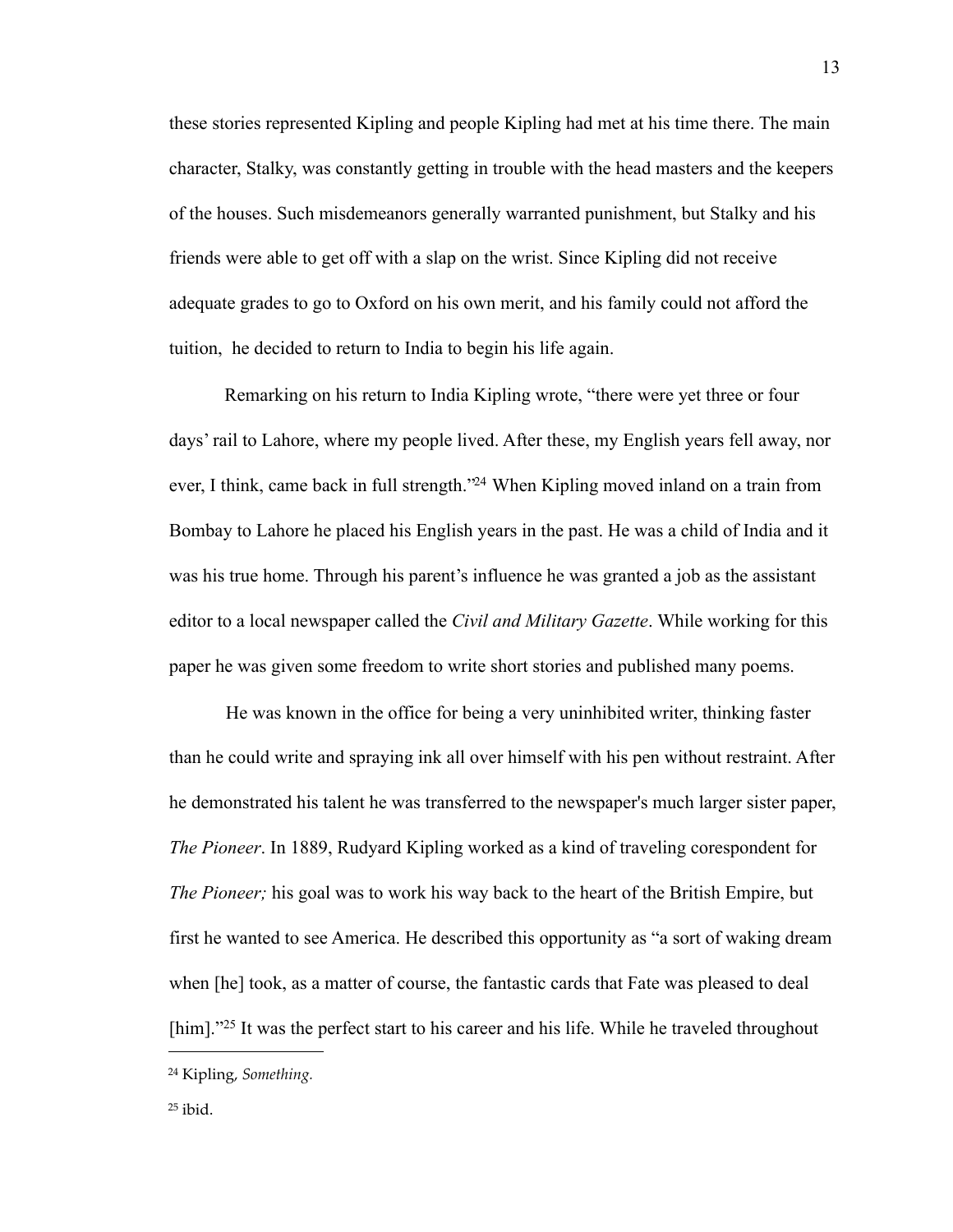these stories represented Kipling and people Kipling had met at his time there. The main character, Stalky, was constantly getting in trouble with the head masters and the keepers of the houses. Such misdemeanors generally warranted punishment, but Stalky and his friends were able to get off with a slap on the wrist. Since Kipling did not receive adequate grades to go to Oxford on his own merit, and his family could not afford the tuition, he decided to return to India to begin his life again.

Remarking on his return to India Kipling wrote, "there were yet three or four days' rail to Lahore, where my people lived. After these, my English years fell away, nor ever, I think, came back in full strength.["24](#page-16-0) When Kipling moved inland on a train from Bombay to Lahore he placed his English years in the past. He was a child of India and it was his true home. Through his parent's influence he was granted a job as the assistant editor to a local newspaper called the *Civil and Military Gazette*. While working for this paper he was given some freedom to write short stories and published many poems.

He was known in the office for being a very uninhibited writer, thinking faster than he could write and spraying ink all over himself with his pen without restraint. After he demonstrated his talent he was transferred to the newspaper's much larger sister paper, *The Pioneer*. In 1889, Rudyard Kipling worked as a kind of traveling corespondent for *The Pioneer;* his goal was to work his way back to the heart of the British Empire, but first he wanted to see America. He described this opportunity as "a sort of waking dream when [he] took, as a matter of course, the fantastic cards that Fate was pleased to deal [him]."<sup>25</sup> It was the perfect start to his career and his life. While he traveled throughout

<span id="page-16-0"></span><sup>24</sup> Kipling, *Something.*

<span id="page-16-1"></span> $25$  ibid.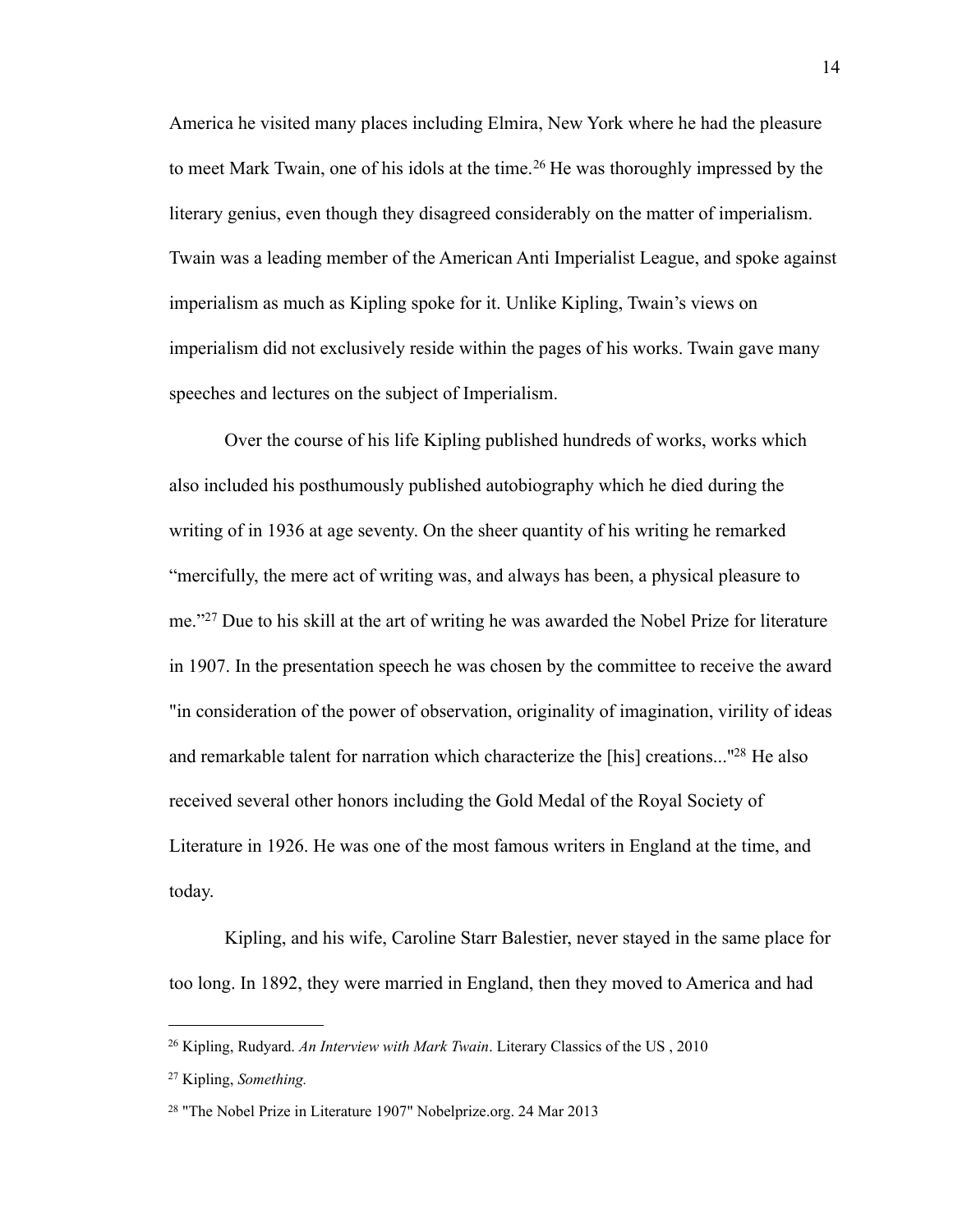America he visited many places including Elmira, New York where he had the pleasure to meet Mark Twain, one of his idols at the time.<sup>[26](#page-17-0)</sup> He was thoroughly impressed by the literary genius, even though they disagreed considerably on the matter of imperialism. Twain was a leading member of the American Anti Imperialist League, and spoke against imperialism as much as Kipling spoke for it. Unlike Kipling, Twain's views on imperialism did not exclusively reside within the pages of his works. Twain gave many speeches and lectures on the subject of Imperialism.

Over the course of his life Kipling published hundreds of works, works which also included his posthumously published autobiography which he died during the writing of in 1936 at age seventy. On the sheer quantity of his writing he remarked "mercifully, the mere act of writing was, and always has been, a physical pleasure to me."[27](#page-17-1) Due to his skill at the art of writing he was awarded the Nobel Prize for literature in 1907. In the presentation speech he was chosen by the committee to receive the award "in consideration of the power of observation, originality of imagination, virility of ideas and remarkable talent for narration which characterize the [his] creations...["28](#page-17-2) He also received several other honors including the Gold Medal of the Royal Society of Literature in 1926. He was one of the most famous writers in England at the time, and today.

Kipling, and his wife, Caroline Starr Balestier, never stayed in the same place for too long. In 1892, they were married in England, then they moved to America and had

<span id="page-17-0"></span><sup>26</sup> Kipling, Rudyard. *An Interview with Mark Twain*. Literary Classics of the US , 2010

<span id="page-17-1"></span><sup>27</sup> Kipling, *Something.*

<span id="page-17-2"></span><sup>28 &</sup>quot;The Nobel Prize in Literature 1907" Nobelprize.org. 24 Mar 2013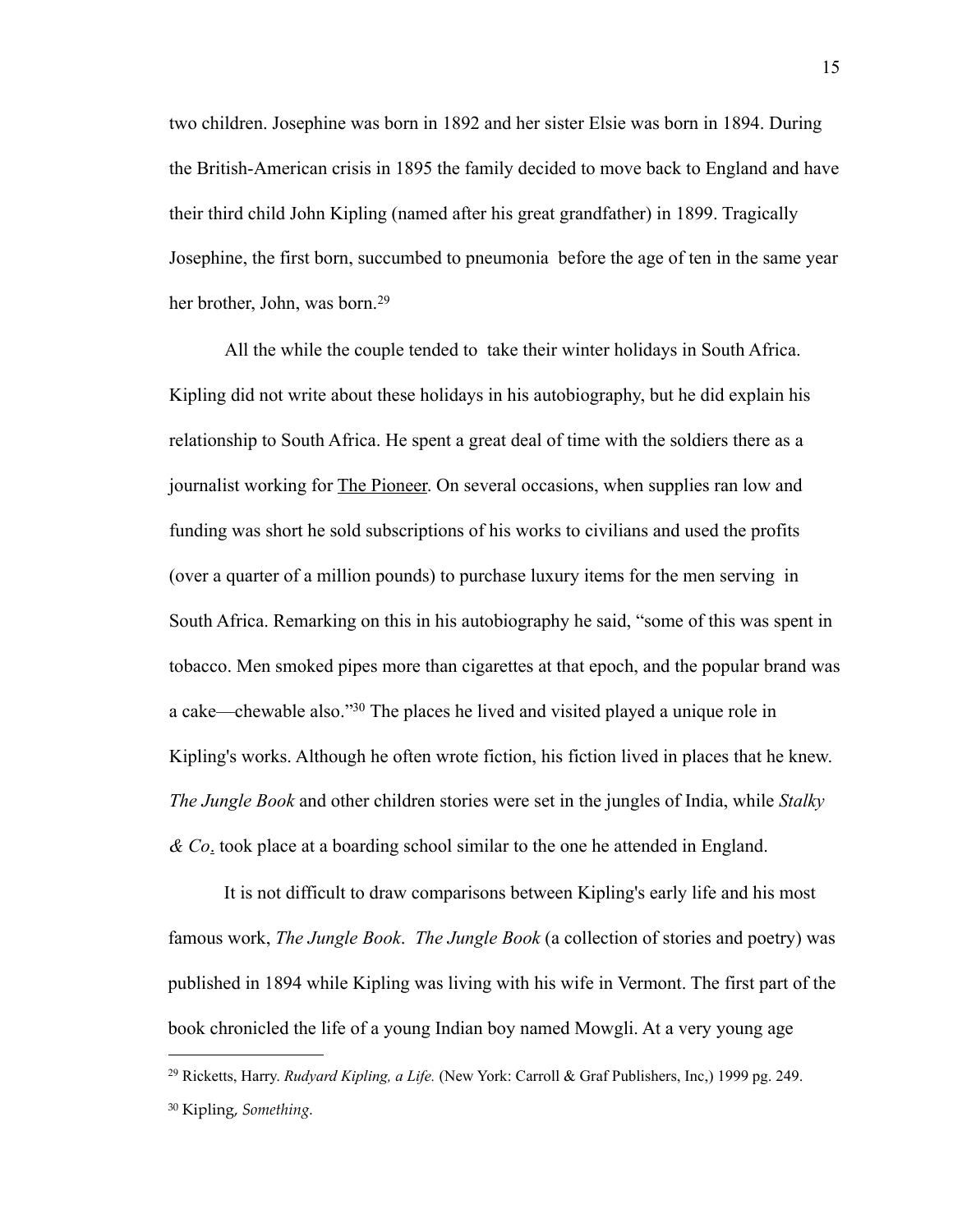two children. Josephine was born in 1892 and her sister Elsie was born in 1894. During the British-American crisis in 1895 the family decided to move back to England and have their third child John Kipling (named after his great grandfather) in 1899. Tragically Josephine, the first born, succumbed to pneumonia before the age of ten in the same year her brother, John, was born.<sup>[29](#page-18-0)</sup>

All the while the couple tended to take their winter holidays in South Africa. Kipling did not write about these holidays in his autobiography, but he did explain his relationship to South Africa. He spent a great deal of time with the soldiers there as a journalist working for The Pioneer. On several occasions, when supplies ran low and funding was short he sold subscriptions of his works to civilians and used the profits (over a quarter of a million pounds) to purchase luxury items for the men serving in South Africa. Remarking on this in his autobiography he said, "some of this was spent in tobacco. Men smoked pipes more than cigarettes at that epoch, and the popular brand was a cake—chewable also."[30](#page-18-1) The places he lived and visited played a unique role in Kipling's works. Although he often wrote fiction, his fiction lived in places that he knew. *The Jungle Book* and other children stories were set in the jungles of India, while *Stalky & Co*. took place at a boarding school similar to the one he attended in England.

It is not difficult to draw comparisons between Kipling's early life and his most famous work, *The Jungle Book*. *The Jungle Book* (a collection of stories and poetry) was published in 1894 while Kipling was living with his wife in Vermont. The first part of the book chronicled the life of a young Indian boy named Mowgli. At a very young age

<span id="page-18-1"></span><span id="page-18-0"></span><sup>29</sup> Ricketts, Harry. *Rudyard Kipling, a Life.* (New York: Carroll & Graf Publishers, Inc,) 1999 pg. 249. 30 Kipling, *Something.*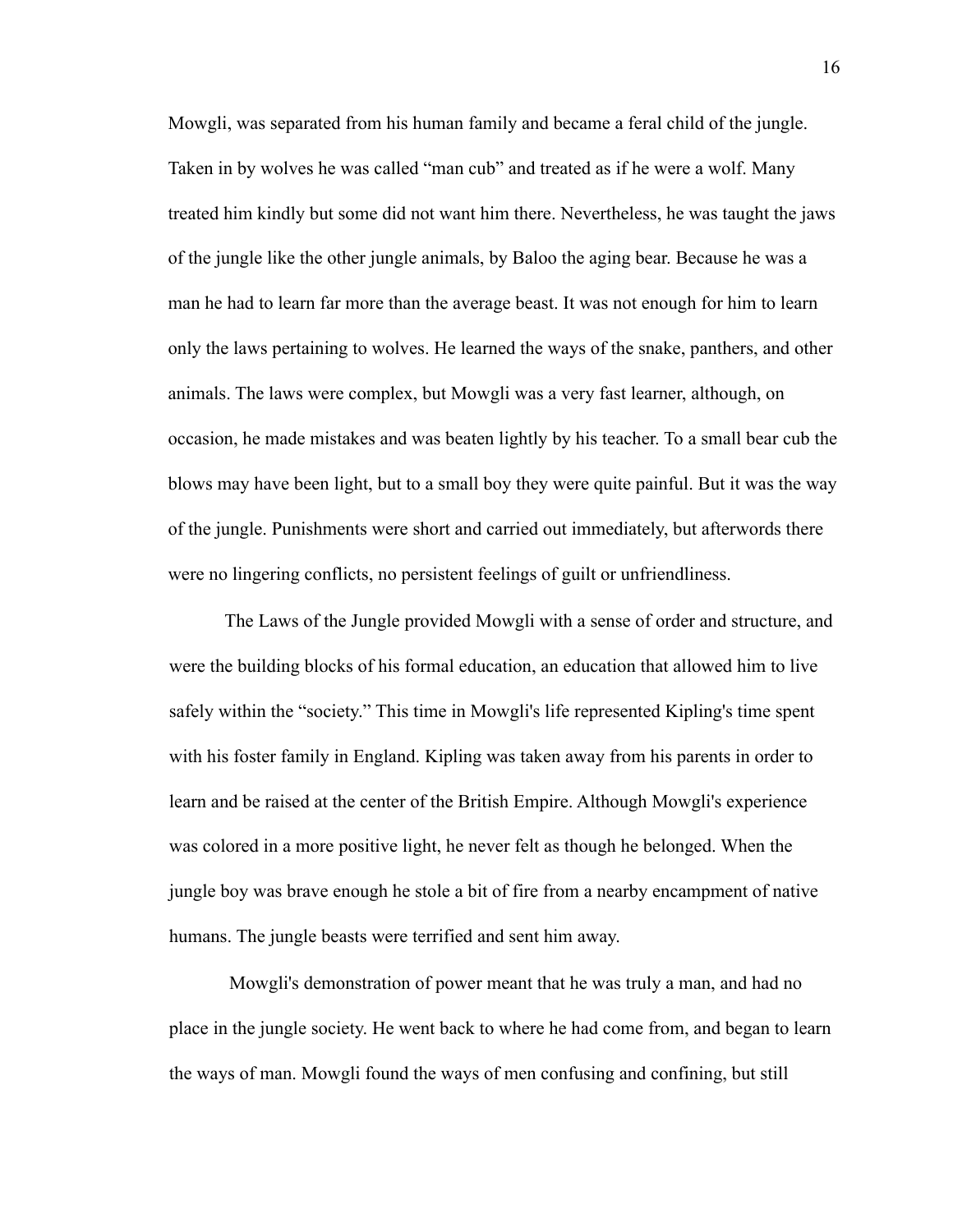Mowgli, was separated from his human family and became a feral child of the jungle. Taken in by wolves he was called "man cub" and treated as if he were a wolf. Many treated him kindly but some did not want him there. Nevertheless, he was taught the jaws of the jungle like the other jungle animals, by Baloo the aging bear. Because he was a man he had to learn far more than the average beast. It was not enough for him to learn only the laws pertaining to wolves. He learned the ways of the snake, panthers, and other animals. The laws were complex, but Mowgli was a very fast learner, although, on occasion, he made mistakes and was beaten lightly by his teacher. To a small bear cub the blows may have been light, but to a small boy they were quite painful. But it was the way of the jungle. Punishments were short and carried out immediately, but afterwords there were no lingering conflicts, no persistent feelings of guilt or unfriendliness.

The Laws of the Jungle provided Mowgli with a sense of order and structure, and were the building blocks of his formal education, an education that allowed him to live safely within the "society." This time in Mowgli's life represented Kipling's time spent with his foster family in England. Kipling was taken away from his parents in order to learn and be raised at the center of the British Empire. Although Mowgli's experience was colored in a more positive light, he never felt as though he belonged. When the jungle boy was brave enough he stole a bit of fire from a nearby encampment of native humans. The jungle beasts were terrified and sent him away.

 Mowgli's demonstration of power meant that he was truly a man, and had no place in the jungle society. He went back to where he had come from, and began to learn the ways of man. Mowgli found the ways of men confusing and confining, but still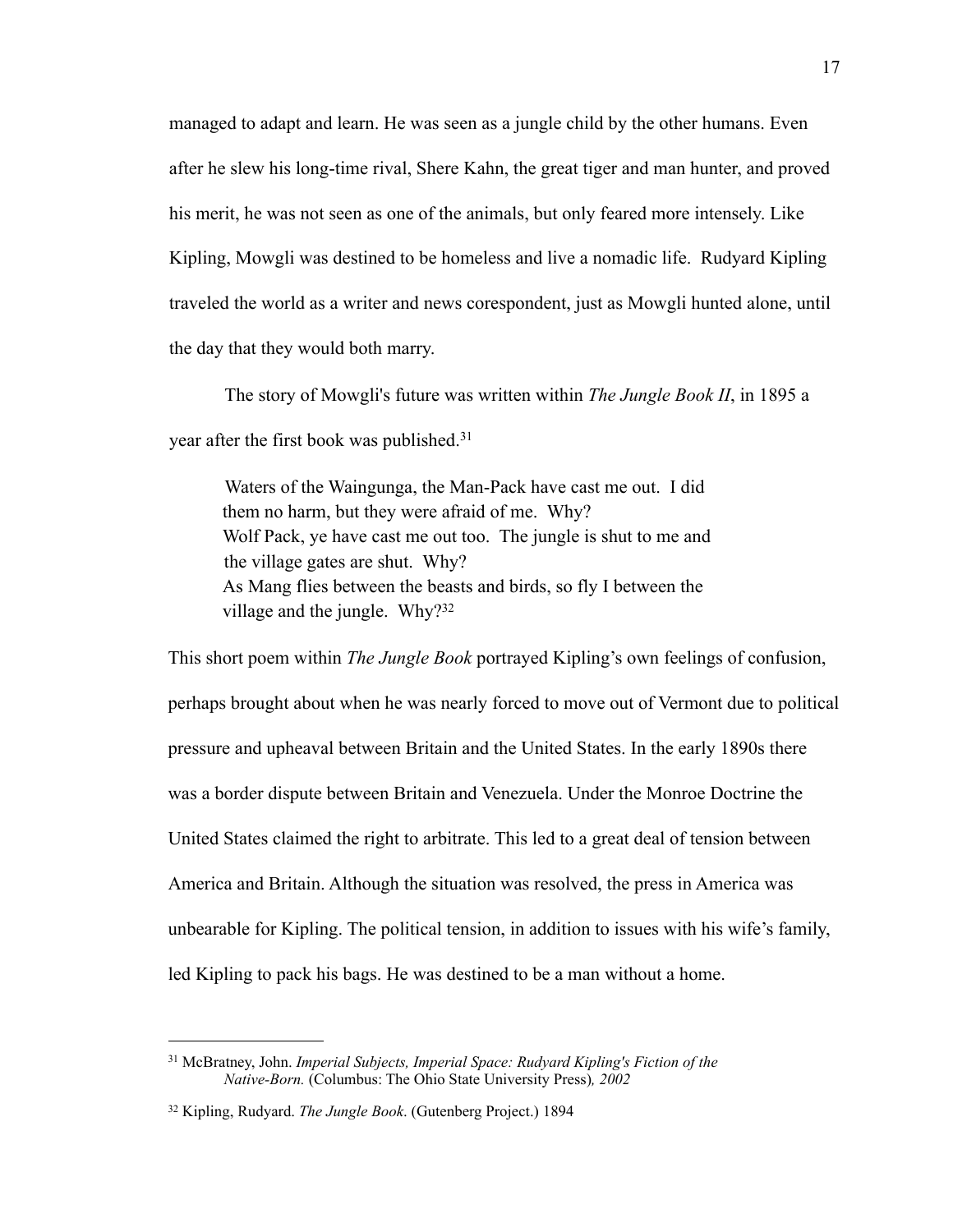managed to adapt and learn. He was seen as a jungle child by the other humans. Even after he slew his long-time rival, Shere Kahn, the great tiger and man hunter, and proved his merit, he was not seen as one of the animals, but only feared more intensely. Like Kipling, Mowgli was destined to be homeless and live a nomadic life. Rudyard Kipling traveled the world as a writer and news corespondent, just as Mowgli hunted alone, until the day that they would both marry.

The story of Mowgli's future was written within *The Jungle Book II*, in 1895 a year after the first book was published.[31](#page-20-0)

Waters of the Waingunga, the Man-Pack have cast me out. I did them no harm, but they were afraid of me. Why? Wolf Pack, ye have cast me out too. The jungle is shut to me and the village gates are shut. Why? As Mang flies between the beasts and birds, so fly I between the village and the jungle. Why[?32](#page-20-1)

This short poem within *The Jungle Book* portrayed Kipling's own feelings of confusion, perhaps brought about when he was nearly forced to move out of Vermont due to political pressure and upheaval between Britain and the United States. In the early 1890s there was a border dispute between Britain and Venezuela. Under the Monroe Doctrine the United States claimed the right to arbitrate. This led to a great deal of tension between America and Britain. Although the situation was resolved, the press in America was unbearable for Kipling. The political tension, in addition to issues with his wife's family, led Kipling to pack his bags. He was destined to be a man without a home.

<span id="page-20-0"></span><sup>31</sup> McBratney, John. *Imperial Subjects, Imperial Space: Rudyard Kipling's Fiction of the Native-Born.* (Columbus: The Ohio State University Press)*, 2002*

<span id="page-20-1"></span><sup>32</sup> Kipling, Rudyard. *The Jungle Book*. (Gutenberg Project.) 1894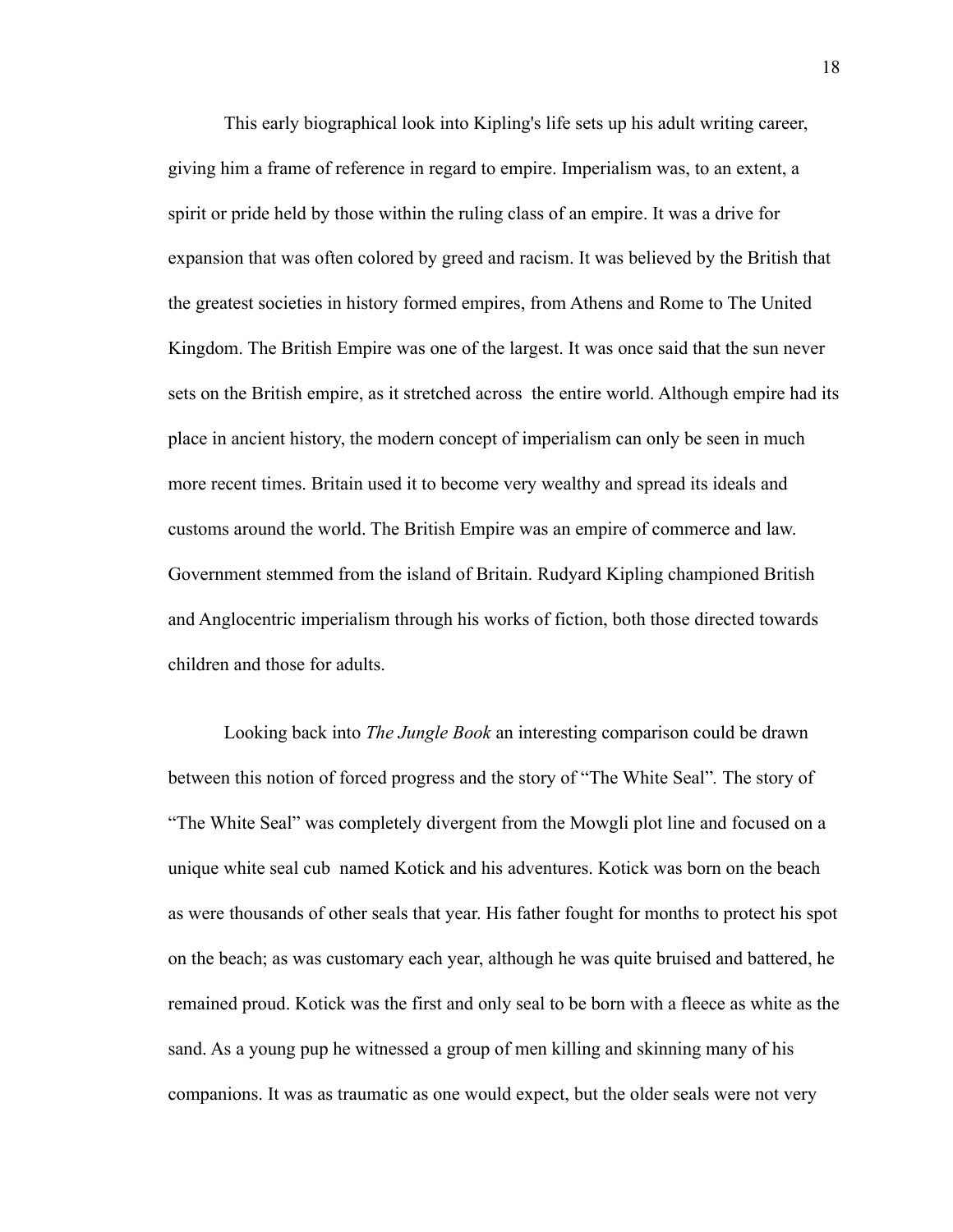This early biographical look into Kipling's life sets up his adult writing career, giving him a frame of reference in regard to empire. Imperialism was, to an extent, a spirit or pride held by those within the ruling class of an empire. It was a drive for expansion that was often colored by greed and racism. It was believed by the British that the greatest societies in history formed empires, from Athens and Rome to The United Kingdom. The British Empire was one of the largest. It was once said that the sun never sets on the British empire, as it stretched across the entire world. Although empire had its place in ancient history, the modern concept of imperialism can only be seen in much more recent times. Britain used it to become very wealthy and spread its ideals and customs around the world. The British Empire was an empire of commerce and law. Government stemmed from the island of Britain. Rudyard Kipling championed British and Anglocentric imperialism through his works of fiction, both those directed towards children and those for adults.

Looking back into *The Jungle Book* an interesting comparison could be drawn between this notion of forced progress and the story of "The White Seal"*.* The story of "The White Seal" was completely divergent from the Mowgli plot line and focused on a unique white seal cub named Kotick and his adventures. Kotick was born on the beach as were thousands of other seals that year. His father fought for months to protect his spot on the beach; as was customary each year, although he was quite bruised and battered, he remained proud. Kotick was the first and only seal to be born with a fleece as white as the sand. As a young pup he witnessed a group of men killing and skinning many of his companions. It was as traumatic as one would expect, but the older seals were not very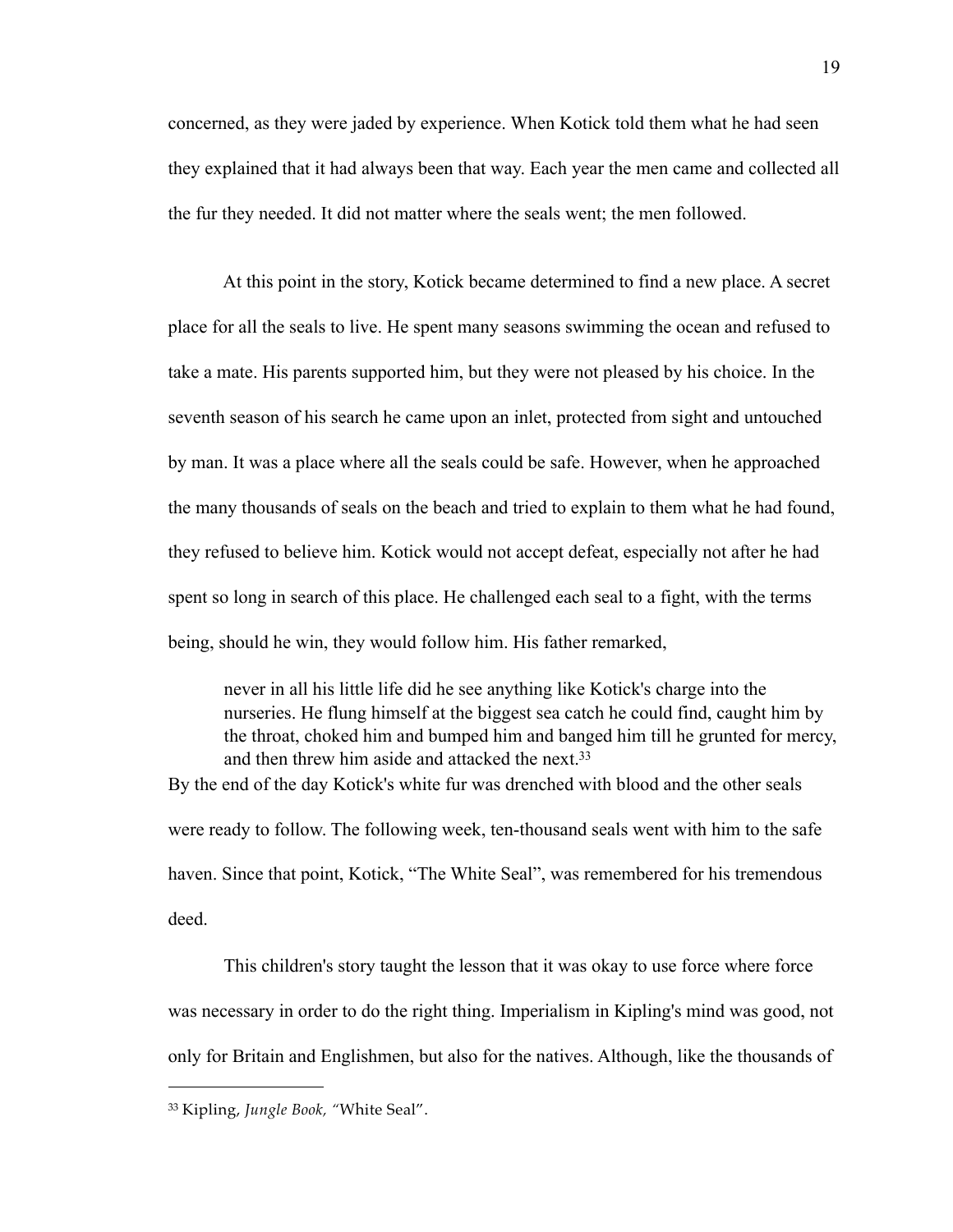concerned, as they were jaded by experience. When Kotick told them what he had seen they explained that it had always been that way. Each year the men came and collected all the fur they needed. It did not matter where the seals went; the men followed.

 At this point in the story, Kotick became determined to find a new place. A secret place for all the seals to live. He spent many seasons swimming the ocean and refused to take a mate. His parents supported him, but they were not pleased by his choice. In the seventh season of his search he came upon an inlet, protected from sight and untouched by man. It was a place where all the seals could be safe. However, when he approached the many thousands of seals on the beach and tried to explain to them what he had found, they refused to believe him. Kotick would not accept defeat, especially not after he had spent so long in search of this place. He challenged each seal to a fight, with the terms being, should he win, they would follow him. His father remarked,

never in all his little life did he see anything like Kotick's charge into the nurseries. He flung himself at the biggest sea catch he could find, caught him by the throat, choked him and bumped him and banged him till he grunted for mercy, and then threw him aside and attacked the next.<sup>33</sup> By the end of the day Kotick's white fur was drenched with blood and the other seals were ready to follow. The following week, ten-thousand seals went with him to the safe haven. Since that point, Kotick, "The White Seal", was remembered for his tremendous

deed.

 This children's story taught the lesson that it was okay to use force where force was necessary in order to do the right thing. Imperialism in Kipling's mind was good, not only for Britain and Englishmen, but also for the natives. Although, like the thousands of

<span id="page-22-0"></span><sup>33</sup> Kipling, *Jungle Book, "*White Seal".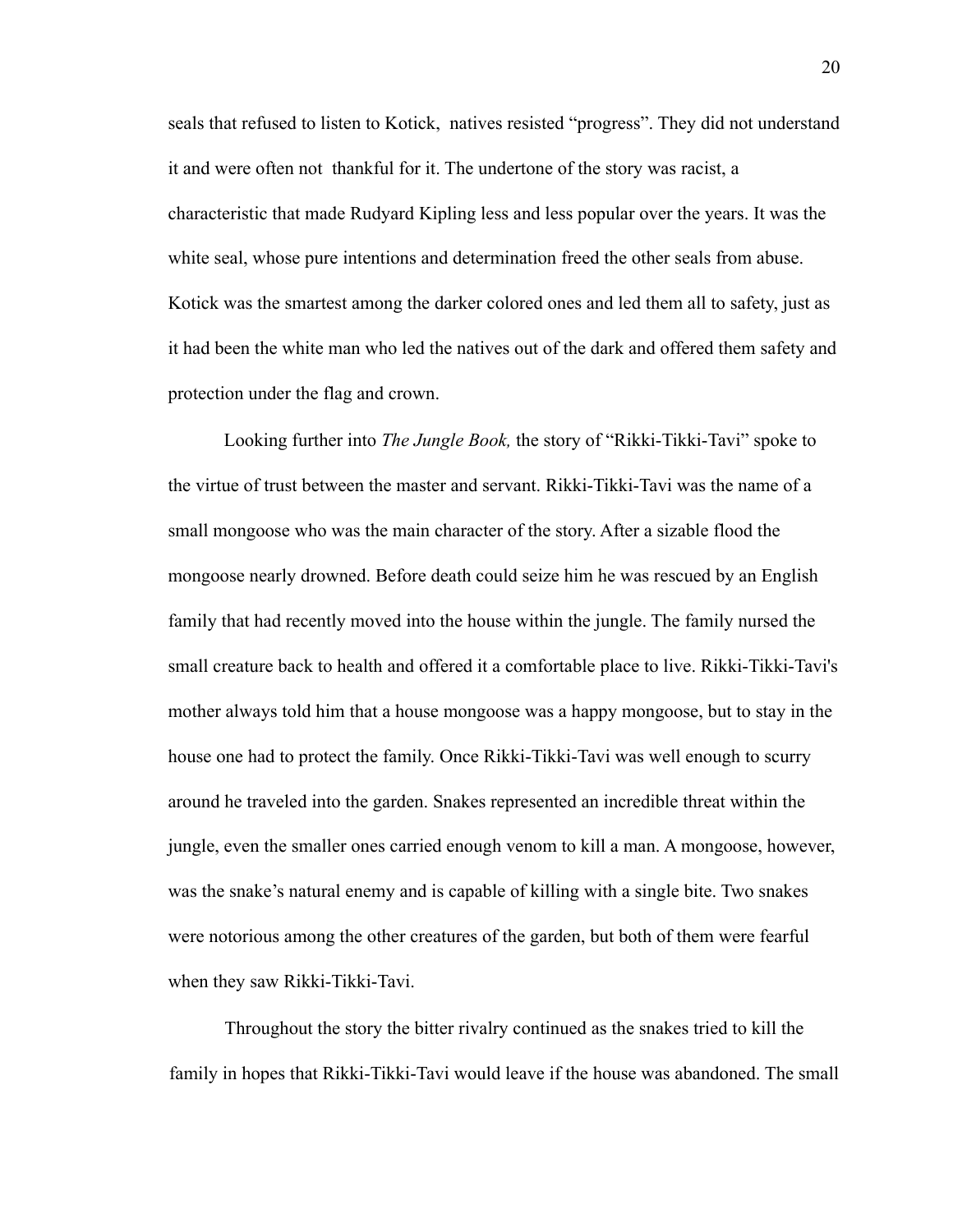seals that refused to listen to Kotick, natives resisted "progress". They did not understand it and were often not thankful for it. The undertone of the story was racist, a characteristic that made Rudyard Kipling less and less popular over the years. It was the white seal, whose pure intentions and determination freed the other seals from abuse. Kotick was the smartest among the darker colored ones and led them all to safety, just as it had been the white man who led the natives out of the dark and offered them safety and protection under the flag and crown.

Looking further into *The Jungle Book,* the story of "Rikki-Tikki-Tavi" spoke to the virtue of trust between the master and servant. Rikki-Tikki-Tavi was the name of a small mongoose who was the main character of the story. After a sizable flood the mongoose nearly drowned. Before death could seize him he was rescued by an English family that had recently moved into the house within the jungle. The family nursed the small creature back to health and offered it a comfortable place to live. Rikki-Tikki-Tavi's mother always told him that a house mongoose was a happy mongoose, but to stay in the house one had to protect the family. Once Rikki-Tikki-Tavi was well enough to scurry around he traveled into the garden. Snakes represented an incredible threat within the jungle, even the smaller ones carried enough venom to kill a man. A mongoose, however, was the snake's natural enemy and is capable of killing with a single bite. Two snakes were notorious among the other creatures of the garden, but both of them were fearful when they saw Rikki-Tikki-Tavi.

Throughout the story the bitter rivalry continued as the snakes tried to kill the family in hopes that Rikki-Tikki-Tavi would leave if the house was abandoned. The small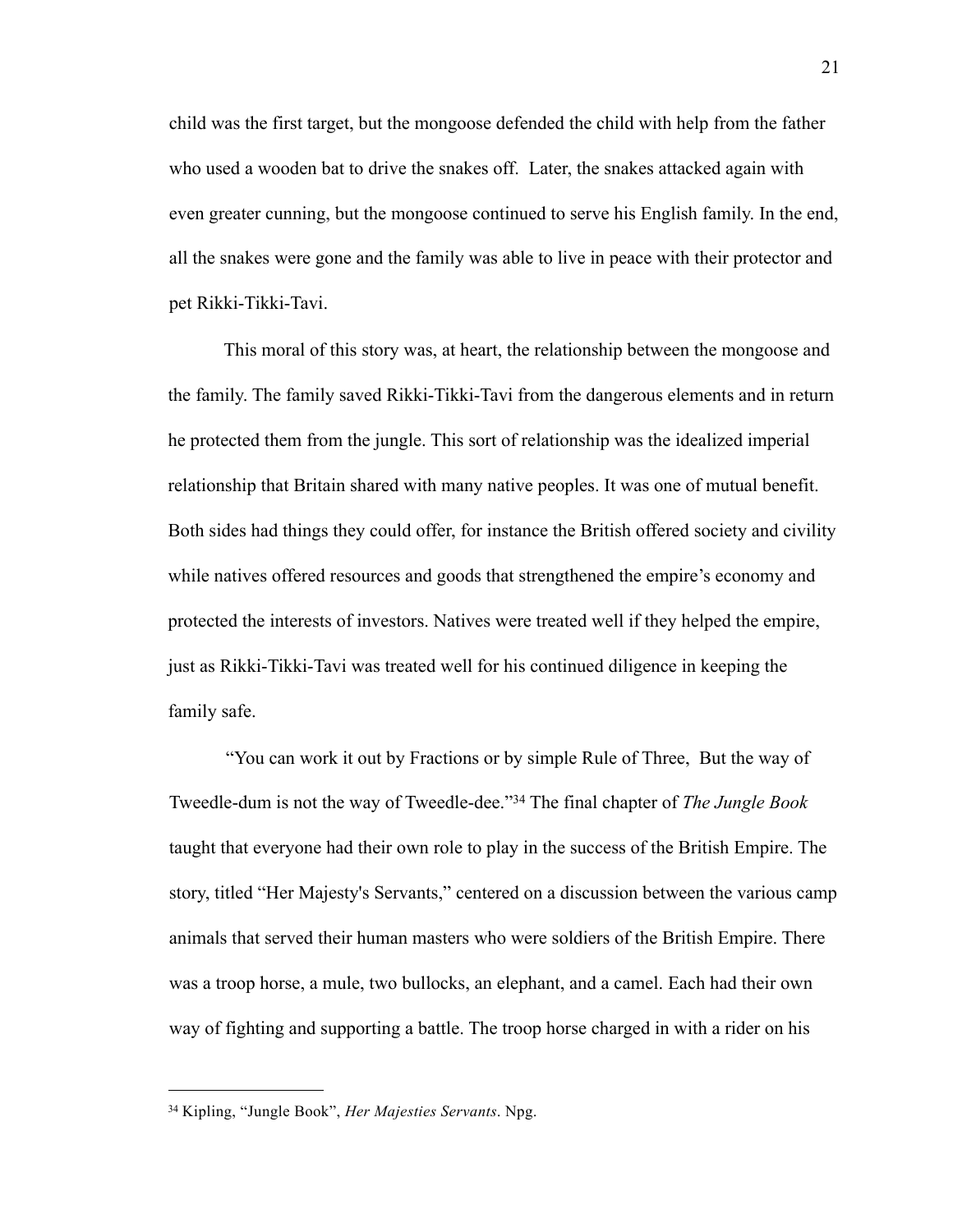child was the first target, but the mongoose defended the child with help from the father who used a wooden bat to drive the snakes off. Later, the snakes attacked again with even greater cunning, but the mongoose continued to serve his English family. In the end, all the snakes were gone and the family was able to live in peace with their protector and pet Rikki-Tikki-Tavi.

 This moral of this story was, at heart, the relationship between the mongoose and the family. The family saved Rikki-Tikki-Tavi from the dangerous elements and in return he protected them from the jungle. This sort of relationship was the idealized imperial relationship that Britain shared with many native peoples. It was one of mutual benefit. Both sides had things they could offer, for instance the British offered society and civility while natives offered resources and goods that strengthened the empire's economy and protected the interests of investors. Natives were treated well if they helped the empire, just as Rikki-Tikki-Tavi was treated well for his continued diligence in keeping the family safe.

"You can work it out by Fractions or by simple Rule of Three, But the way of Tweedle-dum is not the way of Tweedle-dee."[34](#page-24-0) The final chapter of *The Jungle Book* taught that everyone had their own role to play in the success of the British Empire. The story, titled "Her Majesty's Servants," centered on a discussion between the various camp animals that served their human masters who were soldiers of the British Empire. There was a troop horse, a mule, two bullocks, an elephant, and a camel. Each had their own way of fighting and supporting a battle. The troop horse charged in with a rider on his

<span id="page-24-0"></span><sup>34</sup> Kipling, "Jungle Book", *Her Majesties Servants*. Npg.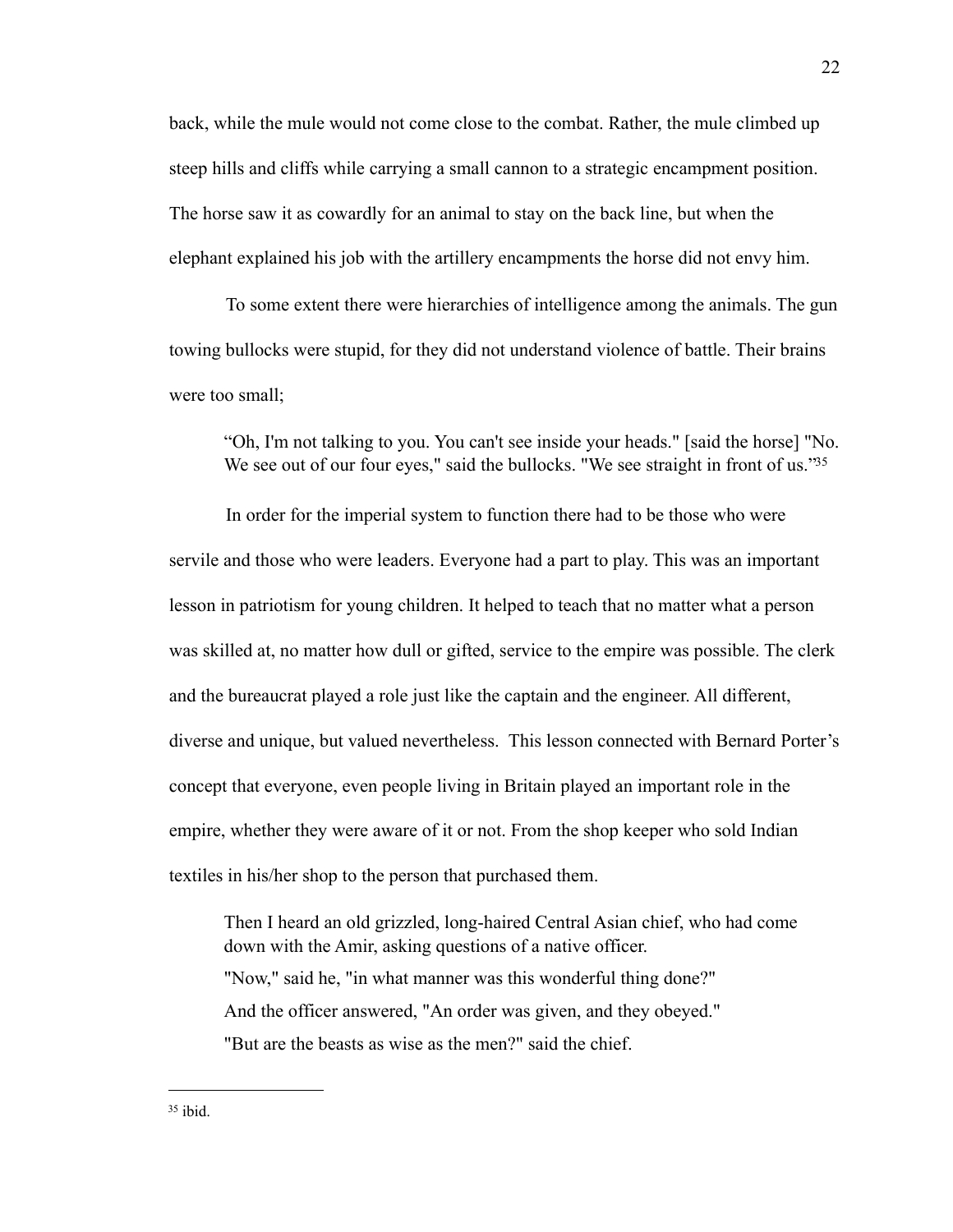back, while the mule would not come close to the combat. Rather, the mule climbed up steep hills and cliffs while carrying a small cannon to a strategic encampment position. The horse saw it as cowardly for an animal to stay on the back line, but when the elephant explained his job with the artillery encampments the horse did not envy him.

To some extent there were hierarchies of intelligence among the animals. The gun towing bullocks were stupid, for they did not understand violence of battle. Their brains were too small;

"Oh, I'm not talking to you. You can't see inside your heads." [said the horse] "No. We see out of our four eyes," said the bullocks. "We see straight in front of us."<sup>35</sup>

In order for the imperial system to function there had to be those who were servile and those who were leaders. Everyone had a part to play. This was an important lesson in patriotism for young children. It helped to teach that no matter what a person was skilled at, no matter how dull or gifted, service to the empire was possible. The clerk and the bureaucrat played a role just like the captain and the engineer. All different, diverse and unique, but valued nevertheless. This lesson connected with Bernard Porter's concept that everyone, even people living in Britain played an important role in the empire, whether they were aware of it or not. From the shop keeper who sold Indian textiles in his/her shop to the person that purchased them.

Then I heard an old grizzled, long-haired Central Asian chief, who had come down with the Amir, asking questions of a native officer. "Now," said he, "in what manner was this wonderful thing done?" And the officer answered, "An order was given, and they obeyed." "But are the beasts as wise as the men?" said the chief.

<sup>22</sup>

<span id="page-25-0"></span> $35$  ibid.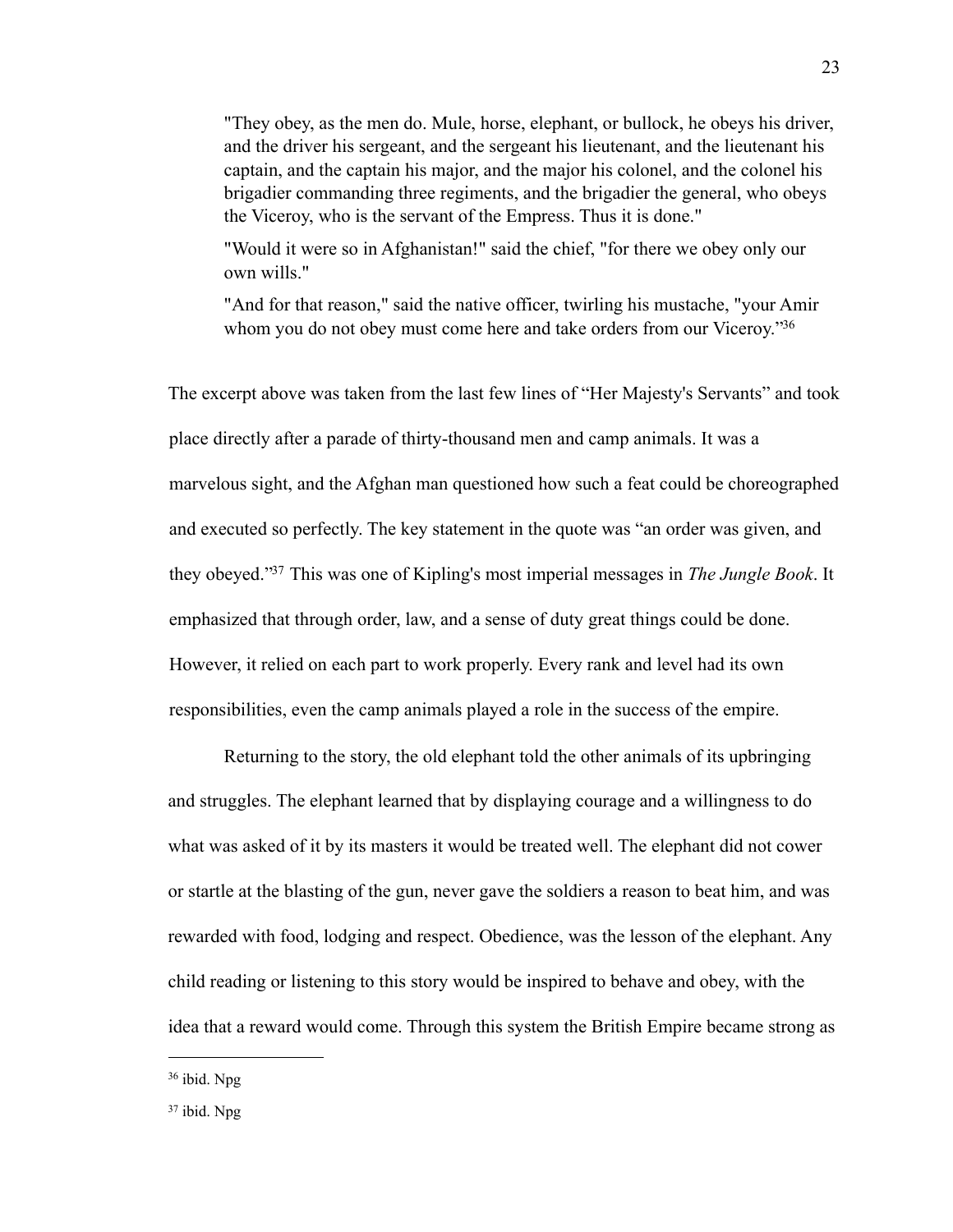"They obey, as the men do. Mule, horse, elephant, or bullock, he obeys his driver, and the driver his sergeant, and the sergeant his lieutenant, and the lieutenant his captain, and the captain his major, and the major his colonel, and the colonel his brigadier commanding three regiments, and the brigadier the general, who obeys the Viceroy, who is the servant of the Empress. Thus it is done."

"Would it were so in Afghanistan!" said the chief, "for there we obey only our own wills."

"And for that reason," said the native officer, twirling his mustache, "your Amir whom you do not obey must come here and take orders from our Viceroy."<sup>36</sup>

The excerpt above was taken from the last few lines of "Her Majesty's Servants" and took place directly after a parade of thirty-thousand men and camp animals. It was a marvelous sight, and the Afghan man questioned how such a feat could be choreographed and executed so perfectly. The key statement in the quote was "an order was given, and they obeyed.["37](#page-26-1) This was one of Kipling's most imperial messages in *The Jungle Book*. It emphasized that through order, law, and a sense of duty great things could be done. However, it relied on each part to work properly. Every rank and level had its own responsibilities, even the camp animals played a role in the success of the empire.

 Returning to the story, the old elephant told the other animals of its upbringing and struggles. The elephant learned that by displaying courage and a willingness to do what was asked of it by its masters it would be treated well. The elephant did not cower or startle at the blasting of the gun, never gave the soldiers a reason to beat him, and was rewarded with food, lodging and respect. Obedience, was the lesson of the elephant. Any child reading or listening to this story would be inspired to behave and obey, with the idea that a reward would come. Through this system the British Empire became strong as

<span id="page-26-0"></span><sup>36</sup> ibid. Npg

<span id="page-26-1"></span><sup>37</sup> ibid. Npg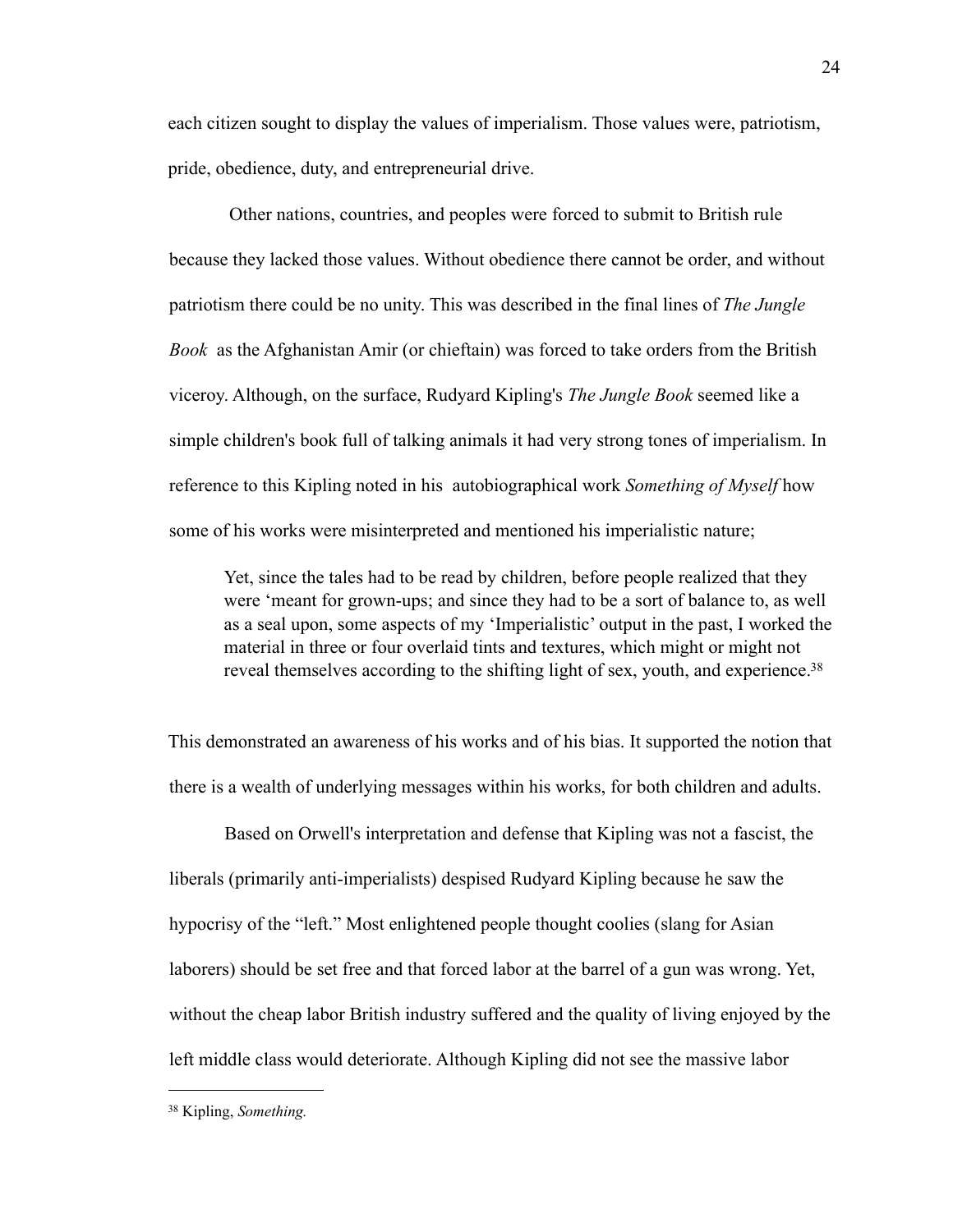each citizen sought to display the values of imperialism. Those values were, patriotism, pride, obedience, duty, and entrepreneurial drive.

 Other nations, countries, and peoples were forced to submit to British rule because they lacked those values. Without obedience there cannot be order, and without patriotism there could be no unity. This was described in the final lines of *The Jungle Book* as the Afghanistan Amir (or chieftain) was forced to take orders from the British viceroy. Although, on the surface, Rudyard Kipling's *The Jungle Book* seemed like a simple children's book full of talking animals it had very strong tones of imperialism. In reference to this Kipling noted in his autobiographical work *Something of Myself* how some of his works were misinterpreted and mentioned his imperialistic nature;

Yet, since the tales had to be read by children, before people realized that they were 'meant for grown-ups; and since they had to be a sort of balance to, as well as a seal upon, some aspects of my 'Imperialistic' output in the past, I worked the material in three or four overlaid tints and textures, which might or might not reveal themselves according to the shifting light of sex, youth, and experience.<sup>38</sup>

This demonstrated an awareness of his works and of his bias. It supported the notion that there is a wealth of underlying messages within his works, for both children and adults.

Based on Orwell's interpretation and defense that Kipling was not a fascist, the liberals (primarily anti-imperialists) despised Rudyard Kipling because he saw the hypocrisy of the "left." Most enlightened people thought coolies (slang for Asian laborers) should be set free and that forced labor at the barrel of a gun was wrong. Yet, without the cheap labor British industry suffered and the quality of living enjoyed by the left middle class would deteriorate. Although Kipling did not see the massive labor

<span id="page-27-0"></span><sup>38</sup> Kipling, *Something.*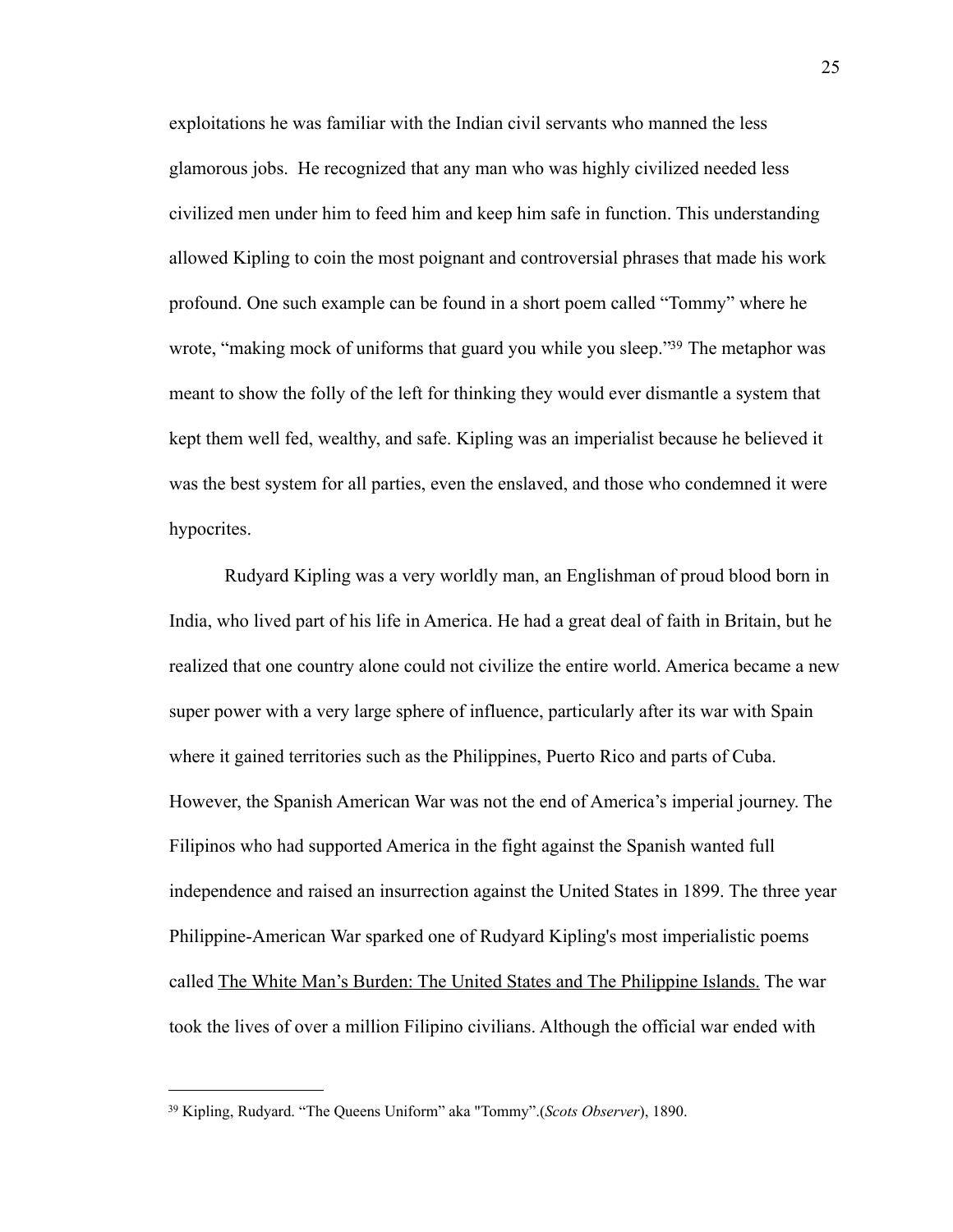exploitations he was familiar with the Indian civil servants who manned the less glamorous jobs. He recognized that any man who was highly civilized needed less civilized men under him to feed him and keep him safe in function. This understanding allowed Kipling to coin the most poignant and controversial phrases that made his work profound. One such example can be found in a short poem called "Tommy" where he wrote, "making mock of uniforms that guard you while you sleep."<sup>39</sup> The metaphor was meant to show the folly of the left for thinking they would ever dismantle a system that kept them well fed, wealthy, and safe. Kipling was an imperialist because he believed it was the best system for all parties, even the enslaved, and those who condemned it were hypocrites.

Rudyard Kipling was a very worldly man, an Englishman of proud blood born in India, who lived part of his life in America. He had a great deal of faith in Britain, but he realized that one country alone could not civilize the entire world. America became a new super power with a very large sphere of influence, particularly after its war with Spain where it gained territories such as the Philippines, Puerto Rico and parts of Cuba. However, the Spanish American War was not the end of America's imperial journey. The Filipinos who had supported America in the fight against the Spanish wanted full independence and raised an insurrection against the United States in 1899. The three year Philippine-American War sparked one of Rudyard Kipling's most imperialistic poems called The White Man's Burden: The United States and The Philippine Islands. The war took the lives of over a million Filipino civilians. Although the official war ended with

<span id="page-28-0"></span><sup>39</sup> Kipling, Rudyard. "The Queens Uniform" aka "Tommy".(*Scots Observer*), 1890.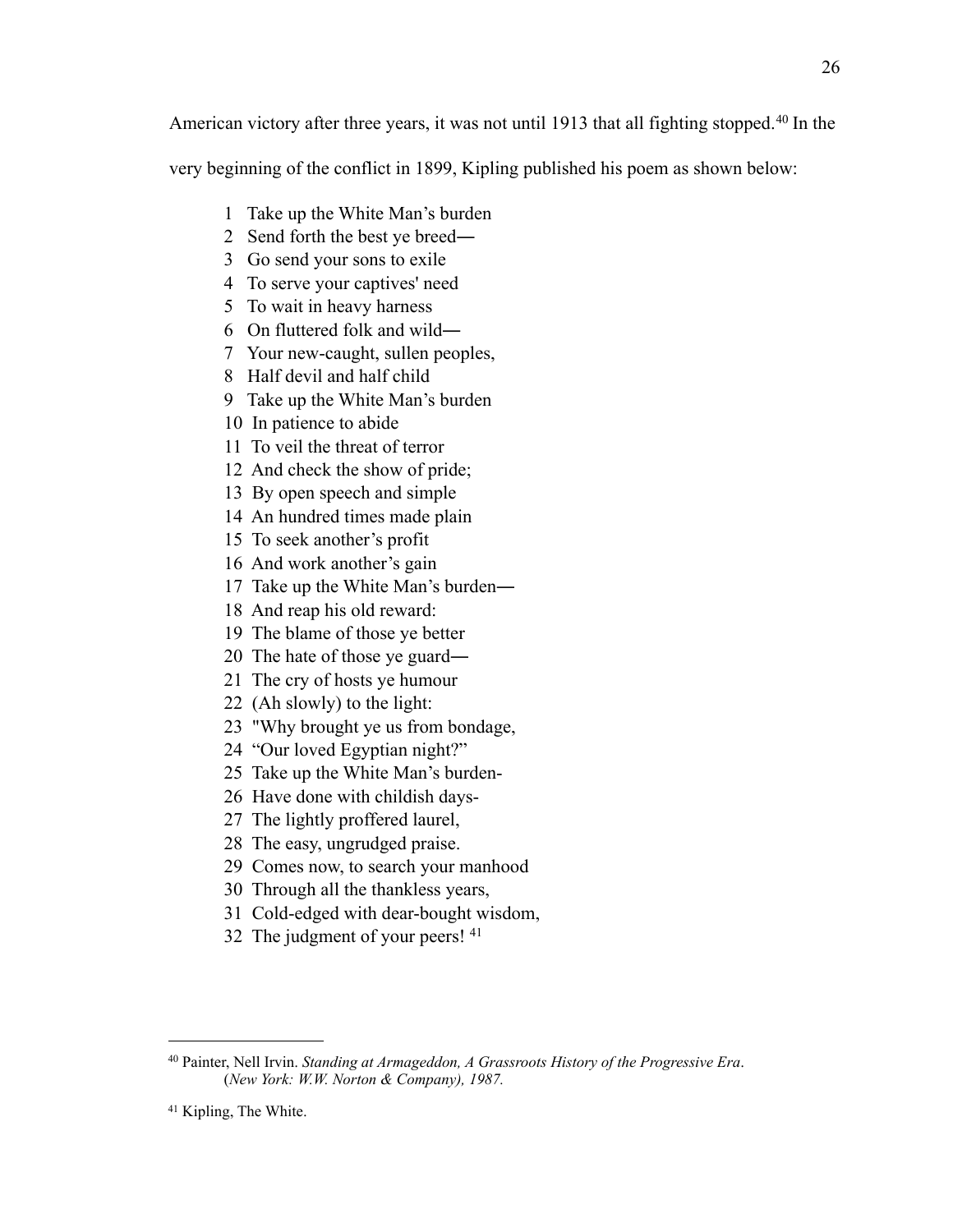American victory after three years, it was not until 1913 that all fighting stopped.<sup>[40](#page-29-0)</sup> In the

very beginning of the conflict in 1899, Kipling published his poem as shown below:

- 1 Take up the White Man's burden
- 2 Send forth the best ye breed―
- 3 Go send your sons to exile
- 4 To serve your captives' need
- 5 To wait in heavy harness
- 6 On fluttered folk and wild―
- 7 Your new-caught, sullen peoples,
- 8 Half devil and half child
- 9 Take up the White Man's burden
- 10 In patience to abide
- 11 To veil the threat of terror
- 12 And check the show of pride;
- 13 By open speech and simple
- 14 An hundred times made plain
- 15 To seek another's profit
- 16 And work another's gain
- 17 Take up the White Man's burden―
- 18 And reap his old reward:
- 19 The blame of those ye better
- 20 The hate of those ye guard―
- 21 The cry of hosts ye humour
- 22 (Ah slowly) to the light:
- 23 "Why brought ye us from bondage,
- 24 "Our loved Egyptian night?"
- 25 Take up the White Man's burden-
- 26 Have done with childish days-
- 27 The lightly proffered laurel,
- 28 The easy, ungrudged praise.
- 29 Comes now, to search your manhood
- 30 Through all the thankless years,
- 31 Cold-edged with dear-bought wisdom,
- 32 The judgment of your peers! [41](#page-29-1)

26

<span id="page-29-0"></span><sup>40</sup> Painter, Nell Irvin. *Standing at Armageddon, A Grassroots History of the Progressive Era*. (*New York: W.W. Norton & Company), 1987.*

<span id="page-29-1"></span><sup>41</sup> Kipling, The White.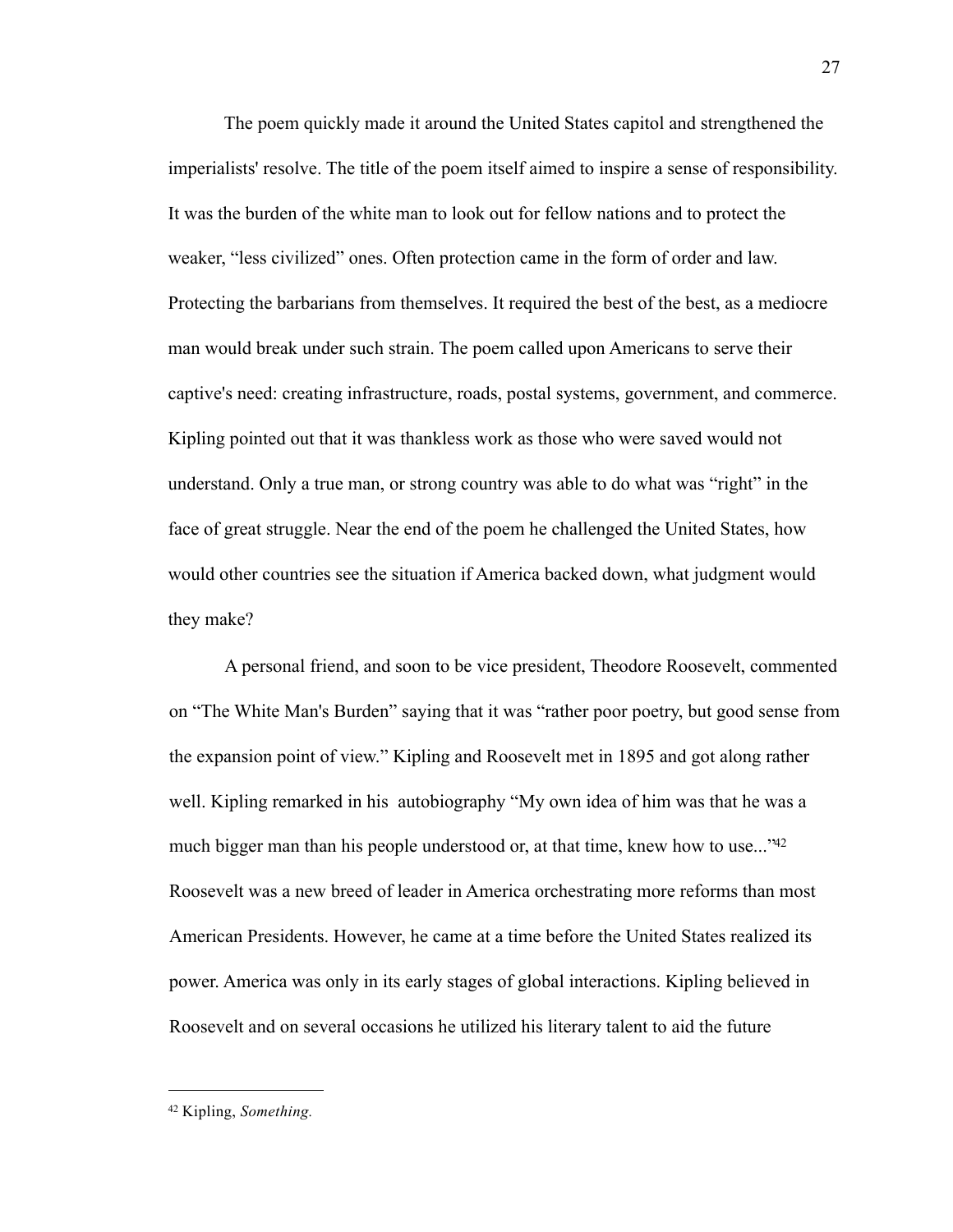The poem quickly made it around the United States capitol and strengthened the imperialists' resolve. The title of the poem itself aimed to inspire a sense of responsibility. It was the burden of the white man to look out for fellow nations and to protect the weaker, "less civilized" ones. Often protection came in the form of order and law. Protecting the barbarians from themselves. It required the best of the best, as a mediocre man would break under such strain. The poem called upon Americans to serve their captive's need: creating infrastructure, roads, postal systems, government, and commerce. Kipling pointed out that it was thankless work as those who were saved would not understand. Only a true man, or strong country was able to do what was "right" in the face of great struggle. Near the end of the poem he challenged the United States, how would other countries see the situation if America backed down, what judgment would they make?

A personal friend, and soon to be vice president, Theodore Roosevelt, commented on "The White Man's Burden" saying that it was "rather poor poetry, but good sense from the expansion point of view." Kipling and Roosevelt met in 1895 and got along rather well. Kipling remarked in his autobiography "My own idea of him was that he was a much bigger man than his people understood or, at that time, knew how to use..."<sup>42</sup> Roosevelt was a new breed of leader in America orchestrating more reforms than most American Presidents. However, he came at a time before the United States realized its power. America was only in its early stages of global interactions. Kipling believed in Roosevelt and on several occasions he utilized his literary talent to aid the future

<span id="page-30-0"></span><sup>42</sup> Kipling, *Something.*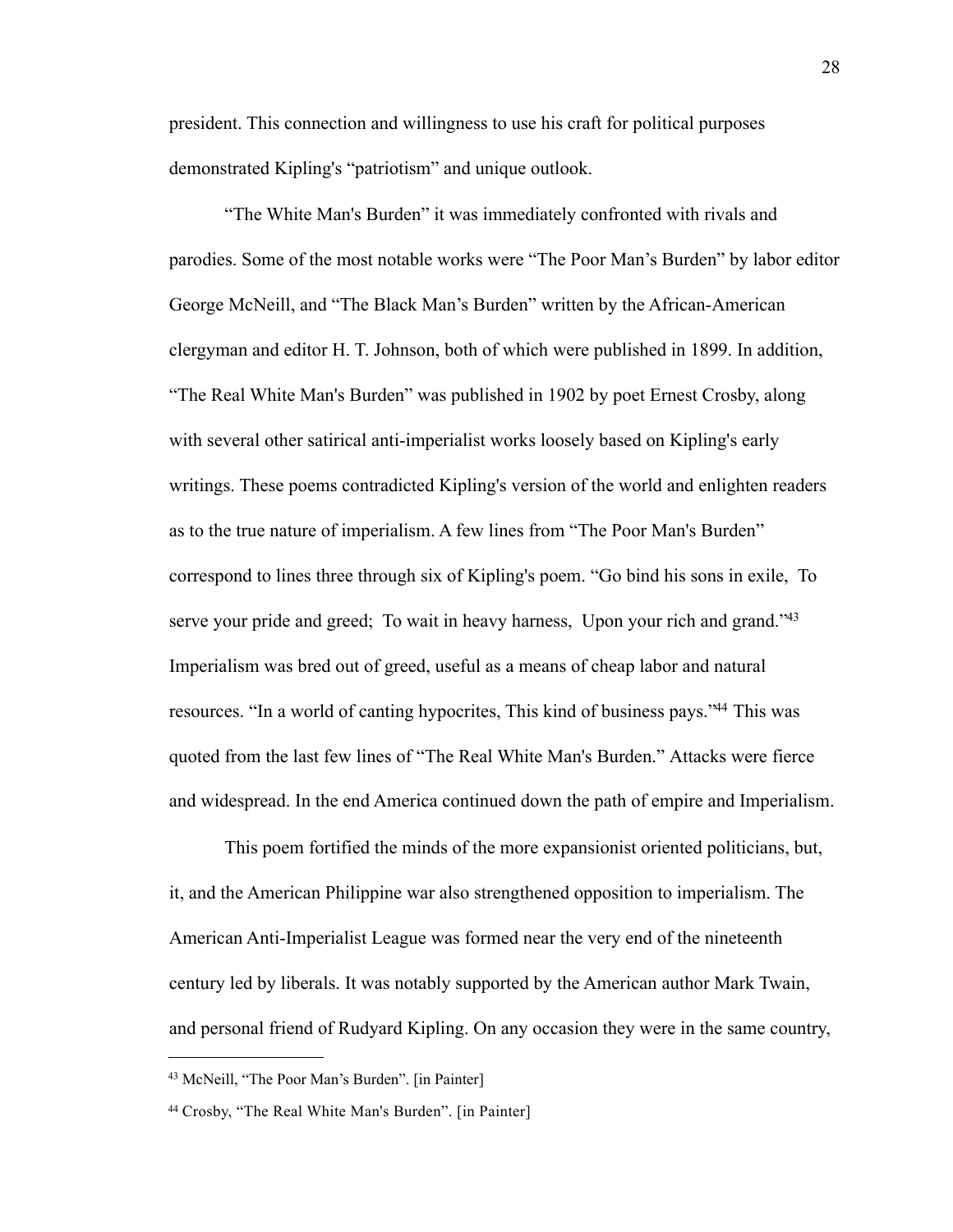president. This connection and willingness to use his craft for political purposes demonstrated Kipling's "patriotism" and unique outlook.

"The White Man's Burden" it was immediately confronted with rivals and parodies. Some of the most notable works were "The Poor Man's Burden" by labor editor George McNeill, and "The Black Man's Burden" written by the African-American clergyman and editor H. T. Johnson, both of which were published in 1899. In addition, "The Real White Man's Burden" was published in 1902 by poet Ernest Crosby, along with several other satirical anti-imperialist works loosely based on Kipling's early writings. These poems contradicted Kipling's version of the world and enlighten readers as to the true nature of imperialism. A few lines from "The Poor Man's Burden" correspond to lines three through six of Kipling's poem. "Go bind his sons in exile, To serve your pride and greed; To wait in heavy harness, Upon your rich and grand."<sup>43</sup> Imperialism was bred out of greed, useful as a means of cheap labor and natural resources. "In a world of canting hypocrites, This kind of business pays.["44](#page-31-1) This was quoted from the last few lines of "The Real White Man's Burden." Attacks were fierce and widespread. In the end America continued down the path of empire and Imperialism.

This poem fortified the minds of the more expansionist oriented politicians, but, it, and the American Philippine war also strengthened opposition to imperialism. The American Anti-Imperialist League was formed near the very end of the nineteenth century led by liberals. It was notably supported by the American author Mark Twain, and personal friend of Rudyard Kipling. On any occasion they were in the same country,

<span id="page-31-0"></span><sup>43</sup> McNeill, "The Poor Man's Burden". [in Painter]

<span id="page-31-1"></span><sup>44</sup> Crosby, "The Real White Man's Burden". [in Painter]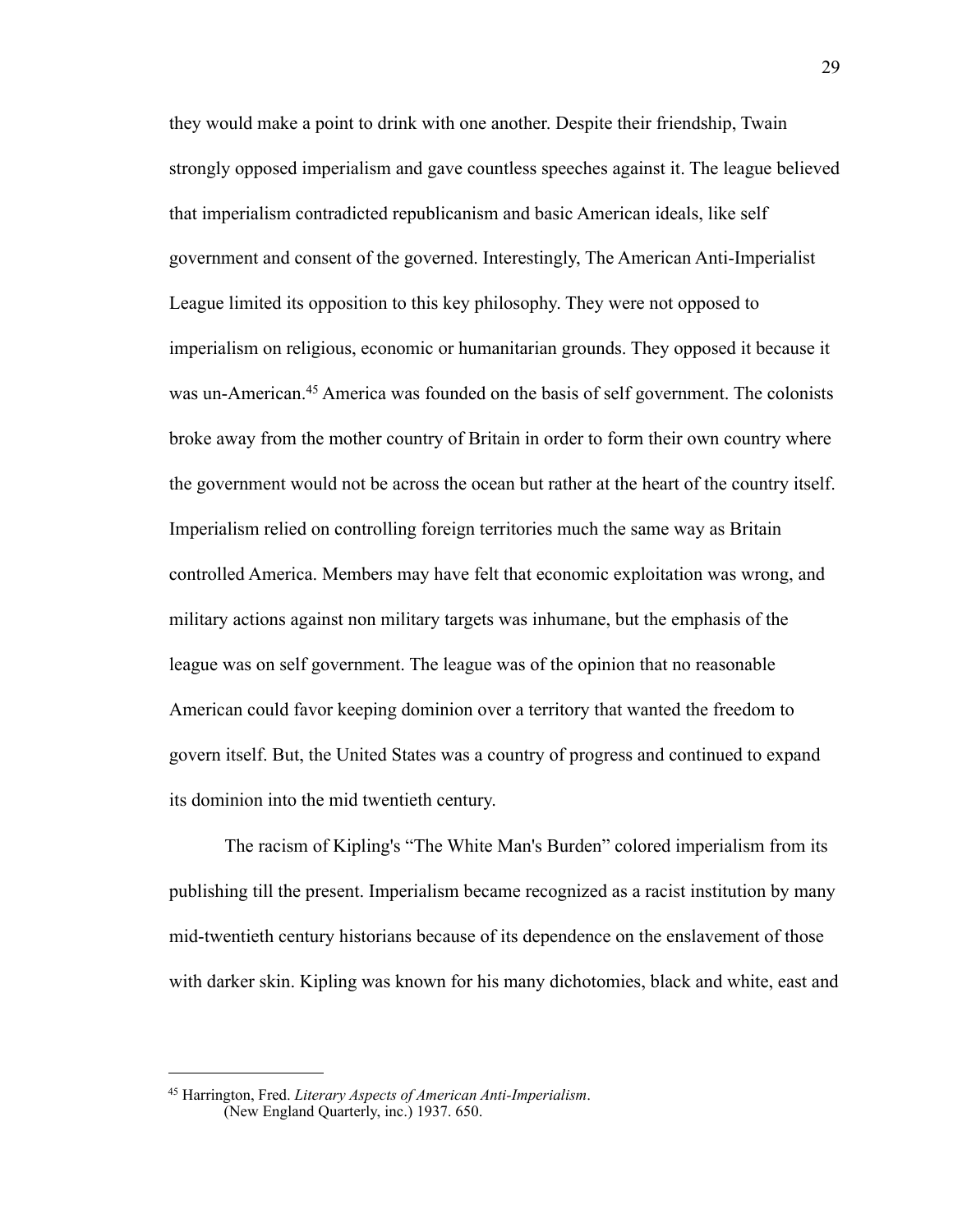they would make a point to drink with one another. Despite their friendship, Twain strongly opposed imperialism and gave countless speeches against it. The league believed that imperialism contradicted republicanism and basic American ideals, like self government and consent of the governed. Interestingly, The American Anti-Imperialist League limited its opposition to this key philosophy. They were not opposed to imperialism on religious, economic or humanitarian grounds. They opposed it because it was un-American.[45](#page-32-0) America was founded on the basis of self government. The colonists broke away from the mother country of Britain in order to form their own country where the government would not be across the ocean but rather at the heart of the country itself. Imperialism relied on controlling foreign territories much the same way as Britain controlled America. Members may have felt that economic exploitation was wrong, and military actions against non military targets was inhumane, but the emphasis of the league was on self government. The league was of the opinion that no reasonable American could favor keeping dominion over a territory that wanted the freedom to govern itself. But, the United States was a country of progress and continued to expand its dominion into the mid twentieth century.

The racism of Kipling's "The White Man's Burden" colored imperialism from its publishing till the present. Imperialism became recognized as a racist institution by many mid-twentieth century historians because of its dependence on the enslavement of those with darker skin. Kipling was known for his many dichotomies, black and white, east and

<span id="page-32-0"></span><sup>45</sup> Harrington, Fred. *Literary Aspects of American Anti-Imperialism*. (New England Quarterly, inc.) 1937. 650.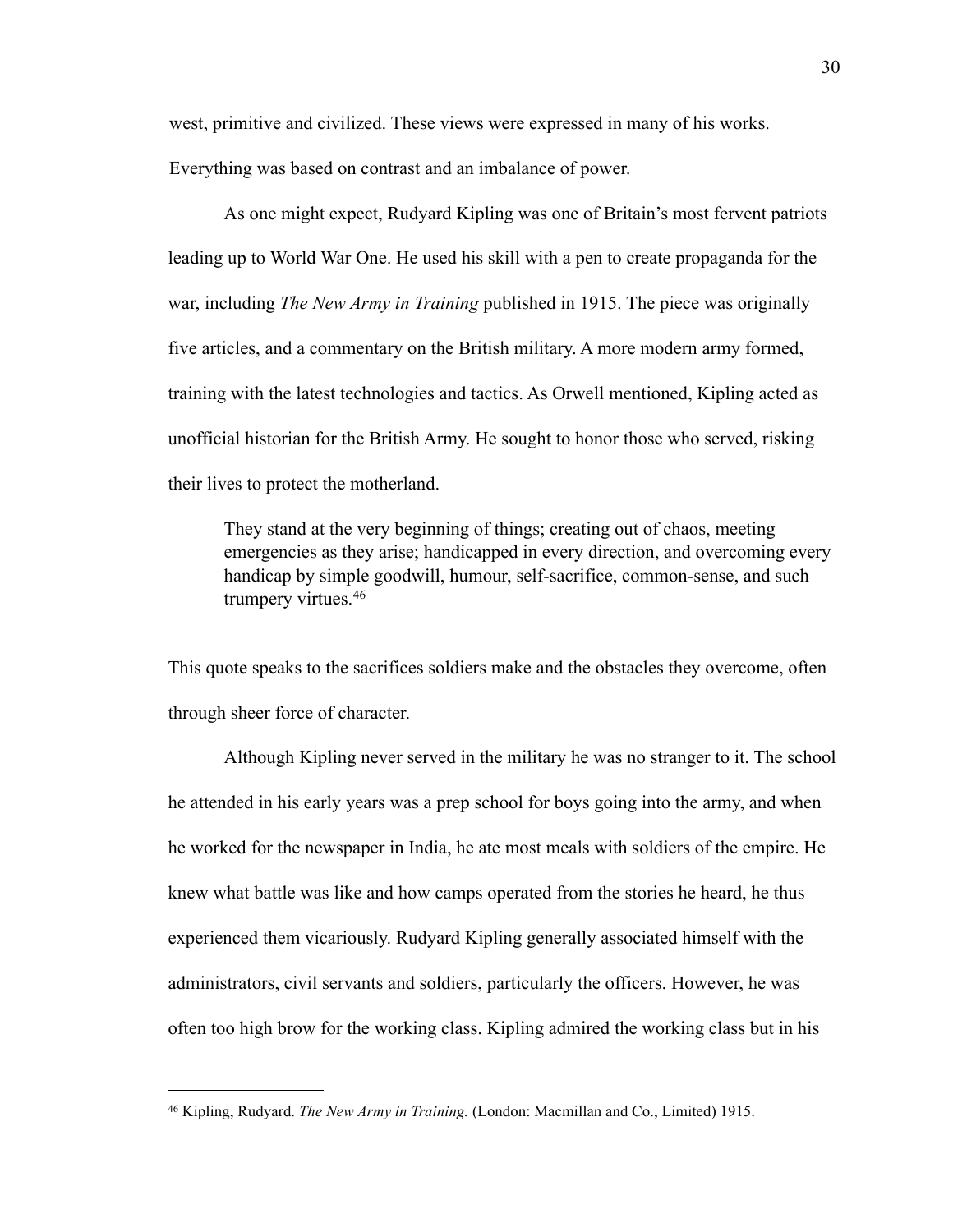west, primitive and civilized. These views were expressed in many of his works.

Everything was based on contrast and an imbalance of power.

As one might expect, Rudyard Kipling was one of Britain's most fervent patriots leading up to World War One. He used his skill with a pen to create propaganda for the war, including *The New Army in Training* published in 1915. The piece was originally five articles, and a commentary on the British military. A more modern army formed, training with the latest technologies and tactics. As Orwell mentioned, Kipling acted as unofficial historian for the British Army. He sought to honor those who served, risking their lives to protect the motherland.

They stand at the very beginning of things; creating out of chaos, meeting emergencies as they arise; handicapped in every direction, and overcoming every handicap by simple goodwill, humour, self-sacrifice, common-sense, and such trumpery virtues.[46](#page-33-0)

This quote speaks to the sacrifices soldiers make and the obstacles they overcome, often through sheer force of character.

Although Kipling never served in the military he was no stranger to it. The school he attended in his early years was a prep school for boys going into the army, and when he worked for the newspaper in India, he ate most meals with soldiers of the empire. He knew what battle was like and how camps operated from the stories he heard, he thus experienced them vicariously. Rudyard Kipling generally associated himself with the administrators, civil servants and soldiers, particularly the officers. However, he was often too high brow for the working class. Kipling admired the working class but in his

<span id="page-33-0"></span><sup>46</sup> Kipling, Rudyard. *The New Army in Training.* (London: Macmillan and Co., Limited) 1915.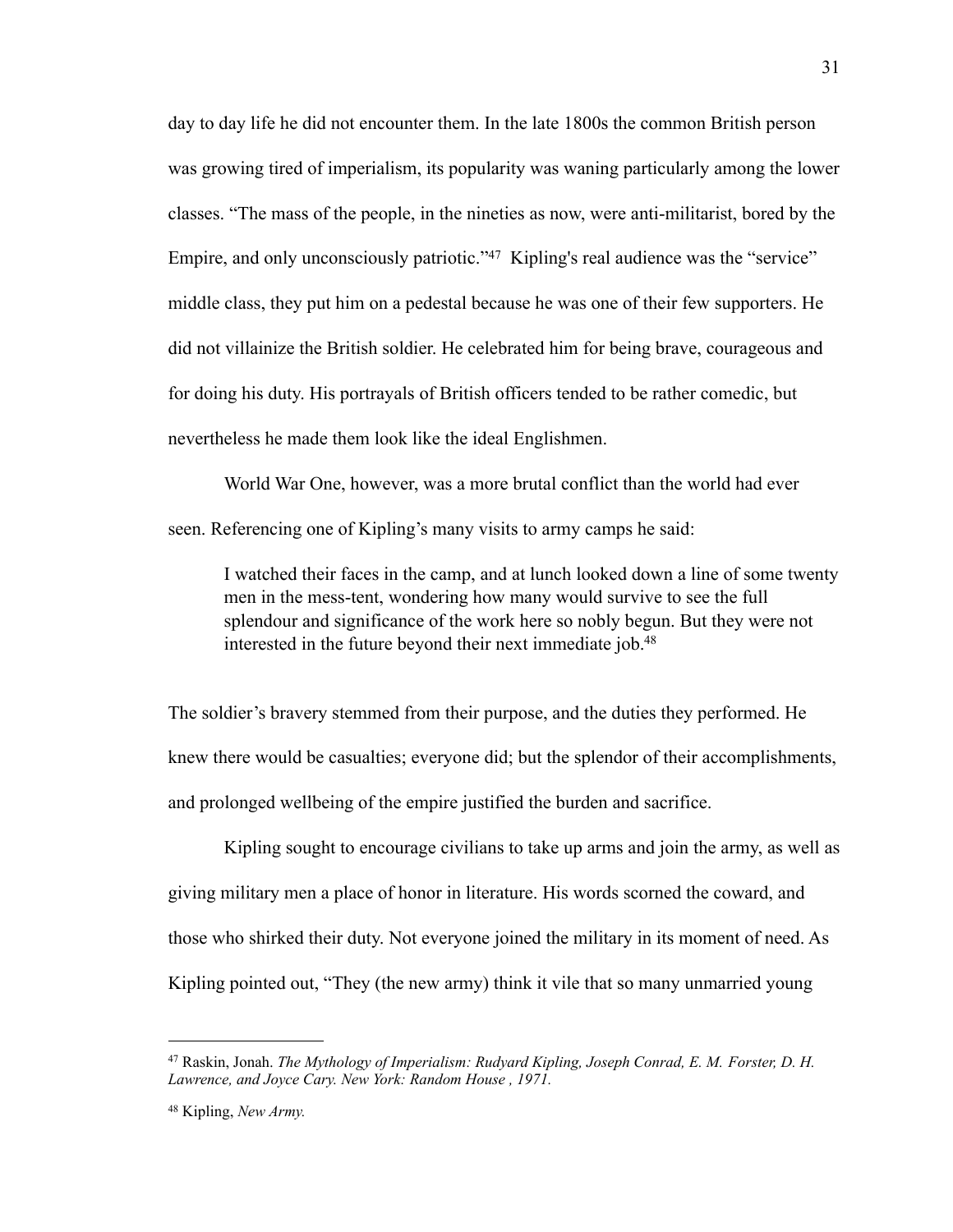day to day life he did not encounter them. In the late 1800s the common British person was growing tired of imperialism, its popularity was waning particularly among the lower classes. "The mass of the people, in the nineties as now, were anti-militarist, bored by the Empire, and only unconsciously patriotic."<sup>47</sup> Kipling's real audience was the "service" middle class, they put him on a pedestal because he was one of their few supporters. He did not villainize the British soldier. He celebrated him for being brave, courageous and for doing his duty. His portrayals of British officers tended to be rather comedic, but nevertheless he made them look like the ideal Englishmen.

World War One, however, was a more brutal conflict than the world had ever seen. Referencing one of Kipling's many visits to army camps he said:

I watched their faces in the camp, and at lunch looked down a line of some twenty men in the mess-tent, wondering how many would survive to see the full splendour and significance of the work here so nobly begun. But they were not interested in the future beyond their next immediate job.<sup>48</sup>

The soldier's bravery stemmed from their purpose, and the duties they performed. He knew there would be casualties; everyone did; but the splendor of their accomplishments, and prolonged wellbeing of the empire justified the burden and sacrifice.

Kipling sought to encourage civilians to take up arms and join the army, as well as giving military men a place of honor in literature. His words scorned the coward, and those who shirked their duty. Not everyone joined the military in its moment of need. As Kipling pointed out, "They (the new army) think it vile that so many unmarried young

31

<span id="page-34-0"></span><sup>47</sup> Raskin, Jonah. *The Mythology of Imperialism: Rudyard Kipling, Joseph Conrad, E. M. Forster, D. H. Lawrence, and Joyce Cary. New York: Random House , 1971.*

<span id="page-34-1"></span><sup>48</sup> Kipling, *New Army.*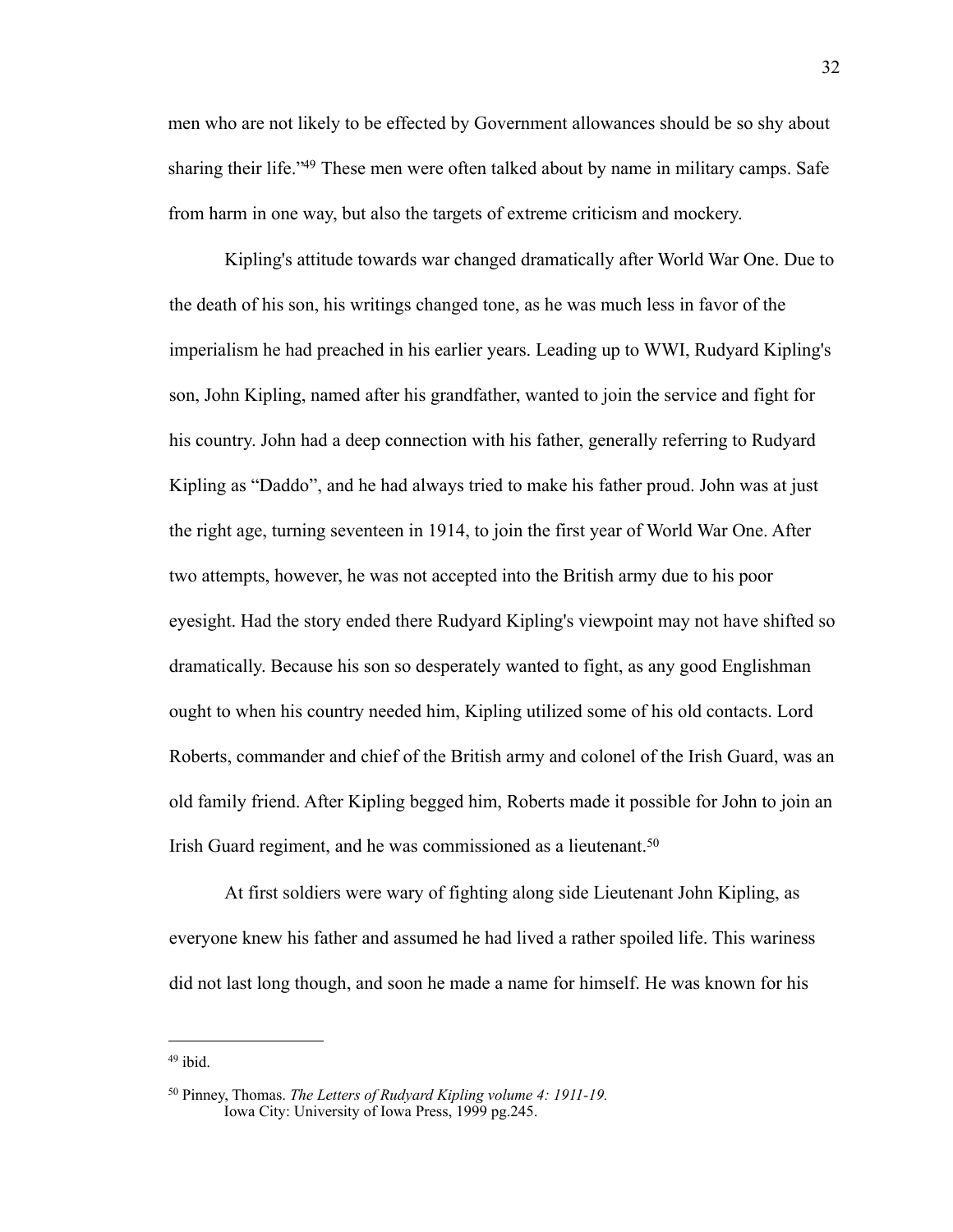men who are not likely to be effected by Government allowances should be so shy about sharing their life.<sup>249</sup> These men were often talked about by name in military camps. Safe from harm in one way, but also the targets of extreme criticism and mockery.

Kipling's attitude towards war changed dramatically after World War One. Due to the death of his son, his writings changed tone, as he was much less in favor of the imperialism he had preached in his earlier years. Leading up to WWI, Rudyard Kipling's son, John Kipling, named after his grandfather, wanted to join the service and fight for his country. John had a deep connection with his father, generally referring to Rudyard Kipling as "Daddo", and he had always tried to make his father proud. John was at just the right age, turning seventeen in 1914, to join the first year of World War One. After two attempts, however, he was not accepted into the British army due to his poor eyesight. Had the story ended there Rudyard Kipling's viewpoint may not have shifted so dramatically. Because his son so desperately wanted to fight, as any good Englishman ought to when his country needed him, Kipling utilized some of his old contacts. Lord Roberts, commander and chief of the British army and colonel of the Irish Guard, was an old family friend. After Kipling begged him, Roberts made it possible for John to join an Irish Guard regiment, and he was commissioned as a lieutenant.[50](#page-35-1)

At first soldiers were wary of fighting along side Lieutenant John Kipling, as everyone knew his father and assumed he had lived a rather spoiled life. This wariness did not last long though, and soon he made a name for himself. He was known for his

<span id="page-35-0"></span><sup>49</sup> ibid.

<span id="page-35-1"></span><sup>50</sup> Pinney, Thomas. *The Letters of Rudyard Kipling volume 4: 1911-19.*  Iowa City: University of Iowa Press, 1999 pg.245.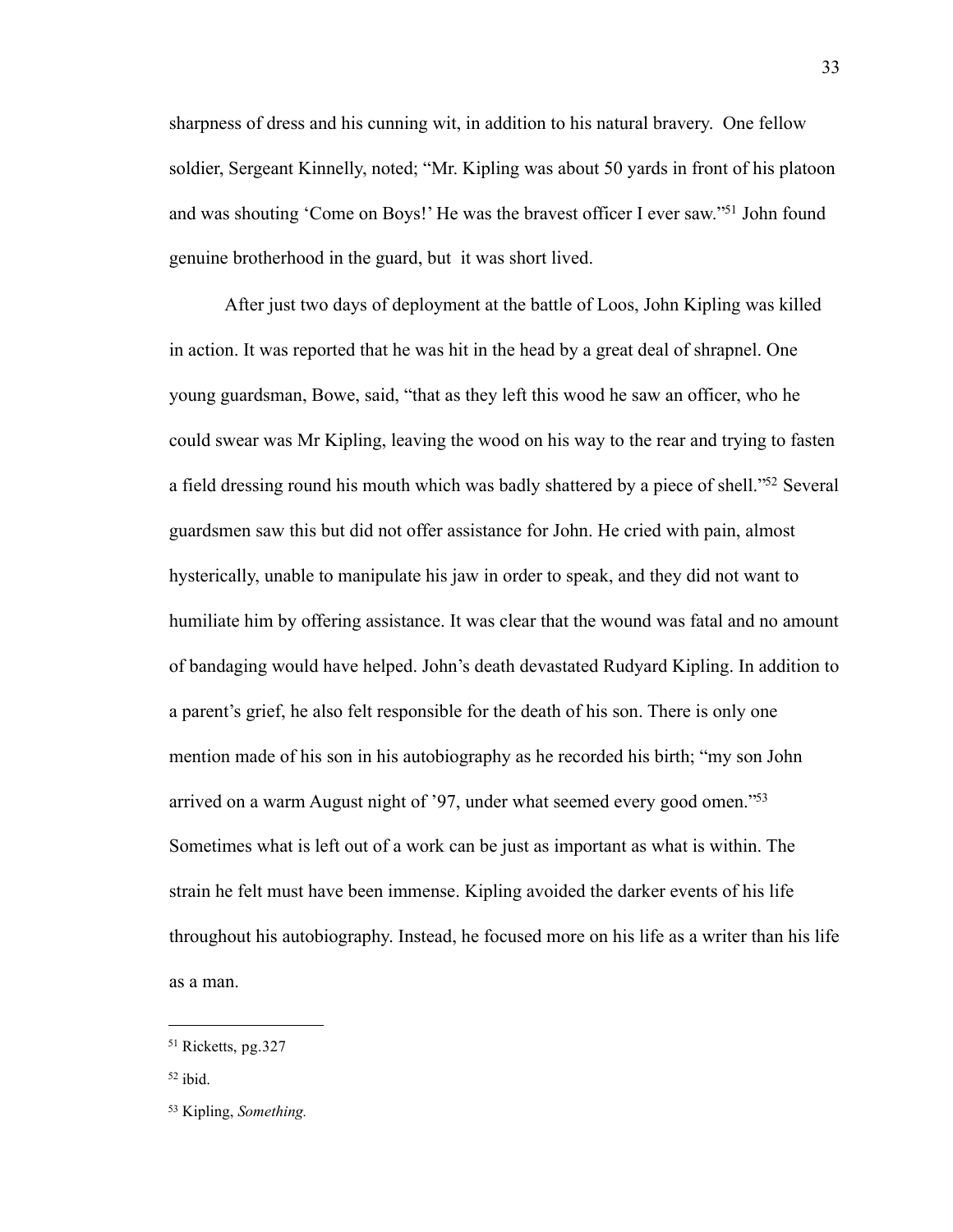sharpness of dress and his cunning wit, in addition to his natural bravery. One fellow soldier, Sergeant Kinnelly, noted; "Mr. Kipling was about 50 yards in front of his platoon and was shouting 'Come on Boys!' He was the bravest officer I ever saw.["51](#page-36-0) John found genuine brotherhood in the guard, but it was short lived.

After just two days of deployment at the battle of Loos, John Kipling was killed in action. It was reported that he was hit in the head by a great deal of shrapnel. One young guardsman, Bowe, said, "that as they left this wood he saw an officer, who he could swear was Mr Kipling, leaving the wood on his way to the rear and trying to fasten a field dressing round his mouth which was badly shattered by a piece of shell.["52](#page-36-1) Several guardsmen saw this but did not offer assistance for John. He cried with pain, almost hysterically, unable to manipulate his jaw in order to speak, and they did not want to humiliate him by offering assistance. It was clear that the wound was fatal and no amount of bandaging would have helped. John's death devastated Rudyard Kipling. In addition to a parent's grief, he also felt responsible for the death of his son. There is only one mention made of his son in his autobiography as he recorded his birth; "my son John arrived on a warm August night of '97, under what seemed every good omen.["53](#page-36-2) Sometimes what is left out of a work can be just as important as what is within. The strain he felt must have been immense. Kipling avoided the darker events of his life throughout his autobiography. Instead, he focused more on his life as a writer than his life as a man.

<span id="page-36-0"></span><sup>51</sup> Ricketts, pg.327

<span id="page-36-1"></span><sup>52</sup> ibid.

<span id="page-36-2"></span><sup>53</sup> Kipling, *Something.*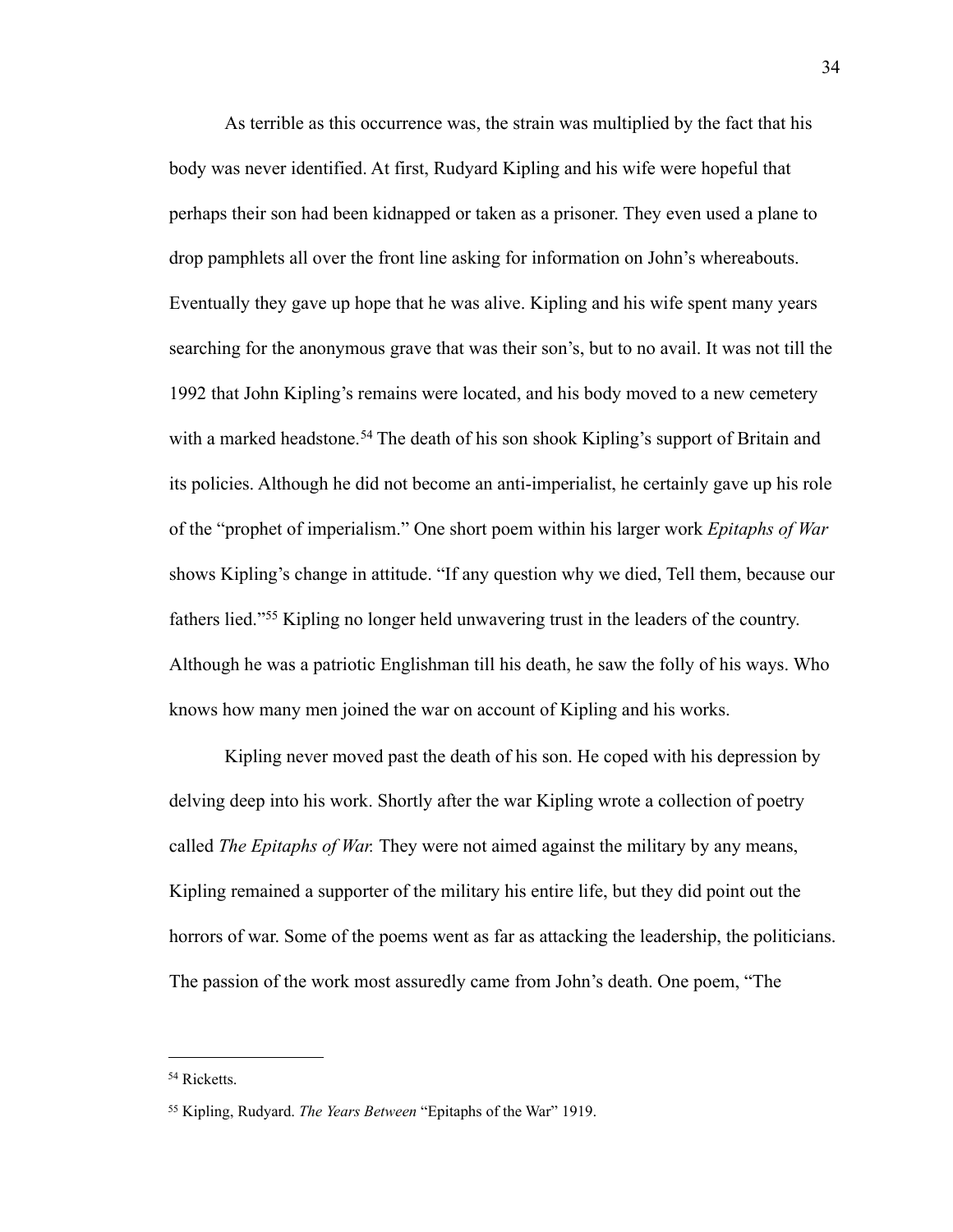As terrible as this occurrence was, the strain was multiplied by the fact that his body was never identified. At first, Rudyard Kipling and his wife were hopeful that perhaps their son had been kidnapped or taken as a prisoner. They even used a plane to drop pamphlets all over the front line asking for information on John's whereabouts. Eventually they gave up hope that he was alive. Kipling and his wife spent many years searching for the anonymous grave that was their son's, but to no avail. It was not till the 1992 that John Kipling's remains were located, and his body moved to a new cemetery with a marked headstone.<sup>[54](#page-37-0)</sup> The death of his son shook Kipling's support of Britain and its policies. Although he did not become an anti-imperialist, he certainly gave up his role of the "prophet of imperialism." One short poem within his larger work *Epitaphs of War*  shows Kipling's change in attitude. "If any question why we died, Tell them, because our fathers lied."[55](#page-37-1) Kipling no longer held unwavering trust in the leaders of the country. Although he was a patriotic Englishman till his death, he saw the folly of his ways. Who knows how many men joined the war on account of Kipling and his works.

Kipling never moved past the death of his son. He coped with his depression by delving deep into his work. Shortly after the war Kipling wrote a collection of poetry called *The Epitaphs of War.* They were not aimed against the military by any means, Kipling remained a supporter of the military his entire life, but they did point out the horrors of war. Some of the poems went as far as attacking the leadership, the politicians. The passion of the work most assuredly came from John's death. One poem, "The

<span id="page-37-0"></span><sup>54</sup> Ricketts.

<span id="page-37-1"></span><sup>55</sup> Kipling, Rudyard. *The Years Between* "Epitaphs of the War" 1919.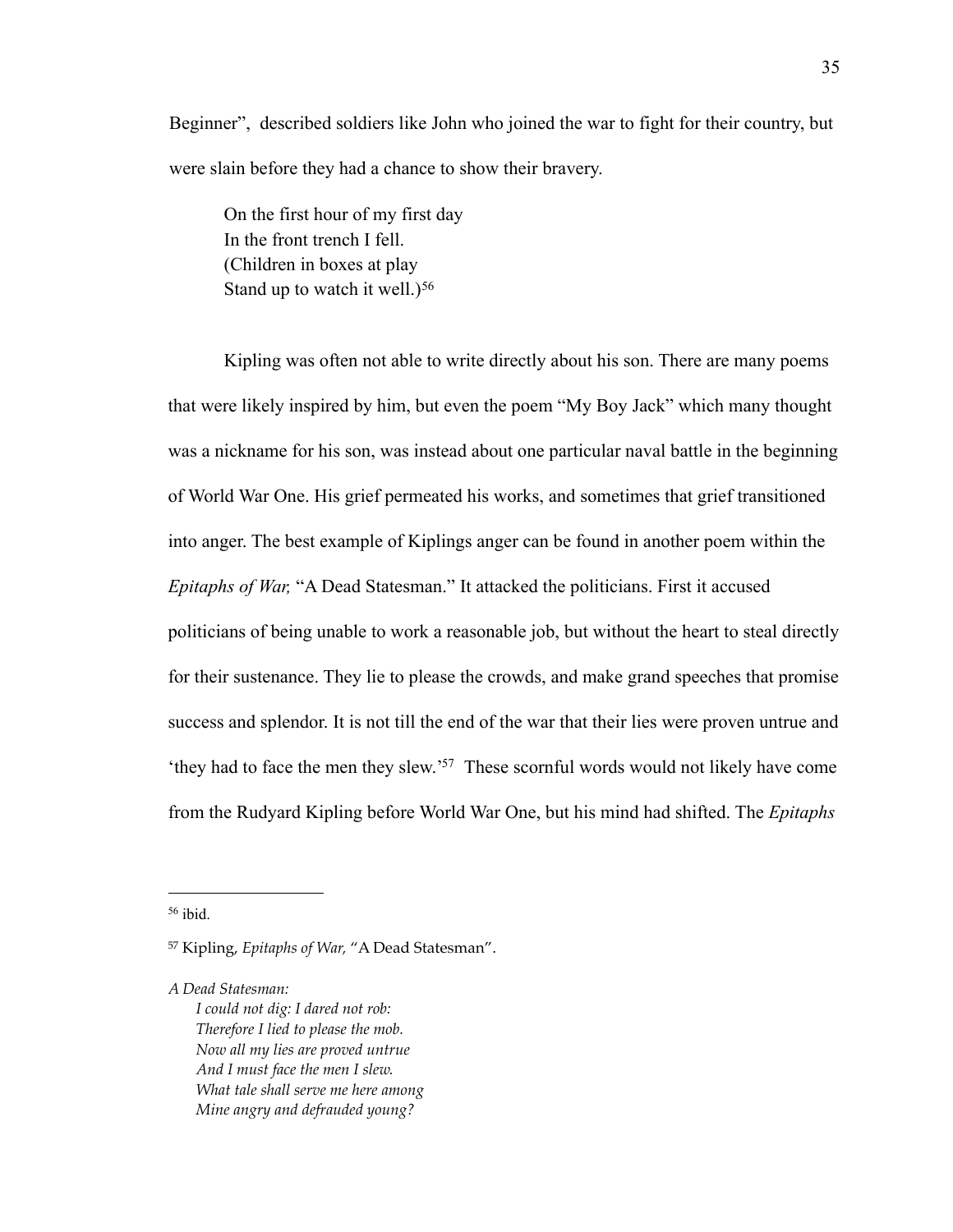Beginner", described soldiers like John who joined the war to fight for their country, but were slain before they had a chance to show their bravery.

On the first hour of my first day In the front trench I fell. (Children in boxes at play Stand up to watch it well.)<sup>[56](#page-38-0)</sup>

Kipling was often not able to write directly about his son. There are many poems that were likely inspired by him, but even the poem "My Boy Jack" which many thought was a nickname for his son, was instead about one particular naval battle in the beginning of World War One. His grief permeated his works, and sometimes that grief transitioned into anger. The best example of Kiplings anger can be found in another poem within the *Epitaphs of War,* "A Dead Statesman." It attacked the politicians. First it accused politicians of being unable to work a reasonable job, but without the heart to steal directly for their sustenance. They lie to please the crowds, and make grand speeches that promise success and splendor. It is not till the end of the war that their lies were proven untrue and 'they had to face the men they slew.['57](#page-38-1) These scornful words would not likely have come from the Rudyard Kipling before World War One, but his mind had shifted. The *Epitaphs* 

<span id="page-38-0"></span>56 ibid.

*A Dead Statesman:*

*I could not dig: I dared not rob: Therefore I lied to please the mob. Now all my lies are proved untrue And I must face the men I slew. What tale shall serve me here among Mine angry and defrauded young?*

<span id="page-38-1"></span><sup>57</sup> Kipling, *Epitaphs of War,* "A Dead Statesman".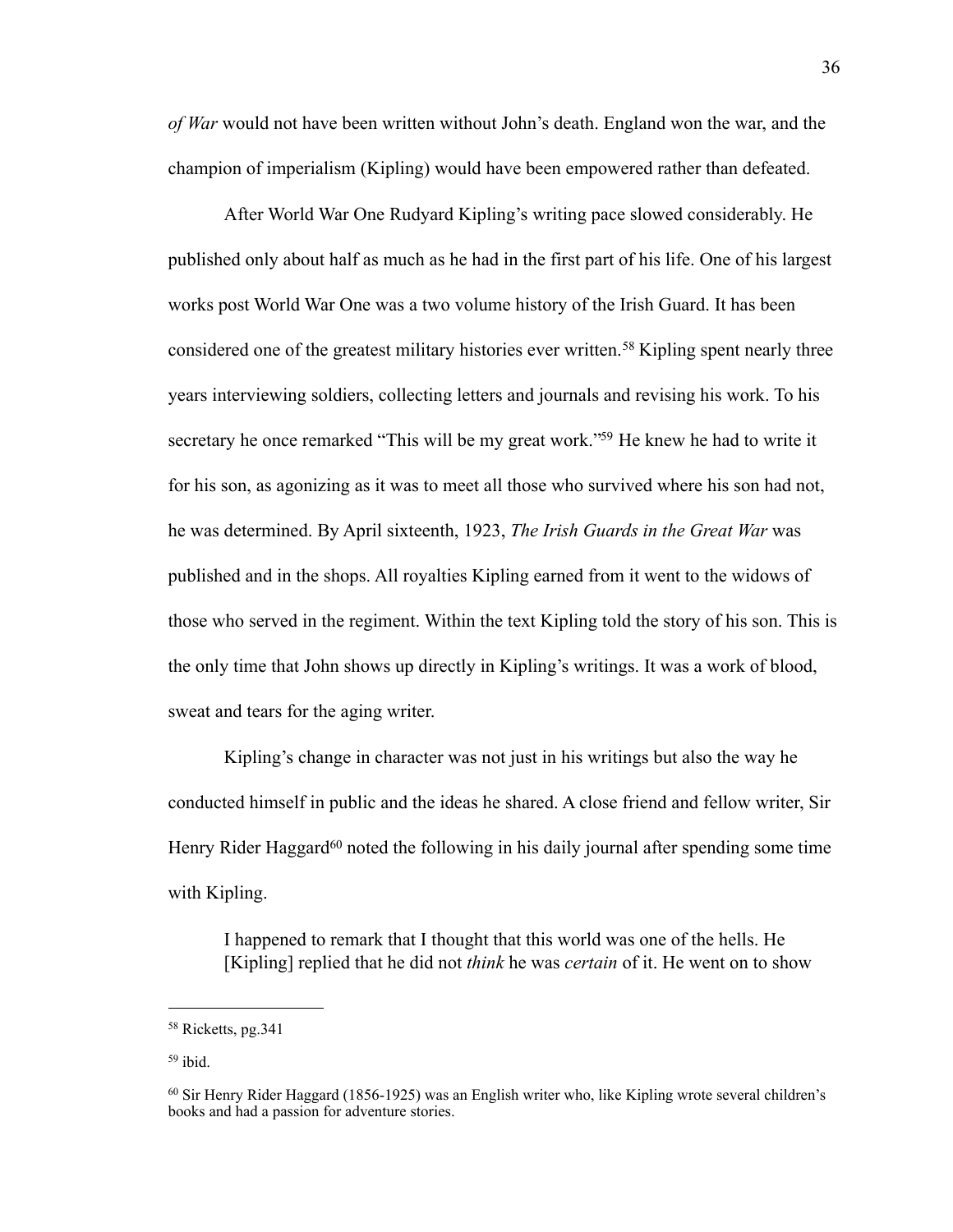*of War* would not have been written without John's death. England won the war, and the champion of imperialism (Kipling) would have been empowered rather than defeated.

After World War One Rudyard Kipling's writing pace slowed considerably. He published only about half as much as he had in the first part of his life. One of his largest works post World War One was a two volume history of the Irish Guard. It has been considered one of the greatest military histories ever written.<sup>58</sup> Kipling spent nearly three years interviewing soldiers, collecting letters and journals and revising his work. To his secretary he once remarked "This will be my great work."<sup>59</sup> He knew he had to write it for his son, as agonizing as it was to meet all those who survived where his son had not, he was determined. By April sixteenth, 1923, *The Irish Guards in the Great War* was published and in the shops. All royalties Kipling earned from it went to the widows of those who served in the regiment. Within the text Kipling told the story of his son. This is the only time that John shows up directly in Kipling's writings. It was a work of blood, sweat and tears for the aging writer.

Kipling's change in character was not just in his writings but also the way he conducted himself in public and the ideas he shared. A close friend and fellow writer, Sir Henry Rider Haggard<sup>60</sup> noted the following in his daily journal after spending some time with Kipling.

I happened to remark that I thought that this world was one of the hells. He [Kipling] replied that he did not *think* he was *certain* of it. He went on to show

<span id="page-39-0"></span><sup>58</sup> Ricketts, pg.341

<span id="page-39-1"></span><sup>59</sup> ibid.

<span id="page-39-2"></span><sup>60</sup> Sir Henry Rider Haggard (1856-1925) was an English writer who, like Kipling wrote several children's books and had a passion for adventure stories.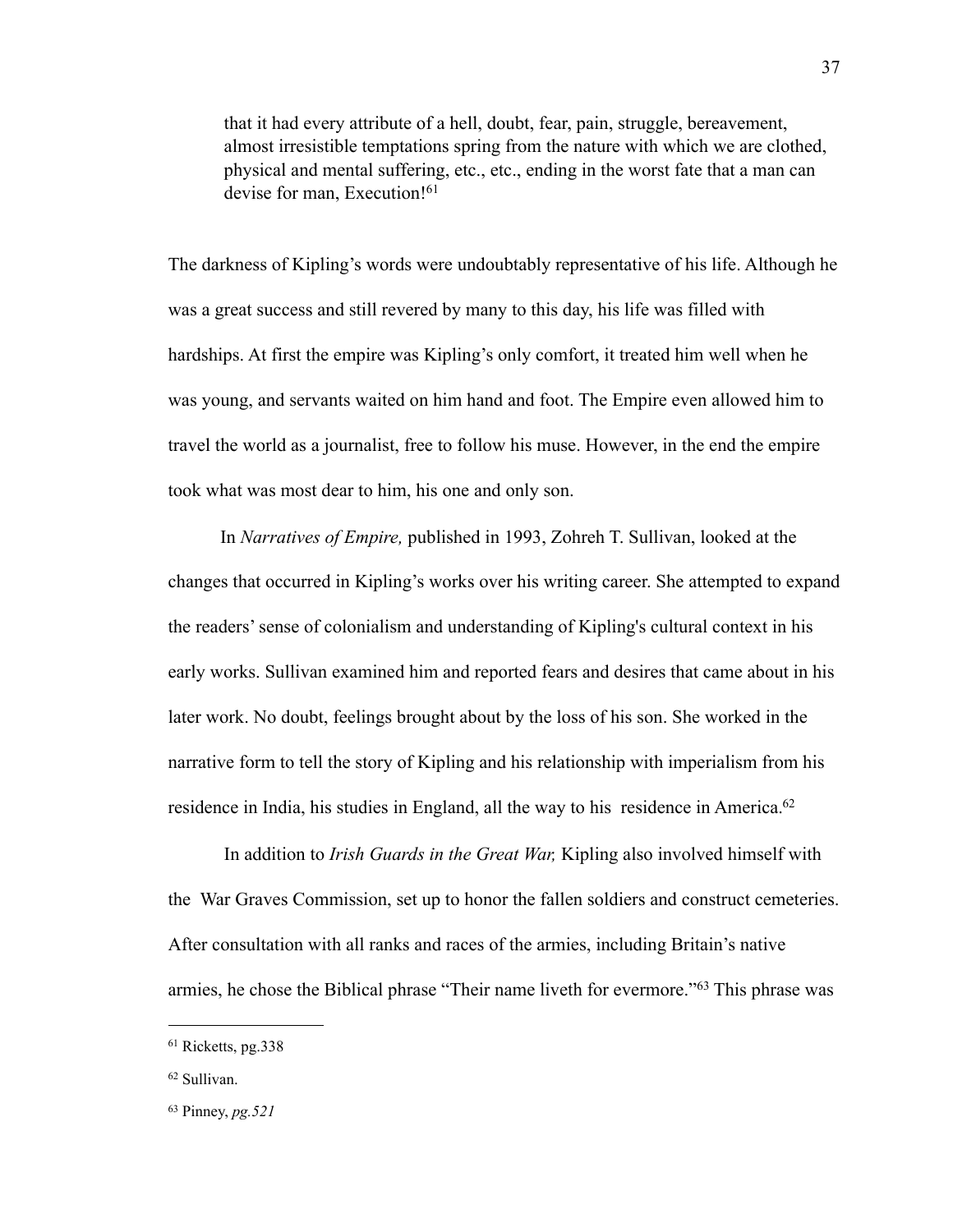that it had every attribute of a hell, doubt, fear, pain, struggle, bereavement, almost irresistible temptations spring from the nature with which we are clothed, physical and mental suffering, etc., etc., ending in the worst fate that a man can devise for man, Execution!<sup>[61](#page-40-0)</sup>

The darkness of Kipling's words were undoubtably representative of his life. Although he was a great success and still revered by many to this day, his life was filled with hardships. At first the empire was Kipling's only comfort, it treated him well when he was young, and servants waited on him hand and foot. The Empire even allowed him to travel the world as a journalist, free to follow his muse. However, in the end the empire took what was most dear to him, his one and only son.

In *Narratives of Empire,* published in 1993, Zohreh T. Sullivan, looked at the changes that occurred in Kipling's works over his writing career. She attempted to expand the readers' sense of colonialism and understanding of Kipling's cultural context in his early works. Sullivan examined him and reported fears and desires that came about in his later work. No doubt, feelings brought about by the loss of his son. She worked in the narrative form to tell the story of Kipling and his relationship with imperialism from his residence in India, his studies in England, all the way to his residence in America.<sup>62</sup>

In addition to *Irish Guards in the Great War,* Kipling also involved himself with the War Graves Commission, set up to honor the fallen soldiers and construct cemeteries. After consultation with all ranks and races of the armies, including Britain's native armies, he chose the Biblical phrase "Their name liveth for evermore."[63](#page-40-2) This phrase was

<span id="page-40-0"></span><sup>61</sup> Ricketts, pg.338

<span id="page-40-1"></span><sup>62</sup> Sullivan.

<span id="page-40-2"></span><sup>63</sup> Pinney, *pg.521*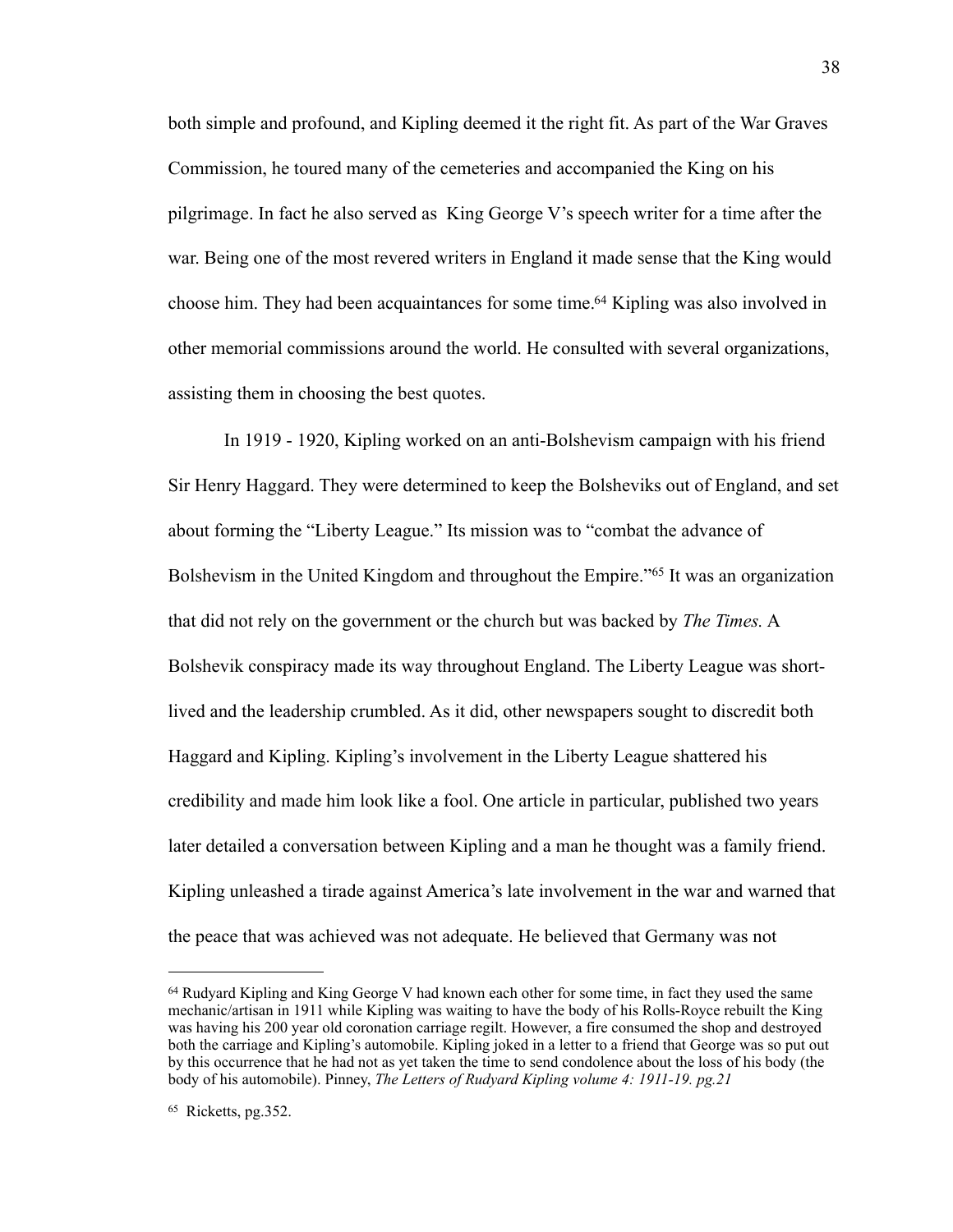both simple and profound, and Kipling deemed it the right fit. As part of the War Graves Commission, he toured many of the cemeteries and accompanied the King on his pilgrimage. In fact he also served as King George V's speech writer for a time after the war. Being one of the most revered writers in England it made sense that the King would choose him. They had been acquaintances for some time.<sup>64</sup> Kipling was also involved in other memorial commissions around the world. He consulted with several organizations, assisting them in choosing the best quotes.

In 1919 - 1920, Kipling worked on an anti-Bolshevism campaign with his friend Sir Henry Haggard. They were determined to keep the Bolsheviks out of England, and set about forming the "Liberty League." Its mission was to "combat the advance of Bolshevism in the United Kingdom and throughout the Empire."<sup>65</sup> It was an organization that did not rely on the government or the church but was backed by *The Times.* A Bolshevik conspiracy made its way throughout England. The Liberty League was shortlived and the leadership crumbled. As it did, other newspapers sought to discredit both Haggard and Kipling. Kipling's involvement in the Liberty League shattered his credibility and made him look like a fool. One article in particular, published two years later detailed a conversation between Kipling and a man he thought was a family friend. Kipling unleashed a tirade against America's late involvement in the war and warned that the peace that was achieved was not adequate. He believed that Germany was not

<span id="page-41-0"></span><sup>&</sup>lt;sup>64</sup> Rudyard Kipling and King George V had known each other for some time, in fact they used the same mechanic/artisan in 1911 while Kipling was waiting to have the body of his Rolls-Royce rebuilt the King was having his 200 year old coronation carriage regilt. However, a fire consumed the shop and destroyed both the carriage and Kipling's automobile. Kipling joked in a letter to a friend that George was so put out by this occurrence that he had not as yet taken the time to send condolence about the loss of his body (the body of his automobile). Pinney, *The Letters of Rudyard Kipling volume 4: 1911-19. pg.21*

<span id="page-41-1"></span><sup>65</sup> Ricketts, pg.352.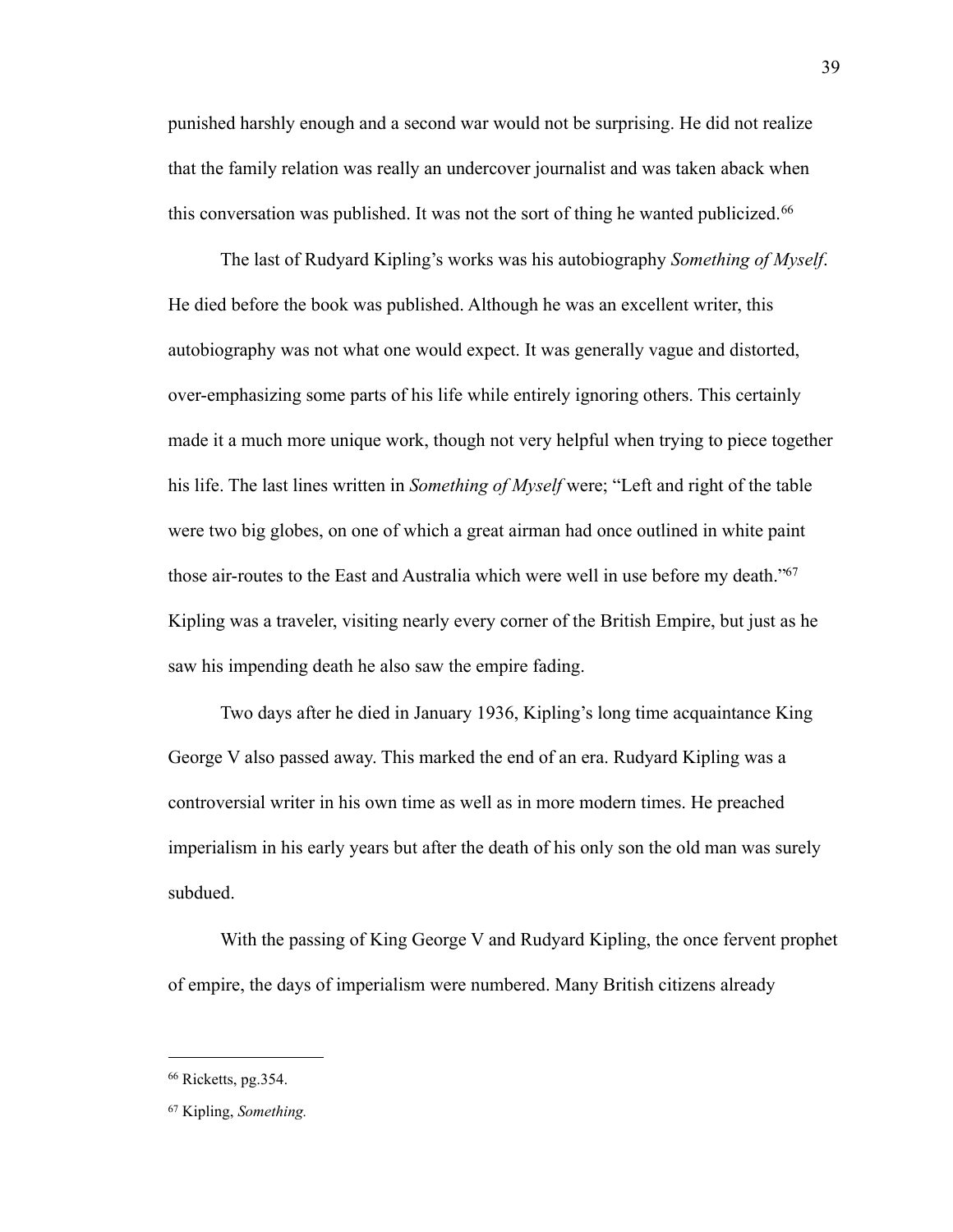punished harshly enough and a second war would not be surprising. He did not realize that the family relation was really an undercover journalist and was taken aback when this conversation was published. It was not the sort of thing he wanted publicized.<sup>[66](#page-42-0)</sup>

The last of Rudyard Kipling's works was his autobiography *Something of Myself*. He died before the book was published. Although he was an excellent writer, this autobiography was not what one would expect. It was generally vague and distorted, over-emphasizing some parts of his life while entirely ignoring others. This certainly made it a much more unique work, though not very helpful when trying to piece together his life. The last lines written in *Something of Myself* were; "Left and right of the table were two big globes, on one of which a great airman had once outlined in white paint those air-routes to the East and Australia which were well in use before my death.["67](#page-42-1) Kipling was a traveler, visiting nearly every corner of the British Empire, but just as he saw his impending death he also saw the empire fading.

Two days after he died in January 1936, Kipling's long time acquaintance King George V also passed away. This marked the end of an era. Rudyard Kipling was a controversial writer in his own time as well as in more modern times. He preached imperialism in his early years but after the death of his only son the old man was surely subdued.

With the passing of King George V and Rudyard Kipling, the once fervent prophet of empire, the days of imperialism were numbered. Many British citizens already

<span id="page-42-0"></span><sup>66</sup> Ricketts, pg.354.

<span id="page-42-1"></span><sup>67</sup> Kipling, *Something.*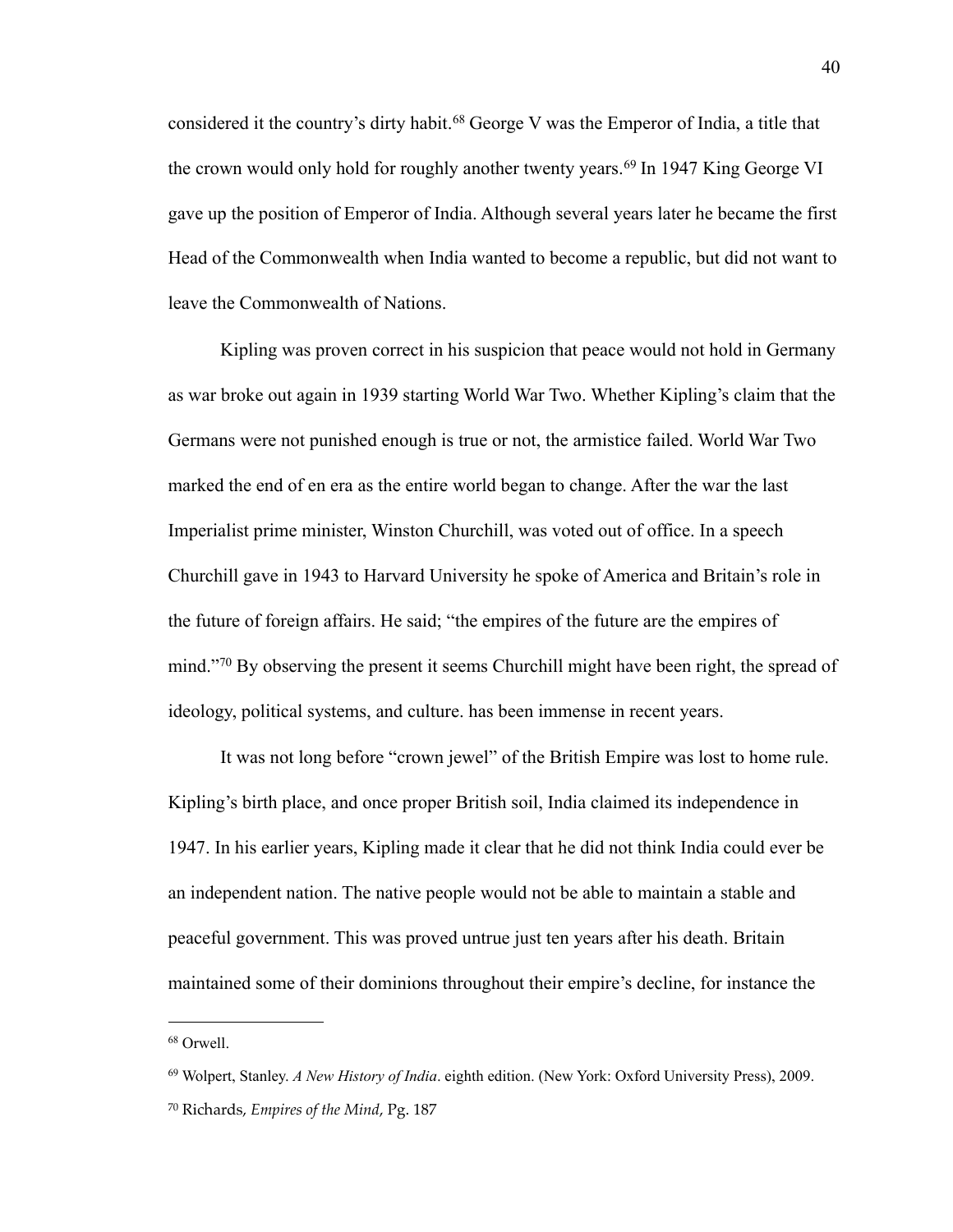considered it the country's dirty habit.[68](#page-43-0) George V was the Emperor of India, a title that the crown would only hold for roughly another twenty years.<sup>69</sup> In 1947 King George VI gave up the position of Emperor of India. Although several years later he became the first Head of the Commonwealth when India wanted to become a republic, but did not want to leave the Commonwealth of Nations.

Kipling was proven correct in his suspicion that peace would not hold in Germany as war broke out again in 1939 starting World War Two. Whether Kipling's claim that the Germans were not punished enough is true or not, the armistice failed. World War Two marked the end of en era as the entire world began to change. After the war the last Imperialist prime minister, Winston Churchill, was voted out of office. In a speech Churchill gave in 1943 to Harvard University he spoke of America and Britain's role in the future of foreign affairs. He said; "the empires of the future are the empires of mind."<sup>70</sup> By observing the present it seems Churchill might have been right, the spread of ideology, political systems, and culture. has been immense in recent years.

It was not long before "crown jewel" of the British Empire was lost to home rule. Kipling's birth place, and once proper British soil, India claimed its independence in 1947. In his earlier years, Kipling made it clear that he did not think India could ever be an independent nation. The native people would not be able to maintain a stable and peaceful government. This was proved untrue just ten years after his death. Britain maintained some of their dominions throughout their empire's decline, for instance the

<span id="page-43-0"></span><sup>68</sup> Orwell.

<span id="page-43-1"></span><sup>69</sup> Wolpert, Stanley. *A New History of India*. eighth edition. (New York: Oxford University Press), 2009.

<span id="page-43-2"></span><sup>70</sup> Richards, *Empires of the Mind*, Pg. 187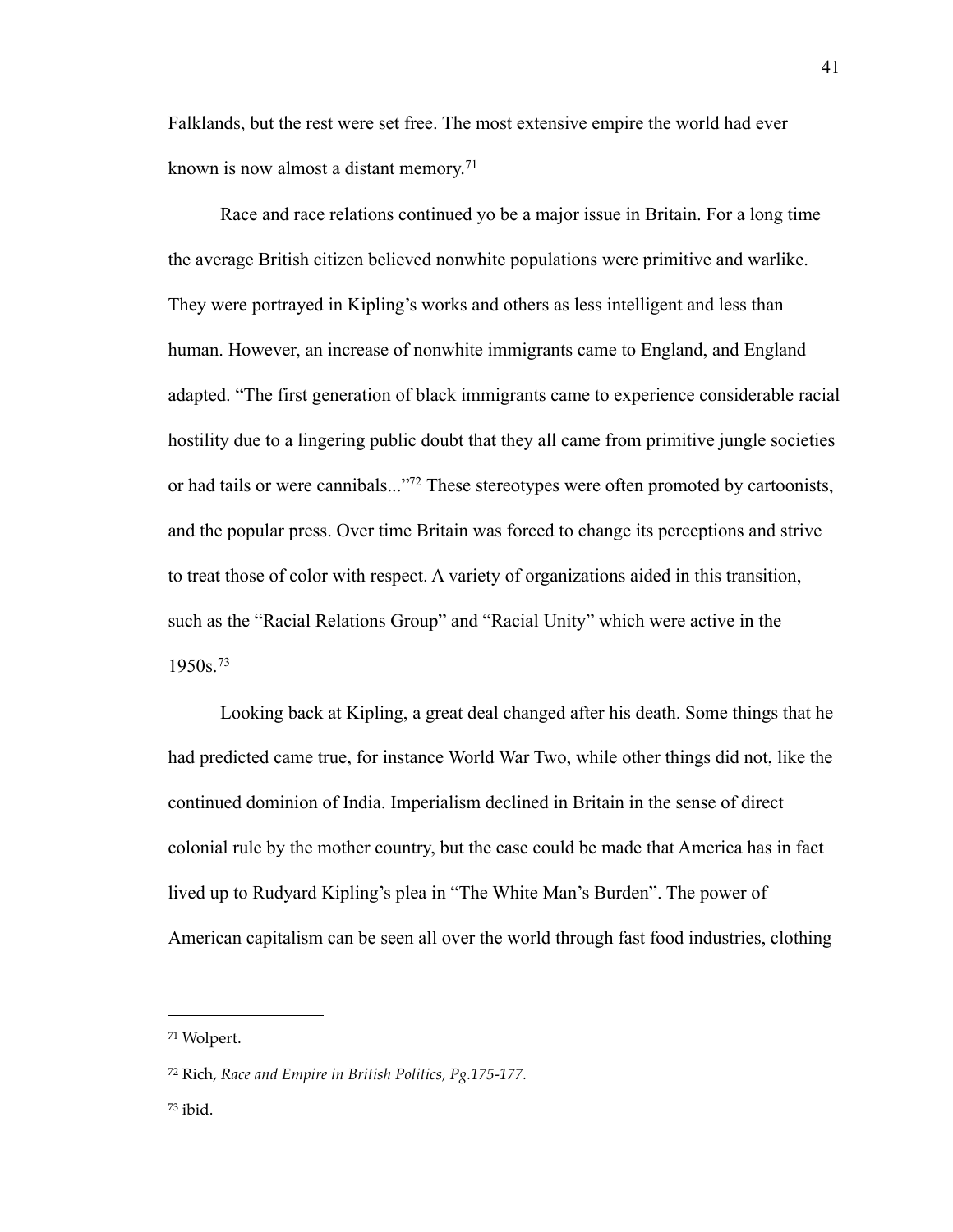Falklands, but the rest were set free. The most extensive empire the world had ever known is now almost a distant memory.<sup>[71](#page-44-0)</sup>

Race and race relations continued yo be a major issue in Britain. For a long time the average British citizen believed nonwhite populations were primitive and warlike. They were portrayed in Kipling's works and others as less intelligent and less than human. However, an increase of nonwhite immigrants came to England, and England adapted. "The first generation of black immigrants came to experience considerable racial hostility due to a lingering public doubt that they all came from primitive jungle societies or had tails or were cannibals...["72](#page-44-1) These stereotypes were often promoted by cartoonists, and the popular press. Over time Britain was forced to change its perceptions and strive to treat those of color with respect. A variety of organizations aided in this transition, such as the "Racial Relations Group" and "Racial Unity" which were active in the 1950s.[73](#page-44-2)

Looking back at Kipling, a great deal changed after his death. Some things that he had predicted came true, for instance World War Two, while other things did not, like the continued dominion of India. Imperialism declined in Britain in the sense of direct colonial rule by the mother country, but the case could be made that America has in fact lived up to Rudyard Kipling's plea in "The White Man's Burden". The power of American capitalism can be seen all over the world through fast food industries, clothing

<span id="page-44-0"></span><sup>71</sup> Wolpert.

<span id="page-44-1"></span><sup>72</sup> Rich, *Race and Empire in British Politics, Pg.175-177.*

<span id="page-44-2"></span> $73$  ibid.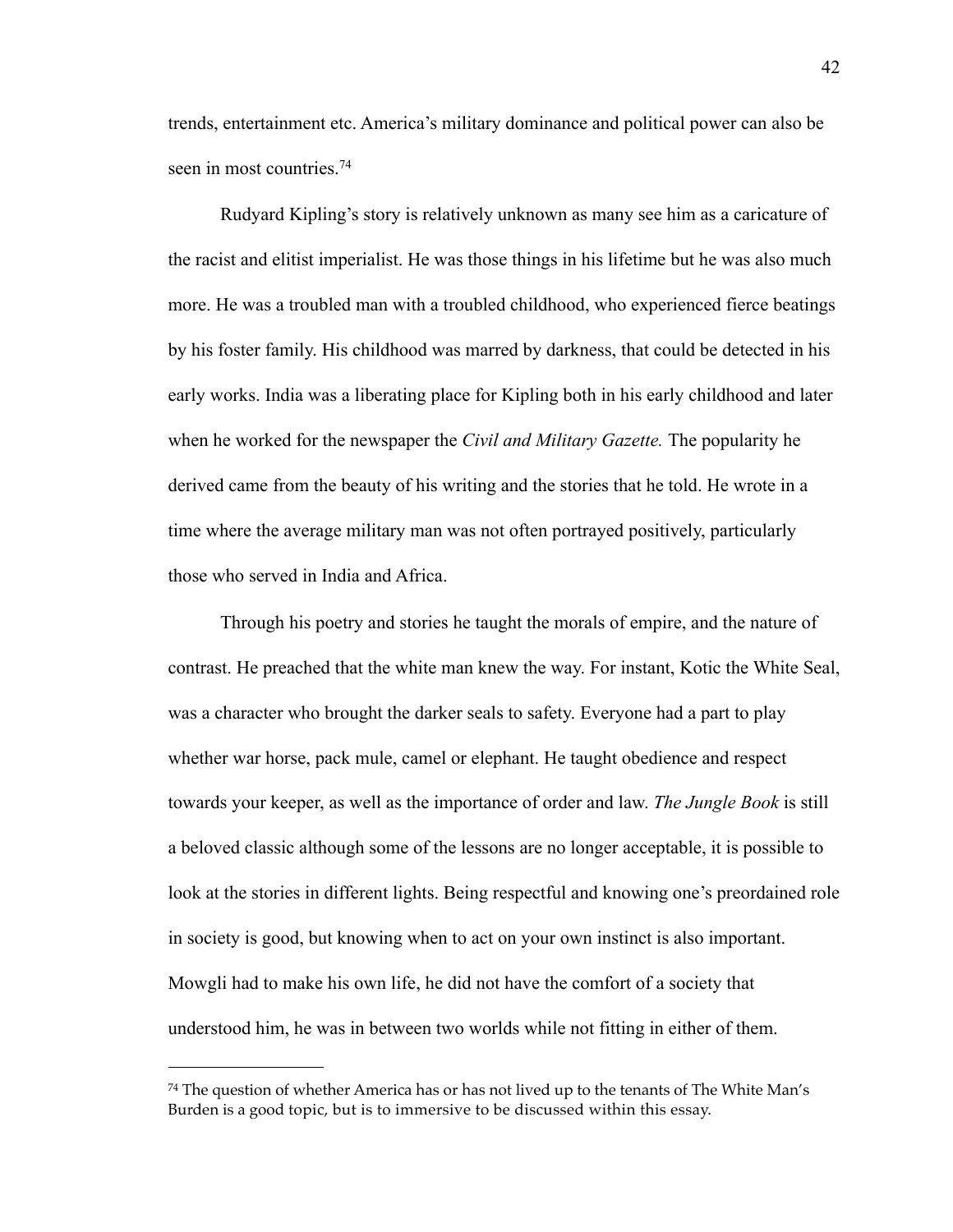trends, entertainment etc. America's military dominance and political power can also be seen in most countries.<sup>[74](#page-45-0)</sup>

Rudyard Kipling's story is relatively unknown as many see him as a caricature of the racist and elitist imperialist. He was those things in his lifetime but he was also much more. He was a troubled man with a troubled childhood, who experienced fierce beatings by his foster family. His childhood was marred by darkness, that could be detected in his early works. India was a liberating place for Kipling both in his early childhood and later when he worked for the newspaper the *Civil and Military Gazette.* The popularity he derived came from the beauty of his writing and the stories that he told. He wrote in a time where the average military man was not often portrayed positively, particularly those who served in India and Africa.

Through his poetry and stories he taught the morals of empire, and the nature of contrast. He preached that the white man knew the way. For instant, Kotic the White Seal, was a character who brought the darker seals to safety. Everyone had a part to play whether war horse, pack mule, camel or elephant. He taught obedience and respect towards your keeper, as well as the importance of order and law. *The Jungle Book* is still a beloved classic although some of the lessons are no longer acceptable, it is possible to look at the stories in different lights. Being respectful and knowing one's preordained role in society is good, but knowing when to act on your own instinct is also important. Mowgli had to make his own life, he did not have the comfort of a society that understood him, he was in between two worlds while not fitting in either of them.

<span id="page-45-0"></span> $74$  The question of whether America has or has not lived up to the tenants of The White Man's Burden is a good topic, but is to immersive to be discussed within this essay.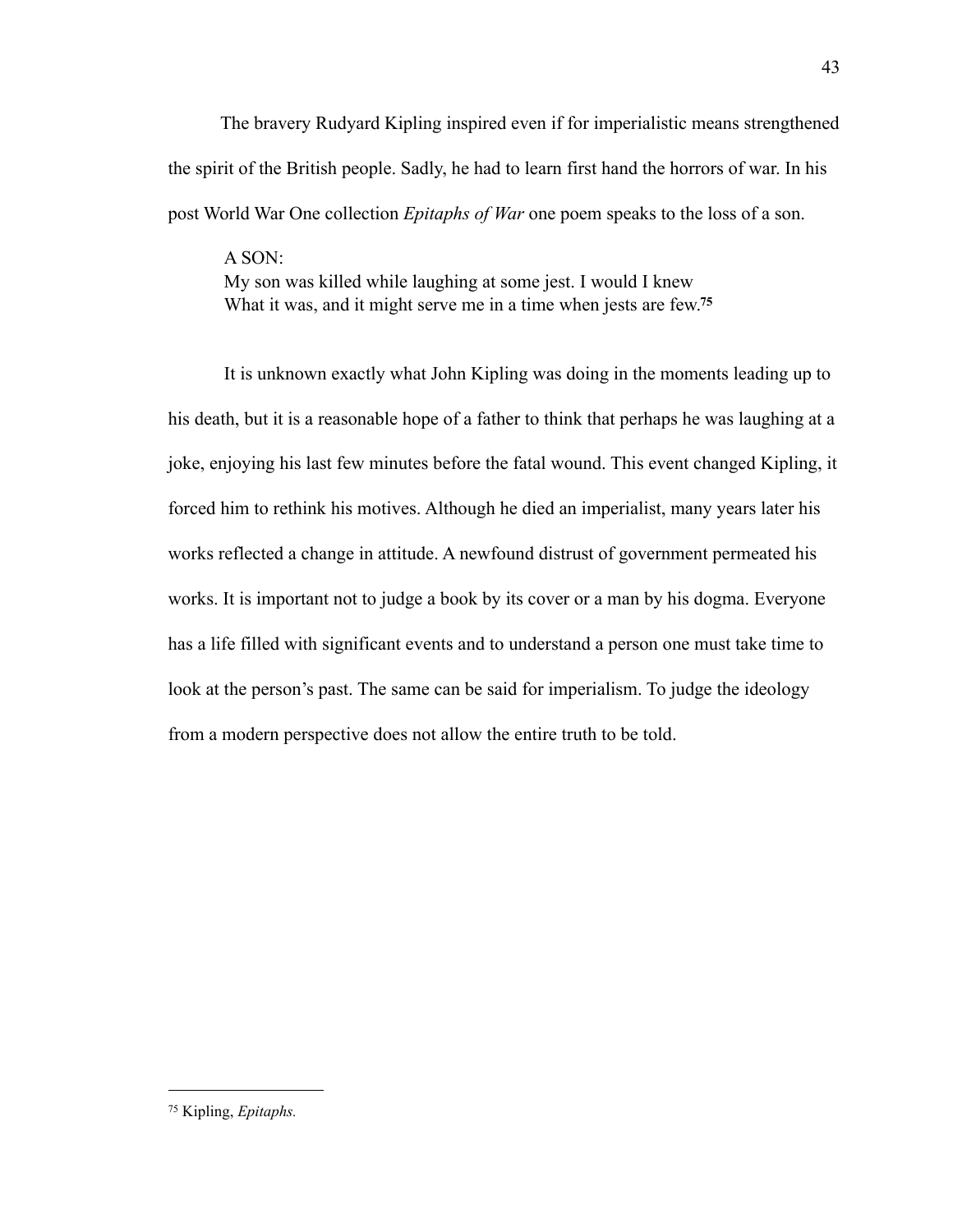The bravery Rudyard Kipling inspired even if for imperialistic means strengthened the spirit of the British people. Sadly, he had to learn first hand the horrors of war. In his post World War One collection *Epitaphs of War* one poem speaks to the loss of a son.

A SON: My son was killed while laughing at some jest. I would I knew What it was, and it might serve me in a time when jests are few.**[75](#page-46-0)**

It is unknown exactly what John Kipling was doing in the moments leading up to his death, but it is a reasonable hope of a father to think that perhaps he was laughing at a joke, enjoying his last few minutes before the fatal wound. This event changed Kipling, it forced him to rethink his motives. Although he died an imperialist, many years later his works reflected a change in attitude. A newfound distrust of government permeated his works. It is important not to judge a book by its cover or a man by his dogma. Everyone has a life filled with significant events and to understand a person one must take time to look at the person's past. The same can be said for imperialism. To judge the ideology from a modern perspective does not allow the entire truth to be told.

<span id="page-46-0"></span><sup>75</sup> Kipling, *Epitaphs.*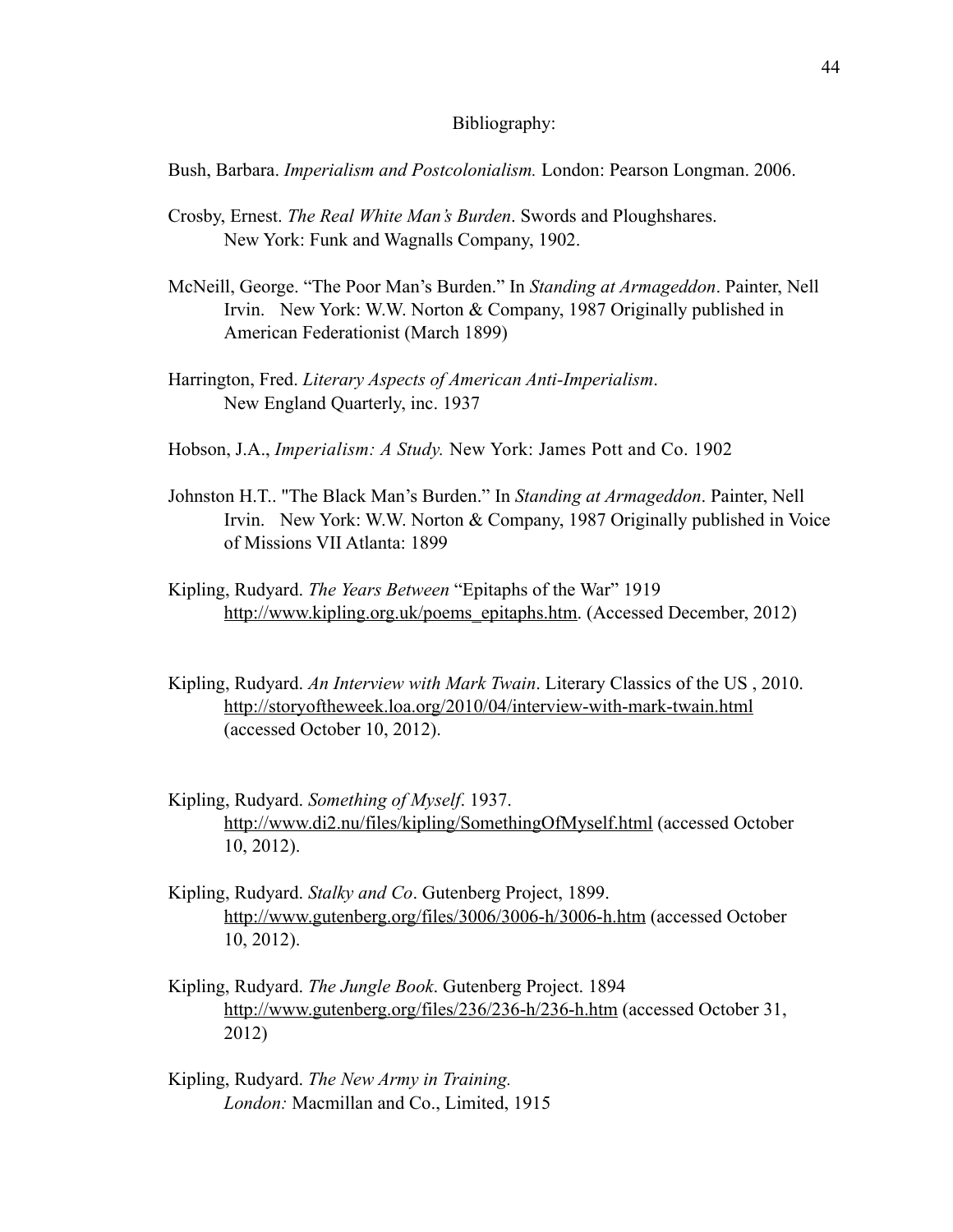#### Bibliography:

Bush, Barbara. *Imperialism and Postcolonialism.* London: Pearson Longman. 2006.

- Crosby, Ernest. *The Real White Man's Burden*. Swords and Ploughshares. New York: Funk and Wagnalls Company, 1902.
- McNeill, George. "The Poor Man's Burden." In *Standing at Armageddon*. Painter, Nell Irvin. New York: W.W. Norton & Company, 1987 Originally published in American Federationist (March 1899)
- Harrington, Fred. *Literary Aspects of American Anti-Imperialism*. New England Quarterly, inc. 1937
- Hobson, J.A., *Imperialism: A Study.* New York: James Pott and Co. 1902
- Johnston H.T.. "The Black Man's Burden." In *Standing at Armageddon*. Painter, Nell Irvin. New York: W.W. Norton & Company, 1987 Originally published in Voice of Missions VII Atlanta: 1899
- Kipling, Rudyard. *The Years Between* "Epitaphs of the War" 1919 [http://www.kipling.org.uk/poems\\_epitaphs.htm.](http://www.kipling.org.uk/poems_epitaphs.htm) (Accessed December, 2012)
- Kipling, Rudyard. *An Interview with Mark Twain*. Literary Classics of the US , 2010. <http://storyoftheweek.loa.org/2010/04/interview-with-mark-twain.html> (accessed October 10, 2012).
- Kipling, Rudyard. *Something of Myself*. 1937. <http://www.di2.nu/files/kipling/SomethingOfMyself.html>(accessed October 10, 2012).
- Kipling, Rudyard. *Stalky and Co*. Gutenberg Project, 1899. <http://www.gutenberg.org/files/3006/3006-h/3006-h.htm> (accessed October 10, 2012).
- Kipling, Rudyard. *The Jungle Book*. Gutenberg Project. 1894 <http://www.gutenberg.org/files/236/236-h/236-h.htm> (accessed October 31, 2012)
- Kipling, Rudyard. *The New Army in Training. London:* Macmillan and Co., Limited, 1915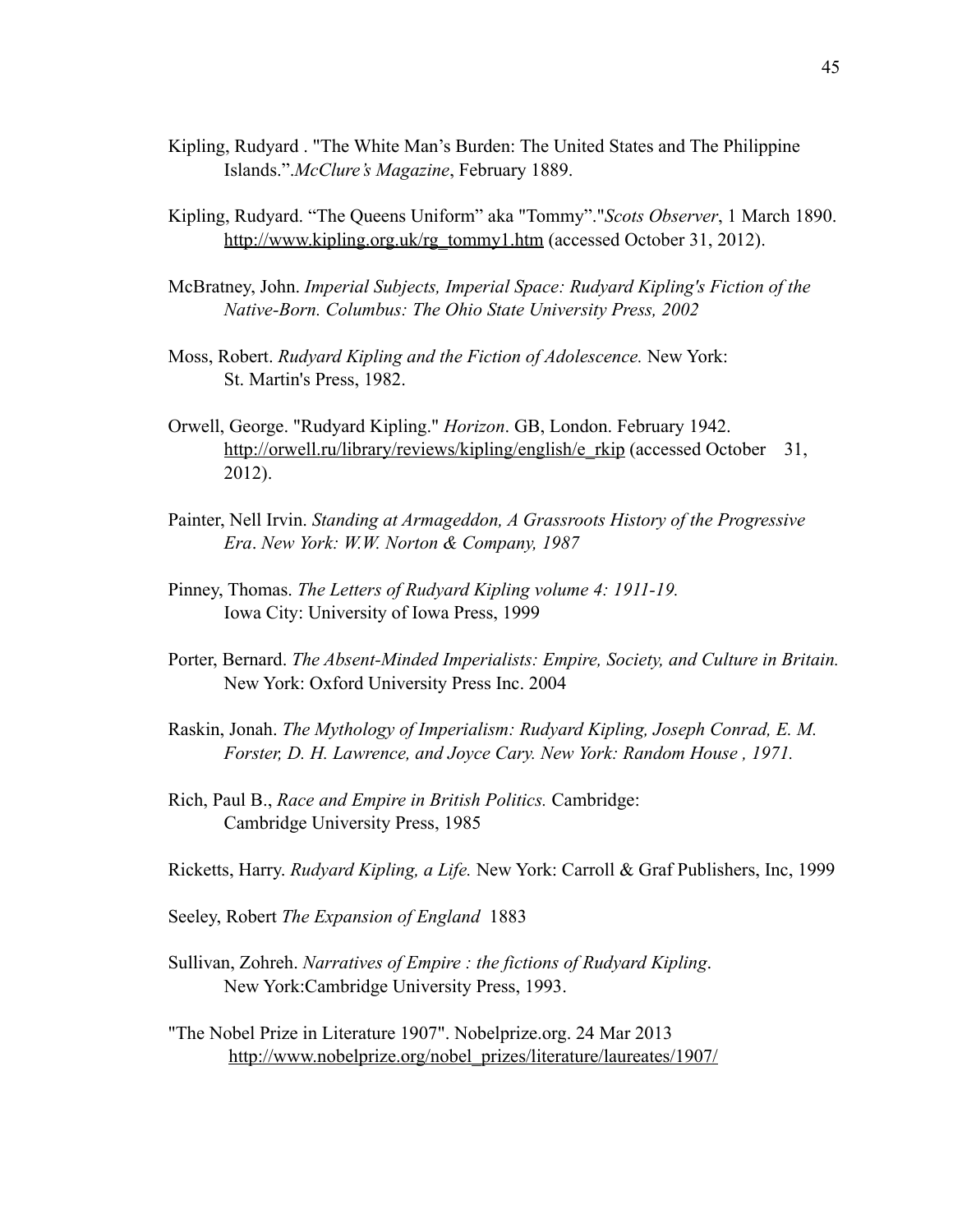- Kipling, Rudyard . "The White Man's Burden: The United States and The Philippine Islands.".*McClure's Magazine*, February 1889.
- Kipling, Rudyard. "The Queens Uniform" aka "Tommy"."*Scots Observer*, 1 March 1890. [http://www.kipling.org.uk/rg\\_tommy1.htm](http://www.kipling.org.uk/rg_tommy1.htm) (accessed October 31, 2012).
- McBratney, John. *Imperial Subjects, Imperial Space: Rudyard Kipling's Fiction of the Native-Born. Columbus: The Ohio State University Press, 2002*
- Moss, Robert. *Rudyard Kipling and the Fiction of Adolescence.* New York: St. Martin's Press, 1982.
- Orwell, George. "Rudyard Kipling." *Horizon*. GB, London. February 1942. [http://orwell.ru/library/reviews/kipling/english/e\\_rkip](http://orwell.ru/library/reviews/kipling/english/e_rkip) (accessed October 31, 2012).
- Painter, Nell Irvin. *Standing at Armageddon, A Grassroots History of the Progressive Era*. *New York: W.W. Norton & Company, 1987*
- Pinney, Thomas. *The Letters of Rudyard Kipling volume 4: 1911-19.*  Iowa City: University of Iowa Press, 1999
- Porter, Bernard. *The Absent-Minded Imperialists: Empire, Society, and Culture in Britain.* New York: Oxford University Press Inc. 2004
- Raskin, Jonah. *The Mythology of Imperialism: Rudyard Kipling, Joseph Conrad, E. M. Forster, D. H. Lawrence, and Joyce Cary. New York: Random House , 1971.*
- Rich, Paul B., *Race and Empire in British Politics.* Cambridge: Cambridge University Press, 1985
- Ricketts, Harry. *Rudyard Kipling, a Life.* New York: Carroll & Graf Publishers, Inc, 1999
- Seeley, Robert *The Expansion of England* 1883
- Sullivan, Zohreh. *Narratives of Empire : the fictions of Rudyard Kipling*. New York:Cambridge University Press, 1993.
- "The Nobel Prize in Literature 1907". Nobelprize.org. 24 Mar 2013 [http://www.nobelprize.org/nobel\\_prizes/literature/laureates/1907/](http://www.nobelprize.org/nobel_prizes/literature/laureates/1907/)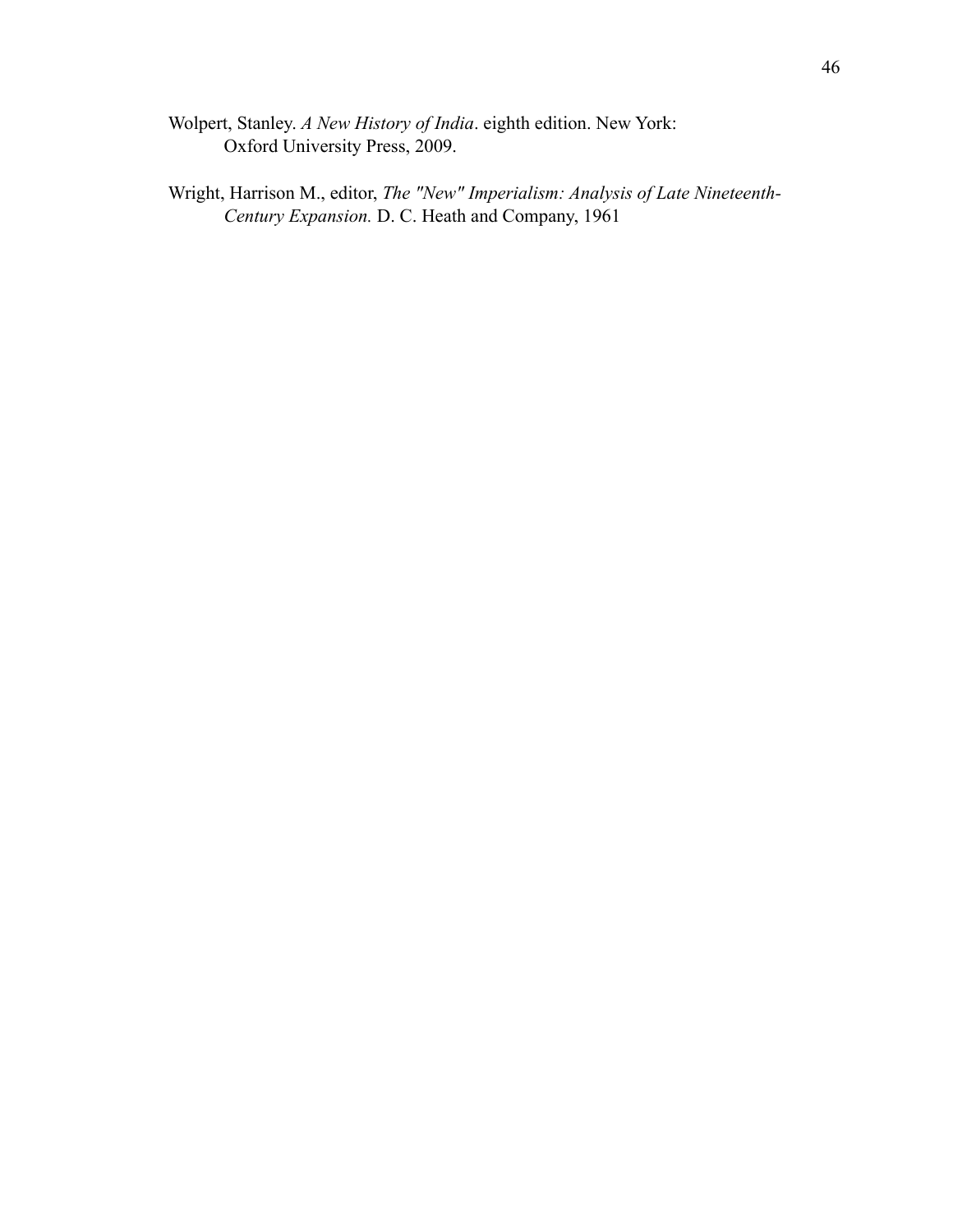- Wolpert, Stanley. *A New History of India*. eighth edition. New York: Oxford University Press, 2009.
- Wright, Harrison M., editor, *The "New" Imperialism: Analysis of Late Nineteenth- Century Expansion.* D. C. Heath and Company, 1961